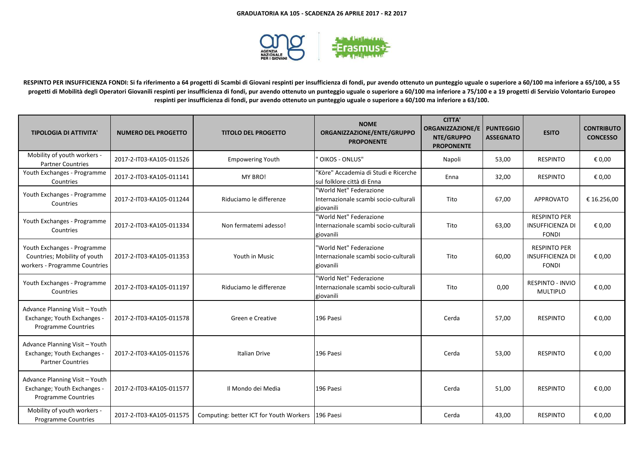

**RESPINTO PER INSUFFICIENZA FONDI: Si fa riferimento a 64 progetti di Scambi di Giovani respinti per insufficienza di fondi, pur avendo ottenuto un punteggio uguale o superiore a 60/100 ma inferiore a 65/100, a 55 progetti di Mobilità degli Operatori Giovanili respinti per insufficienza di fondi, pur avendo ottenuto un punteggio uguale o superiore a 60/100 ma inferiore a 75/100 e a 19 progetti di Servizio Volontario Europeo respinti per insufficienza di fondi, pur avendo ottenuto un punteggio uguale o superiore a 60/100 ma inferiore a 63/100.**

| <b>TIPOLOGIA DI ATTIVITA'</b>                                                                | <b>NUMERO DEL PROGETTO</b> | <b>TITOLO DEL PROGETTO</b>              | <b>NOME</b><br>ORGANIZZAZIONE/ENTE/GRUPPO<br><b>PROPONENTE</b>                | <b>CITTA'</b><br><b>ORGANIZZAZIONE/E</b><br>NTE/GRUPPO<br><b>PROPONENTE</b> | <b>PUNTEGGIO</b><br><b>ASSEGNATO</b> | <b>ESITO</b>                                                   | <b>CONTRIBUTO</b><br><b>CONCESSO</b> |
|----------------------------------------------------------------------------------------------|----------------------------|-----------------------------------------|-------------------------------------------------------------------------------|-----------------------------------------------------------------------------|--------------------------------------|----------------------------------------------------------------|--------------------------------------|
| Mobility of youth workers -<br><b>Partner Countries</b>                                      | 2017-2-IT03-KA105-011526   | <b>Empowering Youth</b>                 | <b>OIKOS - ONLUS"</b>                                                         | Napoli                                                                      | 53,00                                | <b>RESPINTO</b>                                                | € 0.00                               |
| Youth Exchanges - Programme<br>Countries                                                     | 2017-2-IT03-KA105-011141   | MY BRO!                                 | "Kòre" Accademia di Studi e Ricerche<br>sul folklore città di Enna            | Enna                                                                        | 32,00                                | <b>RESPINTO</b>                                                | € 0,00                               |
| Youth Exchanges - Programme<br>Countries                                                     | 2017-2-IT03-KA105-011244   | Riduciamo le differenze                 | "World Net" Federazione<br>Internazionale scambi socio-culturali<br>giovanili | Tito                                                                        | 67,00                                | <b>APPROVATO</b>                                               | € 16.256,00                          |
| Youth Exchanges - Programme<br>Countries                                                     | 2017-2-IT03-KA105-011334   | Non fermatemi adesso!                   | 'World Net" Federazione<br>Internazionale scambi socio-culturali<br>giovanili | Tito                                                                        | 63,00                                | <b>RESPINTO PER</b><br><b>INSUFFICIENZA DI</b><br><b>FONDI</b> | € 0,00                               |
| Youth Exchanges - Programme<br>Countries; Mobility of youth<br>workers - Programme Countries | 2017-2-IT03-KA105-011353   | Youth in Music                          | 'World Net" Federazione<br>Internazionale scambi socio-culturali<br>giovanili | Tito                                                                        | 60,00                                | <b>RESPINTO PER</b><br><b>INSUFFICIENZA DI</b><br><b>FONDI</b> | € 0,00                               |
| Youth Exchanges - Programme<br>Countries                                                     | 2017-2-IT03-KA105-011197   | Riduciamo le differenze                 | 'World Net" Federazione<br>Internazionale scambi socio-culturali<br>giovanili | Tito                                                                        | 0,00                                 | RESPINTO - INVIO<br><b>MULTIPLO</b>                            | € 0,00                               |
| Advance Planning Visit - Youth<br>Exchange; Youth Exchanges -<br><b>Programme Countries</b>  | 2017-2-IT03-KA105-011578   | Green e Creative                        | 196 Paesi                                                                     | Cerda                                                                       | 57,00                                | <b>RESPINTO</b>                                                | € 0,00                               |
| Advance Planning Visit - Youth<br>Exchange; Youth Exchanges -<br><b>Partner Countries</b>    | 2017-2-IT03-KA105-011576   | Italian Drive                           | 196 Paesi                                                                     | Cerda                                                                       | 53,00                                | <b>RESPINTO</b>                                                | € 0,00                               |
| Advance Planning Visit - Youth<br>Exchange; Youth Exchanges -<br>Programme Countries         | 2017-2-IT03-KA105-011577   | Il Mondo dei Media                      | 196 Paesi                                                                     | Cerda                                                                       | 51,00                                | <b>RESPINTO</b>                                                | € 0,00                               |
| Mobility of youth workers -<br><b>Programme Countries</b>                                    | 2017-2-IT03-KA105-011575   | Computing: better ICT for Youth Workers | 196 Paesi                                                                     | Cerda                                                                       | 43,00                                | <b>RESPINTO</b>                                                | € 0,00                               |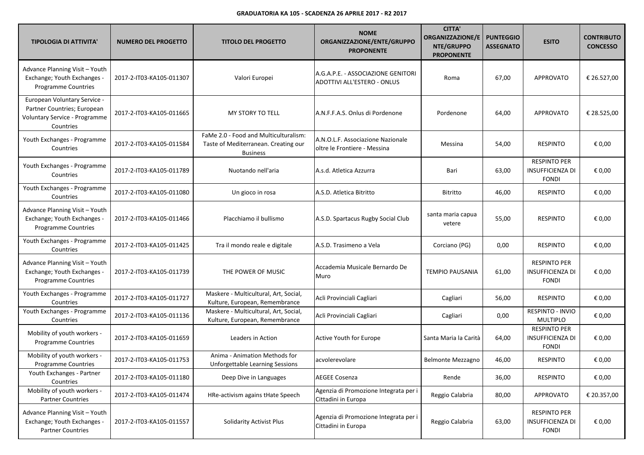| <b>TIPOLOGIA DI ATTIVITA'</b>                                                                             | <b>NUMERO DEL PROGETTO</b> | <b>TITOLO DEL PROGETTO</b>                                                                       | <b>NOME</b><br>ORGANIZZAZIONE/ENTE/GRUPPO<br><b>PROPONENTE</b>    | <b>CITTA'</b><br><b>ORGANIZZAZIONE/E</b><br>NTE/GRUPPO<br><b>PROPONENTE</b> | <b>PUNTEGGIO</b><br><b>ASSEGNATO</b> | <b>ESITO</b>                                                   | <b>CONTRIBUTO</b><br><b>CONCESSO</b> |
|-----------------------------------------------------------------------------------------------------------|----------------------------|--------------------------------------------------------------------------------------------------|-------------------------------------------------------------------|-----------------------------------------------------------------------------|--------------------------------------|----------------------------------------------------------------|--------------------------------------|
| Advance Planning Visit - Youth<br>Exchange; Youth Exchanges -<br><b>Programme Countries</b>               | 2017-2-IT03-KA105-011307   | Valori Europei                                                                                   | A.G.A.P.E. - ASSOCIAZIONE GENITORI<br>ADOTTIVI ALL'ESTERO - ONLUS | Roma                                                                        | 67,00                                | <b>APPROVATO</b>                                               | € 26.527,00                          |
| European Voluntary Service -<br>Partner Countries; European<br>Voluntary Service - Programme<br>Countries | 2017-2-IT03-KA105-011665   | MY STORY TO TELL                                                                                 | A.N.F.F.A.S. Onlus di Pordenone                                   | Pordenone                                                                   | 64,00                                | <b>APPROVATO</b>                                               | € 28.525,00                          |
| Youth Exchanges - Programme<br>Countries                                                                  | 2017-2-IT03-KA105-011584   | FaMe 2.0 - Food and Multiculturalism:<br>Taste of Mediterranean. Creating our<br><b>Business</b> | A.N.O.L.F. Associazione Nazionale<br>oltre le Frontiere - Messina | Messina                                                                     | 54,00                                | <b>RESPINTO</b>                                                | € 0,00                               |
| Youth Exchanges - Programme<br>Countries                                                                  | 2017-2-IT03-KA105-011789   | Nuotando nell'aria                                                                               | A.s.d. Atletica Azzurra                                           | Bari                                                                        | 63,00                                | <b>RESPINTO PER</b><br><b>INSUFFICIENZA DI</b><br><b>FONDI</b> | € 0,00                               |
| Youth Exchanges - Programme<br>Countries                                                                  | 2017-2-IT03-KA105-011080   | Un gioco in rosa                                                                                 | A.S.D. Atletica Bitritto                                          | Bitritto                                                                    | 46,00                                | <b>RESPINTO</b>                                                | € 0,00                               |
| Advance Planning Visit - Youth<br>Exchange; Youth Exchanges -<br><b>Programme Countries</b>               | 2017-2-IT03-KA105-011466   | Placchiamo il bullismo                                                                           | A.S.D. Spartacus Rugby Social Club                                | santa maria capua<br>vetere                                                 | 55,00                                | <b>RESPINTO</b>                                                | € 0,00                               |
| Youth Exchanges - Programme<br>Countries                                                                  | 2017-2-IT03-KA105-011425   | Tra il mondo reale e digitale                                                                    | A.S.D. Trasimeno a Vela                                           | Corciano (PG)                                                               | 0,00                                 | <b>RESPINTO</b>                                                | € 0,00                               |
| Advance Planning Visit - Youth<br>Exchange; Youth Exchanges -<br>Programme Countries                      | 2017-2-IT03-KA105-011739   | THE POWER OF MUSIC                                                                               | Accademia Musicale Bernardo De<br>Muro                            | <b>TEMPIO PAUSANIA</b>                                                      | 61,00                                | <b>RESPINTO PER</b><br><b>INSUFFICIENZA DI</b><br><b>FONDI</b> | € 0,00                               |
| Youth Exchanges - Programme<br>Countries                                                                  | 2017-2-IT03-KA105-011727   | Maskere - Multicultural, Art, Social,<br>Kulture, European, Remembrance                          | Acli Provinciali Cagliari                                         | Cagliari                                                                    | 56,00                                | <b>RESPINTO</b>                                                | € 0,00                               |
| Youth Exchanges - Programme<br>Countries                                                                  | 2017-2-IT03-KA105-011136   | Maskere - Multicultural, Art, Social,<br>Kulture, European, Remembrance                          | Acli Provinciali Cagliari                                         | Cagliari                                                                    | 0,00                                 | RESPINTO - INVIO<br>MULTIPLO                                   | € 0,00                               |
| Mobility of youth workers -<br><b>Programme Countries</b>                                                 | 2017-2-IT03-KA105-011659   | Leaders in Action                                                                                | Active Youth for Europe                                           | Santa Maria la Carità                                                       | 64,00                                | <b>RESPINTO PER</b><br><b>INSUFFICIENZA DI</b><br><b>FONDI</b> | € 0,00                               |
| Mobility of youth workers -<br><b>Programme Countries</b>                                                 | 2017-2-IT03-KA105-011753   | Anima - Animation Methods for<br>Unforgettable Learning Sessions                                 | acvolerevolare                                                    | <b>Belmonte Mezzagno</b>                                                    | 46,00                                | <b>RESPINTO</b>                                                | € 0,00                               |
| Youth Exchanges - Partner<br>Countries                                                                    | 2017-2-IT03-KA105-011180   | Deep Dive in Languages                                                                           | <b>AEGEE Cosenza</b>                                              | Rende                                                                       | 36,00                                | <b>RESPINTO</b>                                                | € 0,00                               |
| Mobility of youth workers -<br><b>Partner Countries</b>                                                   | 2017-2-IT03-KA105-011474   | HRe-activism agains tHate Speech                                                                 | Agenzia di Promozione Integrata per i<br>Cittadini in Europa      | Reggio Calabria                                                             | 80,00                                | <b>APPROVATO</b>                                               | € 20.357,00                          |
| Advance Planning Visit - Youth<br>Exchange; Youth Exchanges -<br><b>Partner Countries</b>                 | 2017-2-IT03-KA105-011557   | Solidarity Activist Plus                                                                         | Agenzia di Promozione Integrata per i<br>Cittadini in Europa      | Reggio Calabria                                                             | 63,00                                | <b>RESPINTO PER</b><br>INSUFFICIENZA DI<br><b>FONDI</b>        | € 0,00                               |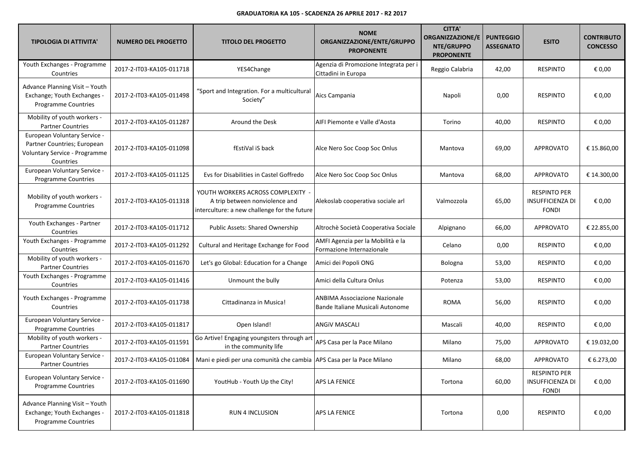| <b>TIPOLOGIA DI ATTIVITA'</b>                                                                             | <b>NUMERO DEL PROGETTO</b> | <b>TITOLO DEL PROGETTO</b>                                                                                          | <b>NOME</b><br>ORGANIZZAZIONE/ENTE/GRUPPO<br><b>PROPONENTE</b>           | <b>CITTA'</b><br><b>ORGANIZZAZIONE/E</b><br>NTE/GRUPPO<br><b>PROPONENTE</b> | <b>PUNTEGGIO</b><br><b>ASSEGNATO</b> | <b>ESITO</b>                                                   | <b>CONTRIBUTO</b><br><b>CONCESSO</b> |
|-----------------------------------------------------------------------------------------------------------|----------------------------|---------------------------------------------------------------------------------------------------------------------|--------------------------------------------------------------------------|-----------------------------------------------------------------------------|--------------------------------------|----------------------------------------------------------------|--------------------------------------|
| Youth Exchanges - Programme<br>Countries                                                                  | 2017-2-IT03-KA105-011718   | YES4Change                                                                                                          | Agenzia di Promozione Integrata per i<br>Cittadini in Europa             | Reggio Calabria                                                             | 42,00                                | <b>RESPINTO</b>                                                | € 0,00                               |
| Advance Planning Visit - Youth<br>Exchange; Youth Exchanges -<br><b>Programme Countries</b>               | 2017-2-IT03-KA105-011498   | "Sport and Integration. For a multicultural<br>Society"                                                             | Aics Campania                                                            | Napoli                                                                      | 0,00                                 | <b>RESPINTO</b>                                                | € 0,00                               |
| Mobility of youth workers -<br><b>Partner Countries</b>                                                   | 2017-2-IT03-KA105-011287   | Around the Desk                                                                                                     | AIFI Piemonte e Valle d'Aosta                                            | Torino                                                                      | 40,00                                | <b>RESPINTO</b>                                                | € 0,00                               |
| European Voluntary Service -<br>Partner Countries; European<br>Voluntary Service - Programme<br>Countries | 2017-2-IT03-KA105-011098   | fEstiVal iS back                                                                                                    | Alce Nero Soc Coop Soc Onlus                                             | Mantova                                                                     | 69,00                                | APPROVATO                                                      | € 15.860,00                          |
| European Voluntary Service -<br><b>Programme Countries</b>                                                | 2017-2-IT03-KA105-011125   | Evs for Disabilities in Castel Goffredo                                                                             | Alce Nero Soc Coop Soc Onlus                                             | Mantova                                                                     | 68,00                                | APPROVATO                                                      | € 14.300,00                          |
| Mobility of youth workers -<br><b>Programme Countries</b>                                                 | 2017-2-IT03-KA105-011318   | YOUTH WORKERS ACROSS COMPLEXITY -<br>A trip between nonviolence and<br>interculture: a new challenge for the future | Alekoslab cooperativa sociale arl                                        | Valmozzola                                                                  | 65,00                                | <b>RESPINTO PER</b><br><b>INSUFFICIENZA DI</b><br><b>FONDI</b> | € 0,00                               |
| Youth Exchanges - Partner<br>Countries                                                                    | 2017-2-IT03-KA105-011712   | Public Assets: Shared Ownership                                                                                     | Altrochè Società Cooperativa Sociale                                     | Alpignano                                                                   | 66,00                                | <b>APPROVATO</b>                                               | € 22.855,00                          |
| Youth Exchanges - Programme<br>Countries                                                                  | 2017-2-IT03-KA105-011292   | Cultural and Heritage Exchange for Food                                                                             | AMFI Agenzia per la Mobilità e la<br>Formazione Internazionale           | Celano                                                                      | 0,00                                 | <b>RESPINTO</b>                                                | € 0,00                               |
| Mobility of youth workers -<br><b>Partner Countries</b>                                                   | 2017-2-IT03-KA105-011670   | Let's go Global: Education for a Change                                                                             | Amici dei Popoli ONG                                                     | Bologna                                                                     | 53,00                                | <b>RESPINTO</b>                                                | € 0,00                               |
| Youth Exchanges - Programme<br>Countries                                                                  | 2017-2-IT03-KA105-011416   | Unmount the bully                                                                                                   | Amici della Cultura Onlus                                                | Potenza                                                                     | 53,00                                | <b>RESPINTO</b>                                                | € 0,00                               |
| Youth Exchanges - Programme<br>Countries                                                                  | 2017-2-IT03-KA105-011738   | Cittadinanza in Musica!                                                                                             | <b>ANBIMA Associazione Nazionale</b><br>Bande Italiane Musicali Autonome | <b>ROMA</b>                                                                 | 56,00                                | <b>RESPINTO</b>                                                | € 0,00                               |
| European Voluntary Service -<br>Programme Countries                                                       | 2017-2-IT03-KA105-011817   | Open Island!                                                                                                        | <b>ANGIV MASCALI</b>                                                     | Mascali                                                                     | 40,00                                | <b>RESPINTO</b>                                                | € 0,00                               |
| Mobility of youth workers -<br><b>Partner Countries</b>                                                   | 2017-2-IT03-KA105-011591   | Go Artive! Engaging youngsters through art<br>in the community life                                                 | APS Casa per la Pace Milano                                              | Milano                                                                      | 75,00                                | APPROVATO                                                      | € 19.032,00                          |
| European Voluntary Service -<br><b>Partner Countries</b>                                                  | 2017-2-IT03-KA105-011084   | Mani e piedi per una comunità che cambia APS Casa per la Pace Milano                                                |                                                                          | Milano                                                                      | 68,00                                | <b>APPROVATO</b>                                               | € 6.273,00                           |
| European Voluntary Service -<br><b>Programme Countries</b>                                                | 2017-2-IT03-KA105-011690   | YoutHub - Youth Up the City!                                                                                        | <b>APS LA FENICE</b>                                                     | Tortona                                                                     | 60,00                                | <b>RESPINTO PER</b><br><b>INSUFFICIENZA DI</b><br><b>FONDI</b> | € 0,00                               |
| Advance Planning Visit - Youth<br>Exchange; Youth Exchanges -<br><b>Programme Countries</b>               | 2017-2-IT03-KA105-011818   | <b>RUN 4 INCLUSION</b>                                                                                              | <b>APS LA FENICE</b>                                                     | Tortona                                                                     | 0,00                                 | <b>RESPINTO</b>                                                | € 0,00                               |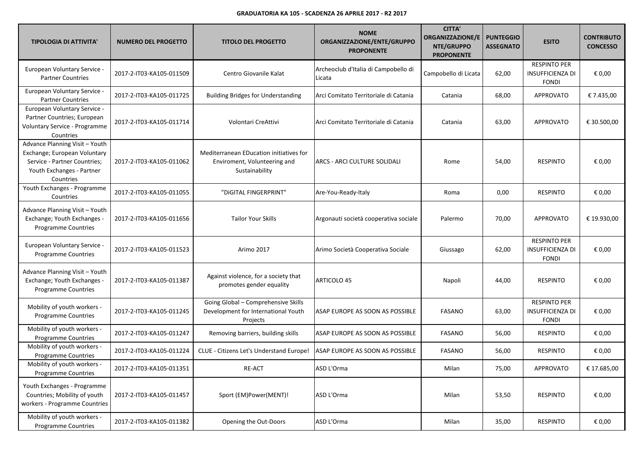| <b>TIPOLOGIA DI ATTIVITA'</b>                                                                                                            | <b>NUMERO DEL PROGETTO</b> | <b>TITOLO DEL PROGETTO</b>                                                                | <b>NOME</b><br>ORGANIZZAZIONE/ENTE/GRUPPO<br><b>PROPONENTE</b> | <b>CITTA'</b><br><b>ORGANIZZAZIONE/E</b><br>NTE/GRUPPO<br><b>PROPONENTE</b> | <b>PUNTEGGIO</b><br><b>ASSEGNATO</b> | <b>ESITO</b>                                                   | <b>CONTRIBUTO</b><br><b>CONCESSO</b> |
|------------------------------------------------------------------------------------------------------------------------------------------|----------------------------|-------------------------------------------------------------------------------------------|----------------------------------------------------------------|-----------------------------------------------------------------------------|--------------------------------------|----------------------------------------------------------------|--------------------------------------|
| European Voluntary Service -<br><b>Partner Countries</b>                                                                                 | 2017-2-IT03-KA105-011509   | Centro Giovanile Kalat                                                                    | Archeoclub d'Italia di Campobello di<br>Licata                 | Campobello di Licata                                                        | 62,00                                | <b>RESPINTO PER</b><br><b>INSUFFICIENZA DI</b><br><b>FONDI</b> | € 0,00                               |
| European Voluntary Service -<br><b>Partner Countries</b>                                                                                 | 2017-2-IT03-KA105-011725   | <b>Building Bridges for Understanding</b>                                                 | Arci Comitato Territoriale di Catania                          | Catania                                                                     | 68,00                                | <b>APPROVATO</b>                                               | € 7.435,00                           |
| European Voluntary Service -<br>Partner Countries; European<br>Voluntary Service - Programme<br>Countries                                | 2017-2-IT03-KA105-011714   | Volontari CreAttivi                                                                       | Arci Comitato Territoriale di Catania                          | Catania                                                                     | 63,00                                | <b>APPROVATO</b>                                               | € 30.500,00                          |
| Advance Planning Visit - Youth<br>Exchange; European Voluntary<br>Service - Partner Countries;<br>Youth Exchanges - Partner<br>Countries | 2017-2-IT03-KA105-011062   | Mediterranean EDucation initiatives for<br>Enviroment, Volunteering and<br>Sustainability | ARCS - ARCI CULTURE SOLIDALI                                   | Rome                                                                        | 54,00                                | <b>RESPINTO</b>                                                | € 0,00                               |
| Youth Exchanges - Programme<br>Countries                                                                                                 | 2017-2-IT03-KA105-011055   | "DIGITAL FINGERPRINT"                                                                     | Are-You-Ready-Italy                                            | Roma                                                                        | 0,00                                 | <b>RESPINTO</b>                                                | € 0,00                               |
| Advance Planning Visit - Youth<br>Exchange; Youth Exchanges -<br><b>Programme Countries</b>                                              | 2017-2-IT03-KA105-011656   | <b>Tailor Your Skills</b>                                                                 | Argonauti società cooperativa sociale                          | Palermo                                                                     | 70,00                                | <b>APPROVATO</b>                                               | € 19.930,00                          |
| European Voluntary Service -<br>Programme Countries                                                                                      | 2017-2-IT03-KA105-011523   | Arimo 2017                                                                                | Arimo Società Cooperativa Sociale                              | Giussago                                                                    | 62,00                                | <b>RESPINTO PER</b><br><b>INSUFFICIENZA DI</b><br><b>FONDI</b> | € 0,00                               |
| Advance Planning Visit - Youth<br>Exchange; Youth Exchanges -<br>Programme Countries                                                     | 2017-2-IT03-KA105-011387   | Against violence, for a society that<br>promotes gender equality                          | ARTICOLO 45                                                    | Napoli                                                                      | 44,00                                | <b>RESPINTO</b>                                                | € 0,00                               |
| Mobility of youth workers -<br>Programme Countries                                                                                       | 2017-2-IT03-KA105-011245   | Going Global - Comprehensive Skills<br>Development for International Youth<br>Projects    | IASAP EUROPE AS SOON AS POSSIBLE                               | <b>FASANO</b>                                                               | 63,00                                | <b>RESPINTO PER</b><br><b>INSUFFICIENZA DI</b><br><b>FONDI</b> | € 0,00                               |
| Mobility of youth workers -<br>Programme Countries                                                                                       | 2017-2-IT03-KA105-011247   | Removing barriers, building skills                                                        | ASAP EUROPE AS SOON AS POSSIBLE                                | <b>FASANO</b>                                                               | 56,00                                | <b>RESPINTO</b>                                                | € 0,00                               |
| Mobility of youth workers -<br>Programme Countries                                                                                       | 2017-2-IT03-KA105-011224   | <b>CLUE - Citizens Let's Understand Europe!</b>                                           | ASAP EUROPE AS SOON AS POSSIBLE                                | FASANO                                                                      | 56,00                                | <b>RESPINTO</b>                                                | € 0,00                               |
| Mobility of youth workers -<br>Programme Countries                                                                                       | 2017-2-IT03-KA105-011351   | RE-ACT                                                                                    | ASD L'Orma                                                     | Milan                                                                       | 75,00                                | APPROVATO                                                      | € 17.685,00                          |
| Youth Exchanges - Programme<br>Countries; Mobility of youth<br>workers - Programme Countries                                             | 2017-2-IT03-KA105-011457   | Sport (EM)Power(MENT)!                                                                    | ASD L'Orma                                                     | Milan                                                                       | 53,50                                | <b>RESPINTO</b>                                                | € 0,00                               |
| Mobility of youth workers -<br><b>Programme Countries</b>                                                                                | 2017-2-IT03-KA105-011382   | Opening the Out-Doors                                                                     | ASD L'Orma                                                     | Milan                                                                       | 35,00                                | <b>RESPINTO</b>                                                | € 0,00                               |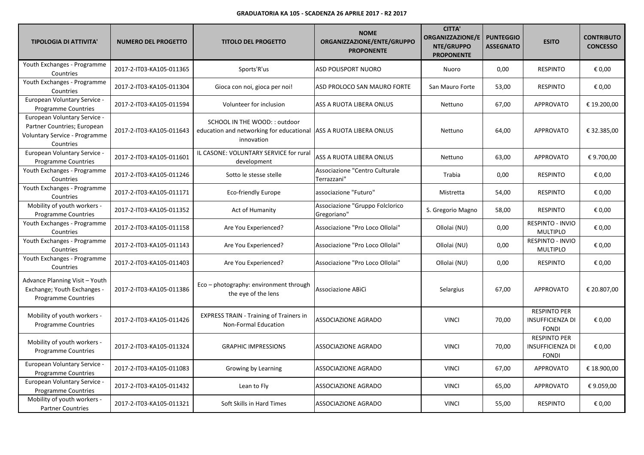| <b>TIPOLOGIA DI ATTIVITA'</b>                                                                             | <b>NUMERO DEL PROGETTO</b> | <b>TITOLO DEL PROGETTO</b>                                                              | <b>NOME</b><br>ORGANIZZAZIONE/ENTE/GRUPPO<br><b>PROPONENTE</b> | <b>CITTA'</b><br><b>ORGANIZZAZIONE/E</b><br>NTE/GRUPPO<br><b>PROPONENTE</b> | <b>PUNTEGGIO</b><br><b>ASSEGNATO</b> | <b>ESITO</b>                                                   | <b>CONTRIBUTO</b><br><b>CONCESSO</b> |
|-----------------------------------------------------------------------------------------------------------|----------------------------|-----------------------------------------------------------------------------------------|----------------------------------------------------------------|-----------------------------------------------------------------------------|--------------------------------------|----------------------------------------------------------------|--------------------------------------|
| Youth Exchanges - Programme<br>Countries                                                                  | 2017-2-IT03-KA105-011365   | Sports'R'us                                                                             | ASD POLISPORT NUORO                                            | Nuoro                                                                       | 0,00                                 | <b>RESPINTO</b>                                                | $\epsilon$ 0,00                      |
| Youth Exchanges - Programme<br>Countries                                                                  | 2017-2-IT03-KA105-011304   | Gioca con noi, gioca per noi!                                                           | ASD PROLOCO SAN MAURO FORTE                                    | San Mauro Forte                                                             | 53,00                                | <b>RESPINTO</b>                                                | € 0,00                               |
| European Voluntary Service -<br><b>Programme Countries</b>                                                | 2017-2-IT03-KA105-011594   | Volunteer for inclusion                                                                 | ASS A RUOTA LIBERA ONLUS                                       | Nettuno                                                                     | 67,00                                | <b>APPROVATO</b>                                               | € 19.200,00                          |
| European Voluntary Service -<br>Partner Countries; European<br>Voluntary Service - Programme<br>Countries | 2017-2-IT03-KA105-011643   | SCHOOL IN THE WOOD: : outdoor<br>education and networking for educational<br>innovation | ASS A RUOTA LIBERA ONLUS                                       | Nettuno                                                                     | 64,00                                | <b>APPROVATO</b>                                               | € 32.385,00                          |
| European Voluntary Service -<br><b>Programme Countries</b>                                                | 2017-2-IT03-KA105-011601   | IL CASONE: VOLUNTARY SERVICE for rural<br>development                                   | ASS A RUOTA LIBERA ONLUS                                       | Nettuno                                                                     | 63,00                                | <b>APPROVATO</b>                                               | € 9.700,00                           |
| Youth Exchanges - Programme<br>Countries                                                                  | 2017-2-IT03-KA105-011246   | Sotto le stesse stelle                                                                  | Associazione "Centro Culturale<br>Terrazzani"                  | Trabia                                                                      | 0,00                                 | <b>RESPINTO</b>                                                | € 0,00                               |
| Youth Exchanges - Programme<br>Countries                                                                  | 2017-2-IT03-KA105-011171   | Eco-friendly Europe                                                                     | associazione "Futuro"                                          | Mistretta                                                                   | 54,00                                | <b>RESPINTO</b>                                                | € 0,00                               |
| Mobility of youth workers -<br><b>Programme Countries</b>                                                 | 2017-2-IT03-KA105-011352   | Act of Humanity                                                                         | Associazione "Gruppo Folclorico<br>Gregoriano"                 | S. Gregorio Magno                                                           | 58,00                                | <b>RESPINTO</b>                                                | € 0,00                               |
| Youth Exchanges - Programme<br>Countries                                                                  | 2017-2-IT03-KA105-011158   | Are You Experienced?                                                                    | Associazione "Pro Loco Ollolai"                                | Ollolai (NU)                                                                | 0,00                                 | RESPINTO - INVIO<br><b>MULTIPLO</b>                            | € 0,00                               |
| Youth Exchanges - Programme<br>Countries                                                                  | 2017-2-IT03-KA105-011143   | Are You Experienced?                                                                    | Associazione "Pro Loco Ollolai"                                | Ollolai (NU)                                                                | 0,00                                 | RESPINTO - INVIO<br><b>MULTIPLO</b>                            | € 0,00                               |
| Youth Exchanges - Programme<br>Countries                                                                  | 2017-2-IT03-KA105-011403   | Are You Experienced?                                                                    | Associazione "Pro Loco Ollolai"                                | Ollolai (NU)                                                                | 0,00                                 | <b>RESPINTO</b>                                                | € 0,00                               |
| Advance Planning Visit - Youth<br>Exchange; Youth Exchanges -<br><b>Programme Countries</b>               | 2017-2-IT03-KA105-011386   | Eco - photography: environment through<br>the eye of the lens                           | Associazione ABICI                                             | Selargius                                                                   | 67,00                                | <b>APPROVATO</b>                                               | € 20.807,00                          |
| Mobility of youth workers -<br><b>Programme Countries</b>                                                 | 2017-2-IT03-KA105-011426   | <b>EXPRESS TRAIN - Training of Trainers in</b><br>Non-Formal Education                  | ASSOCIAZIONE AGRADO                                            | <b>VINCI</b>                                                                | 70,00                                | <b>RESPINTO PER</b><br><b>INSUFFICIENZA DI</b><br><b>FONDI</b> | € 0,00                               |
| Mobility of youth workers -<br><b>Programme Countries</b>                                                 | 2017-2-IT03-KA105-011324   | <b>GRAPHIC IMPRESSIONS</b>                                                              | ASSOCIAZIONE AGRADO                                            | <b>VINCI</b>                                                                | 70,00                                | <b>RESPINTO PER</b><br>INSUFFICIENZA DI<br><b>FONDI</b>        | € 0,00                               |
| European Voluntary Service -<br><b>Programme Countries</b>                                                | 2017-2-IT03-KA105-011083   | Growing by Learning                                                                     | ASSOCIAZIONE AGRADO                                            | <b>VINCI</b>                                                                | 67,00                                | <b>APPROVATO</b>                                               | € 18.900,00                          |
| European Voluntary Service -<br>Programme Countries                                                       | 2017-2-IT03-KA105-011432   | Lean to Fly                                                                             | <b>ASSOCIAZIONE AGRADO</b>                                     | <b>VINCI</b>                                                                | 65,00                                | <b>APPROVATO</b>                                               | €9.059,00                            |
| Mobility of youth workers -<br><b>Partner Countries</b>                                                   | 2017-2-IT03-KA105-011321   | Soft Skills in Hard Times                                                               | ASSOCIAZIONE AGRADO                                            | <b>VINCI</b>                                                                | 55,00                                | <b>RESPINTO</b>                                                | € 0,00                               |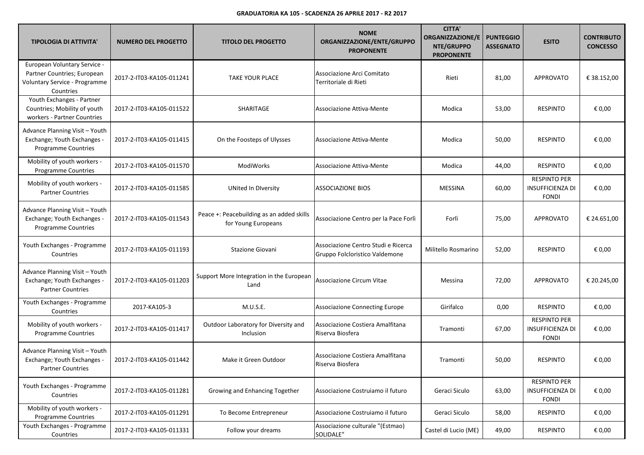| <b>TIPOLOGIA DI ATTIVITA'</b>                                                                             | <b>NUMERO DEL PROGETTO</b> | <b>TITOLO DEL PROGETTO</b>                                       | <b>NOME</b><br>ORGANIZZAZIONE/ENTE/GRUPPO<br><b>PROPONENTE</b>        | <b>CITTA'</b><br><b>ORGANIZZAZIONE/E</b><br>NTE/GRUPPO<br><b>PROPONENTE</b> | <b>PUNTEGGIO</b><br><b>ASSEGNATO</b> | <b>ESITO</b>                                                   | <b>CONTRIBUTO</b><br><b>CONCESSO</b> |
|-----------------------------------------------------------------------------------------------------------|----------------------------|------------------------------------------------------------------|-----------------------------------------------------------------------|-----------------------------------------------------------------------------|--------------------------------------|----------------------------------------------------------------|--------------------------------------|
| European Voluntary Service -<br>Partner Countries; European<br>Voluntary Service - Programme<br>Countries | 2017-2-IT03-KA105-011241   | <b>TAKE YOUR PLACE</b>                                           | Associazione Arci Comitato<br>Territoriale di Rieti                   | Rieti                                                                       | 81,00                                | <b>APPROVATO</b>                                               | € 38.152,00                          |
| Youth Exchanges - Partner<br>Countries; Mobility of youth<br>workers - Partner Countries                  | 2017-2-IT03-KA105-011522   | SHARITAGE                                                        | Associazione Attiva-Mente                                             | Modica                                                                      | 53,00                                | <b>RESPINTO</b>                                                | € 0,00                               |
| Advance Planning Visit - Youth<br>Exchange; Youth Exchanges -<br>Programme Countries                      | 2017-2-IT03-KA105-011415   | On the Foosteps of Ulysses                                       | Associazione Attiva-Mente                                             | Modica                                                                      | 50,00                                | <b>RESPINTO</b>                                                | € 0,00                               |
| Mobility of youth workers -<br>Programme Countries                                                        | 2017-2-IT03-KA105-011570   | ModiWorks                                                        | Associazione Attiva-Mente                                             | Modica                                                                      | 44,00                                | <b>RESPINTO</b>                                                | € 0,00                               |
| Mobility of youth workers -<br><b>Partner Countries</b>                                                   | 2017-2-IT03-KA105-011585   | <b>UNited In Diversity</b>                                       | <b>ASSOCIAZIONE BIOS</b>                                              | <b>MESSINA</b>                                                              | 60,00                                | <b>RESPINTO PER</b><br><b>INSUFFICIENZA DI</b><br><b>FONDI</b> | € 0,00                               |
| Advance Planning Visit - Youth<br>Exchange; Youth Exchanges -<br><b>Programme Countries</b>               | 2017-2-IT03-KA105-011543   | Peace +: Peacebuilding as an added skills<br>for Young Europeans | Associazione Centro per la Pace Forlì                                 | Forlì                                                                       | 75,00                                | <b>APPROVATO</b>                                               | € 24.651,00                          |
| Youth Exchanges - Programme<br>Countries                                                                  | 2017-2-IT03-KA105-011193   | <b>Stazione Giovani</b>                                          | Associazione Centro Studi e Ricerca<br>Gruppo Folcloristico Valdemone | Militello Rosmarino                                                         | 52,00                                | <b>RESPINTO</b>                                                | € 0,00                               |
| Advance Planning Visit - Youth<br>Exchange; Youth Exchanges -<br><b>Partner Countries</b>                 | 2017-2-IT03-KA105-011203   | Support More Integration in the European<br>Land                 | Associazione Circum Vitae                                             | Messina                                                                     | 72,00                                | <b>APPROVATO</b>                                               | € 20.245,00                          |
| Youth Exchanges - Programme<br>Countries                                                                  | 2017-KA105-3               | M.U.S.E.                                                         | Associazione Connecting Europe                                        | Girifalco                                                                   | 0,00                                 | <b>RESPINTO</b>                                                | € 0,00                               |
| Mobility of youth workers -<br><b>Programme Countries</b>                                                 | 2017-2-IT03-KA105-011417   | Outdoor Laboratory for Diversity and<br>Inclusion                | Associazione Costiera Amalfitana<br>Riserva Biosfera                  | Tramonti                                                                    | 67,00                                | <b>RESPINTO PER</b><br><b>INSUFFICIENZA DI</b><br><b>FONDI</b> | € 0,00                               |
| Advance Planning Visit - Youth<br>Exchange; Youth Exchanges -<br><b>Partner Countries</b>                 | 2017-2-IT03-KA105-011442   | Make it Green Outdoor                                            | Associazione Costiera Amalfitana<br>Riserva Biosfera                  | Tramonti                                                                    | 50,00                                | <b>RESPINTO</b>                                                | € 0,00                               |
| Youth Exchanges - Programme<br>Countries                                                                  | 2017-2-IT03-KA105-011281   | Growing and Enhancing Together                                   | Associazione Costruiamo il futuro                                     | Geraci Siculo                                                               | 63,00                                | RESPINTO PER<br><b>INSUFFICIENZA DI</b><br><b>FONDI</b>        | € 0,00                               |
| Mobility of youth workers -<br>Programme Countries                                                        | 2017-2-IT03-KA105-011291   | To Become Entrepreneur                                           | Associazione Costruiamo il futuro                                     | Geraci Siculo                                                               | 58,00                                | RESPINTO                                                       | € 0,00                               |
| Youth Exchanges - Programme<br>Countries                                                                  | 2017-2-IT03-KA105-011331   | Follow your dreams                                               | Associazione culturale "(Estmao)<br>SOLIDALE"                         | Castel di Lucio (ME)                                                        | 49,00                                | RESPINTO                                                       | € 0,00                               |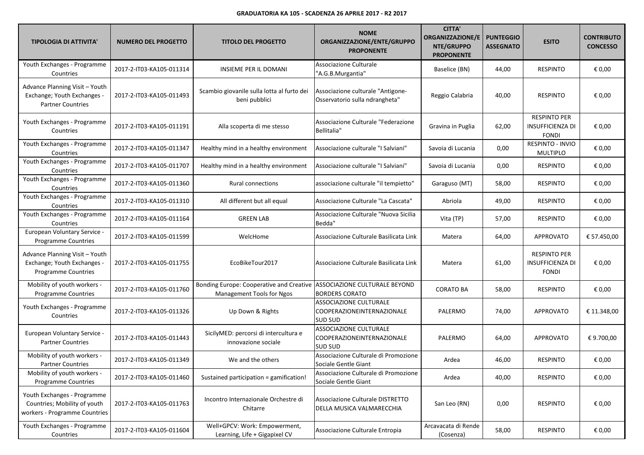| <b>TIPOLOGIA DI ATTIVITA'</b>                                                                | <b>NUMERO DEL PROGETTO</b> | <b>TITOLO DEL PROGETTO</b>                                            | <b>NOME</b><br>ORGANIZZAZIONE/ENTE/GRUPPO<br><b>PROPONENTE</b>         | <b>CITTA'</b><br>ORGANIZZAZIONE/E<br>NTE/GRUPPO<br><b>PROPONENTE</b> | <b>PUNTEGGIO</b><br><b>ASSEGNATO</b> | <b>ESITO</b>                                                   | <b>CONTRIBUTO</b><br><b>CONCESSO</b> |
|----------------------------------------------------------------------------------------------|----------------------------|-----------------------------------------------------------------------|------------------------------------------------------------------------|----------------------------------------------------------------------|--------------------------------------|----------------------------------------------------------------|--------------------------------------|
| Youth Exchanges - Programme<br>Countries                                                     | 2017-2-IT03-KA105-011314   | <b>INSIEME PER IL DOMANI</b>                                          | Associazione Culturale<br>"A.G.B.Murgantia"                            | Baselice (BN)                                                        | 44,00                                | <b>RESPINTO</b>                                                | € 0,00                               |
| Advance Planning Visit - Youth<br>Exchange; Youth Exchanges -<br><b>Partner Countries</b>    | 2017-2-IT03-KA105-011493   | Scambio giovanile sulla lotta al furto dei<br>beni pubblici           | Associazione culturale "Antigone-<br>Osservatorio sulla ndrangheta"    | Reggio Calabria                                                      | 40,00                                | <b>RESPINTO</b>                                                | € 0,00                               |
| Youth Exchanges - Programme<br>Countries                                                     | 2017-2-IT03-KA105-011191   | Alla scoperta di me stesso                                            | Associazione Culturale "Federazione<br>Bellitalia"                     | Gravina in Puglia                                                    | 62,00                                | <b>RESPINTO PER</b><br><b>INSUFFICIENZA DI</b><br><b>FONDI</b> | € 0,00                               |
| Youth Exchanges - Programme<br>Countries                                                     | 2017-2-IT03-KA105-011347   | Healthy mind in a healthy environment                                 | Associazione culturale "I Salviani"                                    | Savoia di Lucania                                                    | 0,00                                 | RESPINTO - INVIO<br><b>MULTIPLO</b>                            | € 0,00                               |
| Youth Exchanges - Programme<br>Countries                                                     | 2017-2-IT03-KA105-011707   | Healthy mind in a healthy environment                                 | Associazione culturale "I Salviani"                                    | Savoia di Lucania                                                    | 0,00                                 | <b>RESPINTO</b>                                                | € 0,00                               |
| Youth Exchanges - Programme<br>Countries                                                     | 2017-2-IT03-KA105-011360   | Rural connections                                                     | associazione culturale "il tempietto"                                  | Garaguso (MT)                                                        | 58,00                                | <b>RESPINTO</b>                                                | € 0,00                               |
| Youth Exchanges - Programme<br>Countries                                                     | 2017-2-IT03-KA105-011310   | All different but all equal                                           | Associazione Culturale "La Cascata"                                    | Abriola                                                              | 49,00                                | <b>RESPINTO</b>                                                | € 0,00                               |
| Youth Exchanges - Programme<br>Countries                                                     | 2017-2-IT03-KA105-011164   | <b>GREEN LAB</b>                                                      | Associazione Culturale "Nuova Sicilia<br>Bedda"                        | Vita (TP)                                                            | 57,00                                | <b>RESPINTO</b>                                                | € 0,00                               |
| European Voluntary Service -<br>Programme Countries                                          | 2017-2-IT03-KA105-011599   | WelcHome                                                              | Associazione Culturale Basilicata Link                                 | Matera                                                               | 64,00                                | <b>APPROVATO</b>                                               | € 57.450,00                          |
| Advance Planning Visit - Youth<br>Exchange; Youth Exchanges -<br>Programme Countries         | 2017-2-IT03-KA105-011755   | EcoBikeTour2017                                                       | Associazione Culturale Basilicata Link                                 | Matera                                                               | 61,00                                | <b>RESPINTO PER</b><br><b>INSUFFICIENZA DI</b><br><b>FONDI</b> | € 0,00                               |
| Mobility of youth workers -<br><b>Programme Countries</b>                                    | 2017-2-IT03-KA105-011760   | Bonding Europe: Cooperative and Creative<br>Management Tools for Ngos | ASSOCIAZIONE CULTURALE BEYOND<br><b>BORDERS CORATO</b>                 | <b>CORATO BA</b>                                                     | 58,00                                | <b>RESPINTO</b>                                                | € 0,00                               |
| Youth Exchanges - Programme<br>Countries                                                     | 2017-2-IT03-KA105-011326   | Up Down & Rights                                                      | ASSOCIAZIONE CULTURALE<br>COOPERAZIONEINTERNAZIONALE<br><b>SUD SUD</b> | PALERMO                                                              | 74,00                                | <b>APPROVATO</b>                                               | € 11.348,00                          |
| European Voluntary Service -<br><b>Partner Countries</b>                                     | 2017-2-IT03-KA105-011443   | SicilyMED: percorsi di intercultura e<br>innovazione sociale          | ASSOCIAZIONE CULTURALE<br>COOPERAZIONEINTERNAZIONALE<br><b>SUD SUD</b> | PALERMO                                                              | 64,00                                | <b>APPROVATO</b>                                               | € 9.700,00                           |
| Mobility of youth workers -<br><b>Partner Countries</b>                                      | 2017-2-IT03-KA105-011349   | We and the others                                                     | Associazione Culturale di Promozione<br>Sociale Gentle Giant           | Ardea                                                                | 46,00                                | <b>RESPINTO</b>                                                | € 0,00                               |
| Mobility of youth workers -<br>Programme Countries                                           | 2017-2-IT03-KA105-011460   | Sustained participation = gamification!                               | Associazione Culturale di Promozione<br>Sociale Gentle Giant           | Ardea                                                                | 40,00                                | <b>RESPINTO</b>                                                | € 0,00                               |
| Youth Exchanges - Programme<br>Countries; Mobility of youth<br>workers - Programme Countries | 2017-2-IT03-KA105-011763   | Incontro Internazionale Orchestre di<br>Chitarre                      | Associazione Culturale DISTRETTO<br>DELLA MUSICA VALMARECCHIA          | San Leo (RN)                                                         | 0,00                                 | <b>RESPINTO</b>                                                | € 0,00                               |
| Youth Exchanges - Programme<br>Countries                                                     | 2017-2-IT03-KA105-011604   | Well+GPCV: Work: Empowerment,<br>Learning, Life + Gigapixel CV        | Associazione Culturale Entropia                                        | Arcavacata di Rende<br>(Cosenza)                                     | 58,00                                | <b>RESPINTO</b>                                                | € 0,00                               |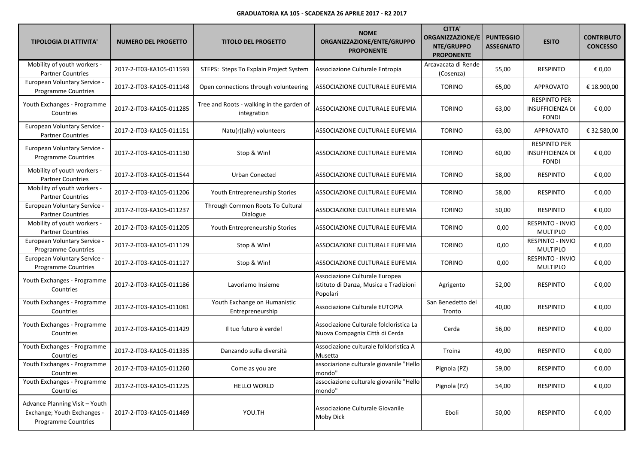| <b>TIPOLOGIA DI ATTIVITA'</b>                                                               | <b>NUMERO DEL PROGETTO</b> | <b>TITOLO DEL PROGETTO</b>                               | <b>NOME</b><br>ORGANIZZAZIONE/ENTE/GRUPPO<br><b>PROPONENTE</b>                       | <b>CITTA'</b><br><b>ORGANIZZAZIONE/E</b><br>NTE/GRUPPO<br><b>PROPONENTE</b> | <b>PUNTEGGIO</b><br><b>ASSEGNATO</b> | <b>ESITO</b>                                                   | <b>CONTRIBUTO</b><br><b>CONCESSO</b> |
|---------------------------------------------------------------------------------------------|----------------------------|----------------------------------------------------------|--------------------------------------------------------------------------------------|-----------------------------------------------------------------------------|--------------------------------------|----------------------------------------------------------------|--------------------------------------|
| Mobility of youth workers -<br><b>Partner Countries</b>                                     | 2017-2-IT03-KA105-011593   | STEPS: Steps To Explain Project System                   | Associazione Culturale Entropia                                                      | Arcavacata di Rende<br>(Cosenza)                                            | 55,00                                | <b>RESPINTO</b>                                                | € 0,00                               |
| European Voluntary Service -<br>Programme Countries                                         | 2017-2-IT03-KA105-011148   | Open connections through volunteering                    | ASSOCIAZIONE CULTURALE EUFEMIA                                                       | <b>TORINO</b>                                                               | 65,00                                | <b>APPROVATO</b>                                               | € 18.900,00                          |
| Youth Exchanges - Programme<br>Countries                                                    | 2017-2-IT03-KA105-011285   | Tree and Roots - walking in the garden of<br>integration | ASSOCIAZIONE CULTURALE EUFEMIA                                                       | <b>TORINO</b>                                                               | 63,00                                | <b>RESPINTO PER</b><br><b>INSUFFICIENZA DI</b><br><b>FONDI</b> | € 0,00                               |
| European Voluntary Service -<br><b>Partner Countries</b>                                    | 2017-2-IT03-KA105-011151   | Natu(r)(ally) volunteers                                 | ASSOCIAZIONE CULTURALE EUFEMIA                                                       | <b>TORINO</b>                                                               | 63,00                                | APPROVATO                                                      | € 32.580,00                          |
| European Voluntary Service -<br>Programme Countries                                         | 2017-2-IT03-KA105-011130   | Stop & Win!                                              | ASSOCIAZIONE CULTURALE EUFEMIA                                                       | <b>TORINO</b>                                                               | 60,00                                | <b>RESPINTO PER</b><br><b>INSUFFICIENZA DI</b><br><b>FONDI</b> | € 0,00                               |
| Mobility of youth workers -<br><b>Partner Countries</b>                                     | 2017-2-IT03-KA105-011544   | Urban Conected                                           | ASSOCIAZIONE CULTURALE EUFEMIA                                                       | <b>TORINO</b>                                                               | 58,00                                | <b>RESPINTO</b>                                                | € 0,00                               |
| Mobility of youth workers -<br><b>Partner Countries</b>                                     | 2017-2-IT03-KA105-011206   | Youth Entrepreneurship Stories                           | ASSOCIAZIONE CULTURALE EUFEMIA                                                       | <b>TORINO</b>                                                               | 58,00                                | <b>RESPINTO</b>                                                | € 0,00                               |
| European Voluntary Service -<br><b>Partner Countries</b>                                    | 2017-2-IT03-KA105-011237   | Through Common Roots To Cultural<br>Dialogue             | ASSOCIAZIONE CULTURALE EUFEMIA                                                       | <b>TORINO</b>                                                               | 50,00                                | <b>RESPINTO</b>                                                | € 0,00                               |
| Mobility of youth workers -<br><b>Partner Countries</b>                                     | 2017-2-IT03-KA105-011205   | Youth Entrepreneurship Stories                           | ASSOCIAZIONE CULTURALE EUFEMIA                                                       | <b>TORINO</b>                                                               | 0,00                                 | RESPINTO - INVIO<br><b>MULTIPLO</b>                            | € 0,00                               |
| European Voluntary Service -<br>Programme Countries                                         | 2017-2-IT03-KA105-011129   | Stop & Win!                                              | ASSOCIAZIONE CULTURALE EUFEMIA                                                       | <b>TORINO</b>                                                               | 0,00                                 | RESPINTO - INVIO<br><b>MULTIPLO</b>                            | € 0,00                               |
| European Voluntary Service -<br>Programme Countries                                         | 2017-2-IT03-KA105-011127   | Stop & Win!                                              | ASSOCIAZIONE CULTURALE EUFEMIA                                                       | <b>TORINO</b>                                                               | 0,00                                 | RESPINTO - INVIO<br><b>MULTIPLO</b>                            | € 0,00                               |
| Youth Exchanges - Programme<br>Countries                                                    | 2017-2-IT03-KA105-011186   | Lavoriamo Insieme                                        | Associazione Culturale Europea<br>Istituto di Danza, Musica e Tradizioni<br>Popolari | Agrigento                                                                   | 52,00                                | <b>RESPINTO</b>                                                | € 0,00                               |
| Youth Exchanges - Programme<br>Countries                                                    | 2017-2-IT03-KA105-011081   | Youth Exchange on Humanistic<br>Entrepreneurship         | Associazione Culturale EUTOPIA                                                       | San Benedetto del<br>Tronto                                                 | 40,00                                | <b>RESPINTO</b>                                                | € 0,00                               |
| Youth Exchanges - Programme<br>Countries                                                    | 2017-2-IT03-KA105-011429   | Il tuo futuro è verde!                                   | Associazione Culturale folcloristica La<br>Nuova Compagnia Città di Cerda            | Cerda                                                                       | 56,00                                | <b>RESPINTO</b>                                                | € 0,00                               |
| Youth Exchanges - Programme<br>Countries                                                    | 2017-2-IT03-KA105-011335   | Danzando sulla diversità                                 | Associazione culturale folkloristica A<br>Musetta                                    | Troina                                                                      | 49,00                                | <b>RESPINTO</b>                                                | € 0,00                               |
| Youth Exchanges - Programme<br>Countries                                                    | 2017-2-IT03-KA105-011260   | Come as you are                                          | associazione culturale giovanile "Hello<br>mondo"                                    | Pignola (PZ)                                                                | 59,00                                | <b>RESPINTO</b>                                                | € 0,00                               |
| Youth Exchanges - Programme<br>Countries                                                    | 2017-2-IT03-KA105-011225   | HELLO WORLD                                              | associazione culturale giovanile "Hello<br>mondo"                                    | Pignola (PZ)                                                                | 54,00                                | <b>RESPINTO</b>                                                | € 0,00                               |
| Advance Planning Visit - Youth<br>Exchange; Youth Exchanges -<br><b>Programme Countries</b> | 2017-2-IT03-KA105-011469   | YOU.TH                                                   | Associazione Culturale Giovanile<br>Moby Dick                                        | Eboli                                                                       | 50,00                                | <b>RESPINTO</b>                                                | € 0,00                               |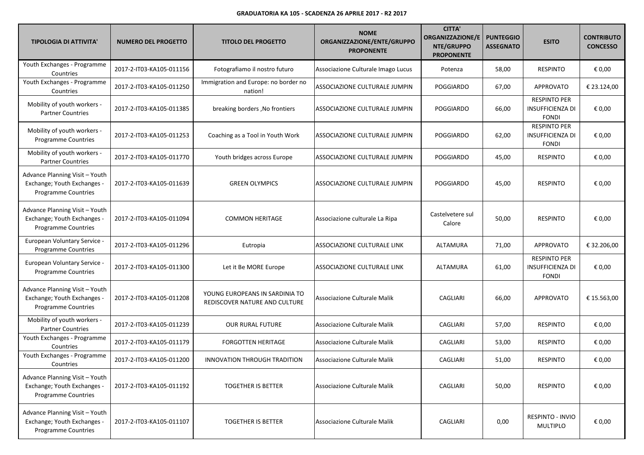| <b>TIPOLOGIA DI ATTIVITA'</b>                                                               | <b>NUMERO DEL PROGETTO</b> | <b>TITOLO DEL PROGETTO</b>                                      | <b>NOME</b><br>ORGANIZZAZIONE/ENTE/GRUPPO<br><b>PROPONENTE</b> | <b>CITTA'</b><br><b>ORGANIZZAZIONE/E</b><br>NTE/GRUPPO<br><b>PROPONENTE</b> | <b>PUNTEGGIO</b><br><b>ASSEGNATO</b> | <b>ESITO</b>                                                   | <b>CONTRIBUTO</b><br><b>CONCESSO</b> |
|---------------------------------------------------------------------------------------------|----------------------------|-----------------------------------------------------------------|----------------------------------------------------------------|-----------------------------------------------------------------------------|--------------------------------------|----------------------------------------------------------------|--------------------------------------|
| Youth Exchanges - Programme<br>Countries                                                    | 2017-2-IT03-KA105-011156   | Fotografiamo il nostro futuro                                   | Associazione Culturale Imago Lucus                             | Potenza                                                                     | 58,00                                | <b>RESPINTO</b>                                                | € 0,00                               |
| Youth Exchanges - Programme<br>Countries                                                    | 2017-2-IT03-KA105-011250   | Immigration and Europe: no border no<br>nation!                 | ASSOCIAZIONE CULTURALE JUMPIN                                  | POGGIARDO                                                                   | 67,00                                | <b>APPROVATO</b>                                               | € 23.124,00                          |
| Mobility of youth workers -<br><b>Partner Countries</b>                                     | 2017-2-IT03-KA105-011385   | breaking borders, No frontiers                                  | ASSOCIAZIONE CULTURALE JUMPIN                                  | <b>POGGIARDO</b>                                                            | 66,00                                | <b>RESPINTO PER</b><br><b>INSUFFICIENZA DI</b><br><b>FONDI</b> | € 0,00                               |
| Mobility of youth workers -<br>Programme Countries                                          | 2017-2-IT03-KA105-011253   | Coaching as a Tool in Youth Work                                | ASSOCIAZIONE CULTURALE JUMPIN                                  | POGGIARDO                                                                   | 62,00                                | <b>RESPINTO PER</b><br><b>INSUFFICIENZA DI</b><br><b>FONDI</b> | € 0,00                               |
| Mobility of youth workers -<br><b>Partner Countries</b>                                     | 2017-2-IT03-KA105-011770   | Youth bridges across Europe                                     | ASSOCIAZIONE CULTURALE JUMPIN                                  | POGGIARDO                                                                   | 45,00                                | <b>RESPINTO</b>                                                | € 0,00                               |
| Advance Planning Visit - Youth<br>Exchange; Youth Exchanges -<br><b>Programme Countries</b> | 2017-2-IT03-KA105-011639   | <b>GREEN OLYMPICS</b>                                           | ASSOCIAZIONE CULTURALE JUMPIN                                  | POGGIARDO                                                                   | 45,00                                | <b>RESPINTO</b>                                                | € 0,00                               |
| Advance Planning Visit - Youth<br>Exchange; Youth Exchanges -<br>Programme Countries        | 2017-2-IT03-KA105-011094   | <b>COMMON HERITAGE</b>                                          | Associazione culturale La Ripa                                 | Castelvetere sul<br>Calore                                                  | 50,00                                | <b>RESPINTO</b>                                                | € 0,00                               |
| European Voluntary Service -<br>Programme Countries                                         | 2017-2-IT03-KA105-011296   | Eutropia                                                        | ASSOCIAZIONE CULTURALE LINK                                    | ALTAMURA                                                                    | 71,00                                | <b>APPROVATO</b>                                               | € 32.206,00                          |
| European Voluntary Service -<br><b>Programme Countries</b>                                  | 2017-2-IT03-KA105-011300   | Let it Be MORE Europe                                           | ASSOCIAZIONE CULTURALE LINK                                    | ALTAMURA                                                                    | 61,00                                | <b>RESPINTO PER</b><br><b>INSUFFICIENZA DI</b><br><b>FONDI</b> | € 0,00                               |
| Advance Planning Visit - Youth<br>Exchange; Youth Exchanges -<br>Programme Countries        | 2017-2-IT03-KA105-011208   | YOUNG EUROPEANS IN SARDINIA TO<br>REDISCOVER NATURE AND CULTURE | Associazione Culturale Malik                                   | CAGLIARI                                                                    | 66,00                                | <b>APPROVATO</b>                                               | € 15.563,00                          |
| Mobility of youth workers -<br><b>Partner Countries</b>                                     | 2017-2-IT03-KA105-011239   | <b>OUR RURAL FUTURE</b>                                         | Associazione Culturale Malik                                   | CAGLIARI                                                                    | 57,00                                | <b>RESPINTO</b>                                                | € 0,00                               |
| Youth Exchanges - Programme<br>Countries                                                    | 2017-2-IT03-KA105-011179   | <b>FORGOTTEN HERITAGE</b>                                       | Associazione Culturale Malik                                   | CAGLIARI                                                                    | 53,00                                | <b>RESPINTO</b>                                                | € 0,00                               |
| Youth Exchanges - Programme<br>Countries                                                    | 2017-2-IT03-KA105-011200   | INNOVATION THROUGH TRADITION                                    | Associazione Culturale Malik                                   | CAGLIARI                                                                    | 51,00                                | <b>RESPINTO</b>                                                | € 0,00                               |
| Advance Planning Visit - Youth<br>Exchange; Youth Exchanges -<br><b>Programme Countries</b> | 2017-2-IT03-KA105-011192   | <b>TOGETHER IS BETTER</b>                                       | Associazione Culturale Malik                                   | CAGLIARI                                                                    | 50,00                                | <b>RESPINTO</b>                                                | € 0,00                               |
| Advance Planning Visit - Youth<br>Exchange; Youth Exchanges -<br><b>Programme Countries</b> | 2017-2-IT03-KA105-011107   | <b>TOGETHER IS BETTER</b>                                       | Associazione Culturale Malik                                   | CAGLIARI                                                                    | 0,00                                 | RESPINTO - INVIO<br><b>MULTIPLO</b>                            | € 0,00                               |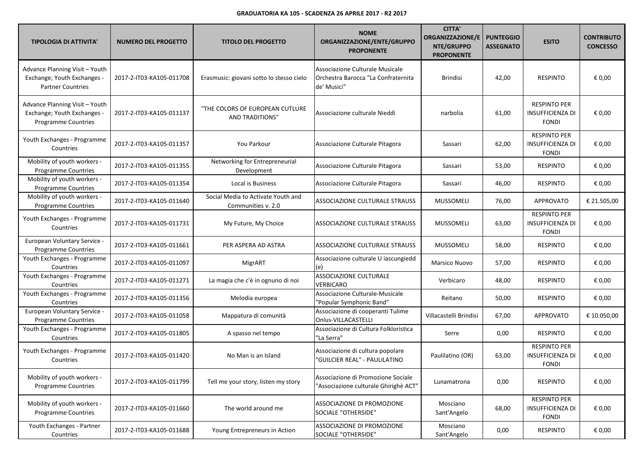| <b>TIPOLOGIA DI ATTIVITA'</b>                                                               | <b>NUMERO DEL PROGETTO</b> | <b>TITOLO DEL PROGETTO</b>                                | <b>NOME</b><br>ORGANIZZAZIONE/ENTE/GRUPPO<br><b>PROPONENTE</b>                        | <b>CITTA'</b><br><b>ORGANIZZAZIONE/E</b><br>NTE/GRUPPO<br><b>PROPONENTE</b> | <b>PUNTEGGIO</b><br><b>ASSEGNATO</b> | <b>ESITO</b>                                                   | <b>CONTRIBUTO</b><br><b>CONCESSO</b> |
|---------------------------------------------------------------------------------------------|----------------------------|-----------------------------------------------------------|---------------------------------------------------------------------------------------|-----------------------------------------------------------------------------|--------------------------------------|----------------------------------------------------------------|--------------------------------------|
| Advance Planning Visit - Youth<br>Exchange; Youth Exchanges -<br><b>Partner Countries</b>   | 2017-2-IT03-KA105-011708   | Erasmusic: giovani sotto lo stesso cielo                  | Associazione Culturale Musicale<br>Orchestra Barocca "La Confraternita<br>de' Musici" | <b>Brindisi</b>                                                             | 42,00                                | <b>RESPINTO</b>                                                | € 0,00                               |
| Advance Planning Visit - Youth<br>Exchange; Youth Exchanges -<br><b>Programme Countries</b> | 2017-2-IT03-KA105-011137   | "THE COLORS OF EUROPEAN CUTLURE<br><b>AND TRADITIONS"</b> | Associazione culturale Nieddì                                                         | narbolia                                                                    | 61,00                                | <b>RESPINTO PER</b><br><b>INSUFFICIENZA DI</b><br><b>FONDI</b> | € 0,00                               |
| Youth Exchanges - Programme<br>Countries                                                    | 2017-2-IT03-KA105-011357   | You Parkour                                               | Associazione Culturale Pitagora                                                       | Sassari                                                                     | 62,00                                | <b>RESPINTO PER</b><br><b>INSUFFICIENZA DI</b><br><b>FONDI</b> | € 0,00                               |
| Mobility of youth workers -<br><b>Programme Countries</b>                                   | 2017-2-IT03-KA105-011355   | Networking for Entrepreneurial<br>Development             | Associazione Culturale Pitagora                                                       | Sassari                                                                     | 53,00                                | <b>RESPINTO</b>                                                | € 0,00                               |
| Mobility of youth workers -<br>Programme Countries                                          | 2017-2-IT03-KA105-011354   | Local is Business                                         | Associazione Culturale Pitagora                                                       | Sassari                                                                     | 46,00                                | <b>RESPINTO</b>                                                | € 0,00                               |
| Mobility of youth workers -<br><b>Programme Countries</b>                                   | 2017-2-IT03-KA105-011640   | Social Media to Activate Youth and<br>Communities v. 2.0  | ASSOCIAZIONE CULTURALE STRAUSS                                                        | <b>MUSSOMELI</b>                                                            | 76,00                                | <b>APPROVATO</b>                                               | € 21.505,00                          |
| Youth Exchanges - Programme<br>Countries                                                    | 2017-2-IT03-KA105-011731   | My Future, My Choice                                      | ASSOCIAZIONE CULTURALE STRAUSS                                                        | <b>MUSSOMELI</b>                                                            | 63,00                                | <b>RESPINTO PER</b><br><b>INSUFFICIENZA DI</b><br><b>FONDI</b> | € 0,00                               |
| European Voluntary Service -<br>Programme Countries                                         | 2017-2-IT03-KA105-011661   | PER ASPERA AD ASTRA                                       | ASSOCIAZIONE CULTURALE STRAUSS                                                        | <b>MUSSOMELI</b>                                                            | 58,00                                | <b>RESPINTO</b>                                                | € 0,00                               |
| Youth Exchanges - Programme<br>Countries                                                    | 2017-2-IT03-KA105-011097   | MigrART                                                   | Associazione culturale U iascungiedd<br>(e)                                           | Marsico Nuovo                                                               | 57,00                                | <b>RESPINTO</b>                                                | € 0,00                               |
| Youth Exchanges - Programme<br>Countries                                                    | 2017-2-IT03-KA105-011271   | La magia che c'è in ognuno di noi                         | ASSOCIAZIONE CULTURALE<br>VERBICARO                                                   | Verbicaro                                                                   | 48,00                                | <b>RESPINTO</b>                                                | € 0,00                               |
| Youth Exchanges - Programme<br>Countries                                                    | 2017-2-IT03-KA105-011356   | Melodia europea                                           | Associazione Culturale-Musicale<br>"Popular Symphonic Band"                           | Reitano                                                                     | 50,00                                | <b>RESPINTO</b>                                                | € 0,00                               |
| European Voluntary Service -<br>Programme Countries                                         | 2017-2-IT03-KA105-011058   | Mappatura di comunità                                     | Associazione di cooperanti Tulime<br>Onlus-VILLACASTELLI                              | Villacastelli Brindisi                                                      | 67,00                                | <b>APPROVATO</b>                                               | € 10.050,00                          |
| Youth Exchanges - Programme<br>Countries                                                    | 2017-2-IT03-KA105-011805   | A spasso nel tempo                                        | Associazione di Cultura Folkloristica<br>'La Serra"                                   | Serre                                                                       | 0,00                                 | <b>RESPINTO</b>                                                | € 0,00                               |
| Youth Exchanges - Programme<br>Countries                                                    | 2017-2-IT03-KA105-011420   | No Man is an Island                                       | Associazione di cultura popolare<br>"GUILCIER REAL" - PAULILATINO                     | Paulilatino (OR)                                                            | 63,00                                | <b>RESPINTO PER</b><br><b>INSUFFICIENZA DI</b><br><b>FONDI</b> | € 0,00                               |
| Mobility of youth workers -<br>Programme Countries                                          | 2017-2-IT03-KA105-011799   | Tell me your story, listen my story                       | Associazione di Promozione Sociale<br>"Associazione culturale Ghirighè ACT"           | Lunamatrona                                                                 | 0,00                                 | <b>RESPINTO</b>                                                | € 0,00                               |
| Mobility of youth workers -<br><b>Programme Countries</b>                                   | 2017-2-IT03-KA105-011660   | The world around me                                       | ASSOCIAZIONE DI PROMOZIONE<br>SOCIALE "OTHERSIDE"                                     | Mosciano<br>Sant'Angelo                                                     | 68,00                                | <b>RESPINTO PER</b><br><b>INSUFFICIENZA DI</b><br><b>FONDI</b> | € 0,00                               |
| Youth Exchanges - Partner<br>Countries                                                      | 2017-2-IT03-KA105-011688   | Young Entrepreneurs in Action                             | ASSOCIAZIONE DI PROMOZIONE<br>SOCIALE "OTHERSIDE"                                     | Mosciano<br>Sant'Angelo                                                     | 0,00                                 | RESPINTO                                                       | € 0,00                               |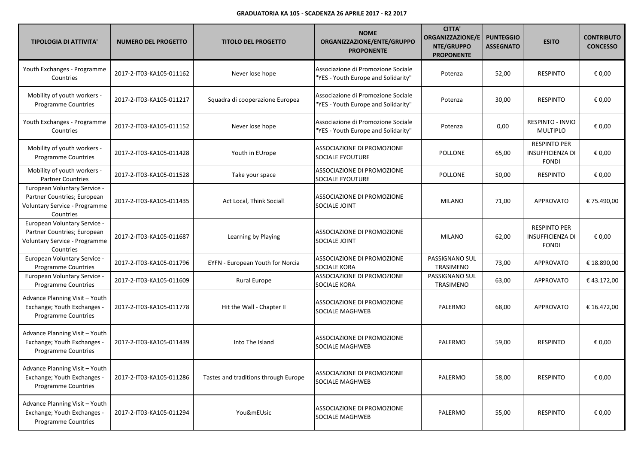| <b>TIPOLOGIA DI ATTIVITA'</b>                                                                             | <b>NUMERO DEL PROGETTO</b> | <b>TITOLO DEL PROGETTO</b>           | <b>NOME</b><br>ORGANIZZAZIONE/ENTE/GRUPPO<br><b>PROPONENTE</b>            | <b>CITTA'</b><br><b>ORGANIZZAZIONE/E</b><br>NTE/GRUPPO<br><b>PROPONENTE</b> | <b>PUNTEGGIO</b><br><b>ASSEGNATO</b> | <b>ESITO</b>                                                   | <b>CONTRIBUTO</b><br><b>CONCESSO</b> |
|-----------------------------------------------------------------------------------------------------------|----------------------------|--------------------------------------|---------------------------------------------------------------------------|-----------------------------------------------------------------------------|--------------------------------------|----------------------------------------------------------------|--------------------------------------|
| Youth Exchanges - Programme<br>Countries                                                                  | 2017-2-IT03-KA105-011162   | Never lose hope                      | Associazione di Promozione Sociale<br>"YES - Youth Europe and Solidarity" | Potenza                                                                     | 52,00                                | <b>RESPINTO</b>                                                | € 0,00                               |
| Mobility of youth workers -<br>Programme Countries                                                        | 2017-2-IT03-KA105-011217   | Squadra di cooperazione Europea      | Associazione di Promozione Sociale<br>"YES - Youth Europe and Solidarity" | Potenza                                                                     | 30,00                                | <b>RESPINTO</b>                                                | € 0,00                               |
| Youth Exchanges - Programme<br>Countries                                                                  | 2017-2-IT03-KA105-011152   | Never lose hope                      | Associazione di Promozione Sociale<br>"YES - Youth Europe and Solidarity" | Potenza                                                                     | 0,00                                 | RESPINTO - INVIO<br><b>MULTIPLO</b>                            | € 0,00                               |
| Mobility of youth workers -<br>Programme Countries                                                        | 2017-2-IT03-KA105-011428   | Youth in EUrope                      | ASSOCIAZIONE DI PROMOZIONE<br><b>SOCIALE FYOUTURE</b>                     | POLLONE                                                                     | 65,00                                | <b>RESPINTO PER</b><br><b>INSUFFICIENZA DI</b><br><b>FONDI</b> | € 0,00                               |
| Mobility of youth workers -<br><b>Partner Countries</b>                                                   | 2017-2-IT03-KA105-011528   | Take your space                      | ASSOCIAZIONE DI PROMOZIONE<br><b>SOCIALE FYOUTURE</b>                     | POLLONE                                                                     | 50,00                                | <b>RESPINTO</b>                                                | € 0,00                               |
| European Voluntary Service -<br>Partner Countries; European<br>Voluntary Service - Programme<br>Countries | 2017-2-IT03-KA105-011435   | Act Local, Think Social!             | ASSOCIAZIONE DI PROMOZIONE<br>SOCIALE JOINT                               | <b>MILANO</b>                                                               | 71,00                                | <b>APPROVATO</b>                                               | € 75.490,00                          |
| European Voluntary Service -<br>Partner Countries; European<br>Voluntary Service - Programme<br>Countries | 2017-2-IT03-KA105-011687   | Learning by Playing                  | ASSOCIAZIONE DI PROMOZIONE<br>SOCIALE JOINT                               | <b>MILANO</b>                                                               | 62,00                                | <b>RESPINTO PER</b><br><b>INSUFFICIENZA DI</b><br><b>FONDI</b> | € 0,00                               |
| European Voluntary Service -<br><b>Programme Countries</b>                                                | 2017-2-IT03-KA105-011796   | EYFN - European Youth for Norcia     | ASSOCIAZIONE DI PROMOZIONE<br><b>SOCIALE KORA</b>                         | PASSIGNANO SUL<br>TRASIMENO                                                 | 73,00                                | <b>APPROVATO</b>                                               | € 18.890,00                          |
| European Voluntary Service -<br><b>Programme Countries</b>                                                | 2017-2-IT03-KA105-011609   | <b>Rural Europe</b>                  | ASSOCIAZIONE DI PROMOZIONE<br><b>SOCIALE KORA</b>                         | PASSIGNANO SUL<br>TRASIMENO                                                 | 63,00                                | <b>APPROVATO</b>                                               | €43.172,00                           |
| Advance Planning Visit - Youth<br>Exchange; Youth Exchanges -<br>Programme Countries                      | 2017-2-IT03-KA105-011778   | Hit the Wall - Chapter II            | ASSOCIAZIONE DI PROMOZIONE<br><b>SOCIALE MAGHWEB</b>                      | PALERMO                                                                     | 68,00                                | APPROVATO                                                      | € 16.472,00                          |
| Advance Planning Visit - Youth<br>Exchange; Youth Exchanges -<br>Programme Countries                      | 2017-2-IT03-KA105-011439   | Into The Island                      | ASSOCIAZIONE DI PROMOZIONE<br>SOCIALE MAGHWEB                             | PALERMO                                                                     | 59,00                                | <b>RESPINTO</b>                                                | € 0,00                               |
| Advance Planning Visit - Youth<br>Exchange; Youth Exchanges -<br>Programme Countries                      | 2017-2-IT03-KA105-011286   | Tastes and traditions through Europe | ASSOCIAZIONE DI PROMOZIONE<br><b>SOCIALE MAGHWEB</b>                      | PALERMO                                                                     | 58,00                                | <b>RESPINTO</b>                                                | € 0,00                               |
| Advance Planning Visit - Youth<br>Exchange; Youth Exchanges -<br>Programme Countries                      | 2017-2-IT03-KA105-011294   | You&mEUsic                           | ASSOCIAZIONE DI PROMOZIONE<br><b>SOCIALE MAGHWEB</b>                      | PALERMO                                                                     | 55,00                                | <b>RESPINTO</b>                                                | € 0,00                               |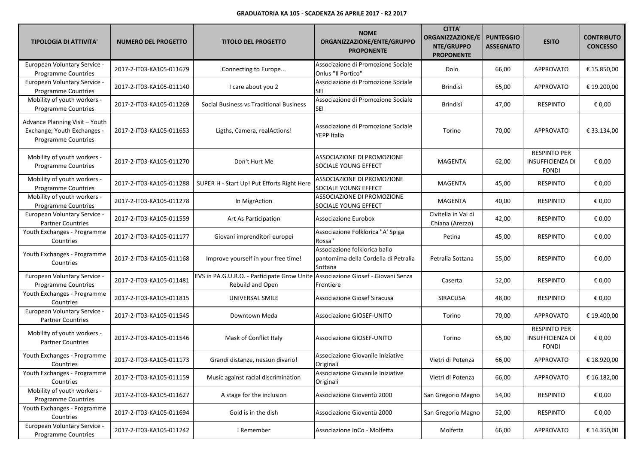| <b>TIPOLOGIA DI ATTIVITA'</b>                                                               | <b>NUMERO DEL PROGETTO</b> | <b>TITOLO DEL PROGETTO</b>                                                                          | <b>NOME</b><br>ORGANIZZAZIONE/ENTE/GRUPPO<br><b>PROPONENTE</b>                   | <b>CITTA'</b><br><b>ORGANIZZAZIONE/E</b><br>NTE/GRUPPO<br><b>PROPONENTE</b> | <b>PUNTEGGIO</b><br><b>ASSEGNATO</b> | <b>ESITO</b>                                                   | <b>CONTRIBUTO</b><br><b>CONCESSO</b> |
|---------------------------------------------------------------------------------------------|----------------------------|-----------------------------------------------------------------------------------------------------|----------------------------------------------------------------------------------|-----------------------------------------------------------------------------|--------------------------------------|----------------------------------------------------------------|--------------------------------------|
| European Voluntary Service -<br><b>Programme Countries</b>                                  | 2017-2-IT03-KA105-011679   | Connecting to Europe                                                                                | Associazione di Promozione Sociale<br>Onlus "Il Portico"                         | Dolo                                                                        | 66,00                                | <b>APPROVATO</b>                                               | € 15.850,00                          |
| European Voluntary Service -<br><b>Programme Countries</b>                                  | 2017-2-IT03-KA105-011140   | I care about you 2                                                                                  | Associazione di Promozione Sociale<br>SEI                                        | <b>Brindisi</b>                                                             | 65,00                                | <b>APPROVATO</b>                                               | € 19.200,00                          |
| Mobility of youth workers -<br>Programme Countries                                          | 2017-2-IT03-KA105-011269   | Social Business vs Traditional Business                                                             | Associazione di Promozione Sociale<br><b>SEI</b>                                 | <b>Brindisi</b>                                                             | 47,00                                | <b>RESPINTO</b>                                                | € 0,00                               |
| Advance Planning Visit - Youth<br>Exchange; Youth Exchanges -<br><b>Programme Countries</b> | 2017-2-IT03-KA105-011653   | Ligths, Camera, realActions!                                                                        | Associazione di Promozione Sociale<br>YEPP Italia                                | Torino                                                                      | 70,00                                | <b>APPROVATO</b>                                               | € 33.134,00                          |
| Mobility of youth workers -<br>Programme Countries                                          | 2017-2-IT03-KA105-011270   | Don't Hurt Me                                                                                       | ASSOCIAZIONE DI PROMOZIONE<br>SOCIALE YOUNG EFFECT                               | <b>MAGENTA</b>                                                              | 62,00                                | <b>RESPINTO PER</b><br><b>INSUFFICIENZA DI</b><br><b>FONDI</b> | € 0,00                               |
| Mobility of youth workers -<br><b>Programme Countries</b>                                   | 2017-2-IT03-KA105-011288   | SUPER H - Start Up! Put Efforts Right Here                                                          | ASSOCIAZIONE DI PROMOZIONE<br>SOCIALE YOUNG EFFECT                               | <b>MAGENTA</b>                                                              | 45,00                                | <b>RESPINTO</b>                                                | € 0,00                               |
| Mobility of youth workers -<br>Programme Countries                                          | 2017-2-IT03-KA105-011278   | In MigrAction                                                                                       | ASSOCIAZIONE DI PROMOZIONE<br>SOCIALE YOUNG EFFECT                               | <b>MAGENTA</b>                                                              | 40,00                                | <b>RESPINTO</b>                                                | € 0,00                               |
| European Voluntary Service -<br><b>Partner Countries</b>                                    | 2017-2-IT03-KA105-011559   | Art As Participation                                                                                | <b>Associazione Eurobox</b>                                                      | Civitella in Val di<br>Chiana (Arezzo)                                      | 42,00                                | <b>RESPINTO</b>                                                | € 0,00                               |
| Youth Exchanges - Programme<br>Countries                                                    | 2017-2-IT03-KA105-011177   | Giovani imprenditori europei                                                                        | Associazione Folklorica "A' Spiga<br>Rossa"                                      | Petina                                                                      | 45,00                                | <b>RESPINTO</b>                                                | € 0,00                               |
| Youth Exchanges - Programme<br>Countries                                                    | 2017-2-IT03-KA105-011168   | Improve yourself in your free time!                                                                 | Associazione folklorica ballo<br>pantomima della Cordella di Petralia<br>Sottana | Petralia Sottana                                                            | 55,00                                | <b>RESPINTO</b>                                                | € 0,00                               |
| European Voluntary Service -<br><b>Programme Countries</b>                                  | 2017-2-IT03-KA105-011481   | EVS in PA.G.U.R.O. - Participate Grow Unite Associazione Giosef - Giovani Senza<br>Rebuild and Open | Frontiere                                                                        | Caserta                                                                     | 52,00                                | <b>RESPINTO</b>                                                | € 0,00                               |
| Youth Exchanges - Programme<br>Countries                                                    | 2017-2-IT03-KA105-011815   | UNIVERSAL SMILE                                                                                     | <b>Associazione Giosef Siracusa</b>                                              | SIRACUSA                                                                    | 48,00                                | <b>RESPINTO</b>                                                | € 0,00                               |
| European Voluntary Service -<br><b>Partner Countries</b>                                    | 2017-2-IT03-KA105-011545   | Downtown Meda                                                                                       | Associazione GIOSEF-UNITO                                                        | Torino                                                                      | 70,00                                | <b>APPROVATO</b>                                               | € 19.400,00                          |
| Mobility of youth workers -<br><b>Partner Countries</b>                                     | 2017-2-IT03-KA105-011546   | Mask of Conflict Italy                                                                              | Associazione GIOSEF-UNITO                                                        | Torino                                                                      | 65,00                                | <b>RESPINTO PER</b><br><b>INSUFFICIENZA DI</b><br><b>FONDI</b> | € 0,00                               |
| Youth Exchanges - Programme<br>Countries                                                    | 2017-2-IT03-KA105-011173   | Grandi distanze, nessun divario!                                                                    | Associazione Giovanile Iniziative<br>Originali                                   | Vietri di Potenza                                                           | 66,00                                | <b>APPROVATO</b>                                               | € 18.920,00                          |
| Youth Exchanges - Programme<br>Countries                                                    | 2017-2-IT03-KA105-011159   | Music against racial discrimination                                                                 | Associazione Giovanile Iniziative<br>Originali                                   | Vietri di Potenza                                                           | 66,00                                | <b>APPROVATO</b>                                               | € 16.182,00                          |
| Mobility of youth workers -<br>Programme Countries                                          | 2017-2-IT03-KA105-011627   | A stage for the inclusion                                                                           | Associazione Gioventù 2000                                                       | San Gregorio Magno                                                          | 54,00                                | <b>RESPINTO</b>                                                | € 0,00                               |
| Youth Exchanges - Programme<br>Countries                                                    | 2017-2-IT03-KA105-011694   | Gold is in the dish                                                                                 | Associazione Gioventù 2000                                                       | San Gregorio Magno                                                          | 52,00                                | <b>RESPINTO</b>                                                | € 0,00                               |
| European Voluntary Service -<br>Programme Countries                                         | 2017-2-IT03-KA105-011242   | I Remember                                                                                          | Associazione InCo - Molfetta                                                     | Molfetta                                                                    | 66,00                                | <b>APPROVATO</b>                                               | € 14.350,00                          |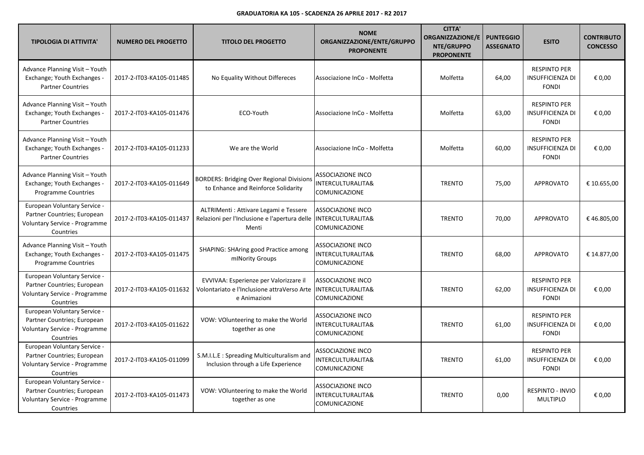| <b>TIPOLOGIA DI ATTIVITA'</b>                                                                                    | <b>NUMERO DEL PROGETTO</b> | <b>TITOLO DEL PROGETTO</b>                                                                            | <b>NOME</b><br>ORGANIZZAZIONE/ENTE/GRUPPO<br><b>PROPONENTE</b>            | <b>CITTA'</b><br><b>ORGANIZZAZIONE/E</b><br>NTE/GRUPPO<br><b>PROPONENTE</b> | <b>PUNTEGGIO</b><br><b>ASSEGNATO</b> | <b>ESITO</b>                                                   | <b>CONTRIBUTO</b><br><b>CONCESSO</b> |
|------------------------------------------------------------------------------------------------------------------|----------------------------|-------------------------------------------------------------------------------------------------------|---------------------------------------------------------------------------|-----------------------------------------------------------------------------|--------------------------------------|----------------------------------------------------------------|--------------------------------------|
| Advance Planning Visit - Youth<br>Exchange; Youth Exchanges -<br><b>Partner Countries</b>                        | 2017-2-IT03-KA105-011485   | No Equality Without Differeces                                                                        | Associazione InCo - Molfetta                                              | Molfetta                                                                    | 64,00                                | <b>RESPINTO PER</b><br><b>INSUFFICIENZA DI</b><br><b>FONDI</b> | € 0,00                               |
| Advance Planning Visit - Youth<br>Exchange; Youth Exchanges -<br><b>Partner Countries</b>                        | 2017-2-IT03-KA105-011476   | ECO-Youth                                                                                             | Associazione InCo - Molfetta                                              | Molfetta                                                                    | 63,00                                | <b>RESPINTO PER</b><br><b>INSUFFICIENZA DI</b><br><b>FONDI</b> | € 0.00                               |
| Advance Planning Visit - Youth<br>Exchange; Youth Exchanges -<br><b>Partner Countries</b>                        | 2017-2-IT03-KA105-011233   | We are the World                                                                                      | Associazione InCo - Molfetta                                              | Molfetta                                                                    | 60,00                                | <b>RESPINTO PER</b><br><b>INSUFFICIENZA DI</b><br><b>FONDI</b> | € 0,00                               |
| Advance Planning Visit - Youth<br>Exchange; Youth Exchanges -<br><b>Programme Countries</b>                      | 2017-2-IT03-KA105-011649   | <b>BORDERS: Bridging Over Regional Divisions</b><br>to Enhance and Reinforce Solidarity               | <b>ASSOCIAZIONE INCO</b><br>INTERCULTURALITA&<br>COMUNICAZIONE            | <b>TRENTO</b>                                                               | 75,00                                | <b>APPROVATO</b>                                               | € 10.655,00                          |
| European Voluntary Service -<br>Partner Countries; European<br><b>Voluntary Service - Programme</b><br>Countries | 2017-2-IT03-KA105-011437   | ALTRIMenti : Attivare Legami e Tessere<br>Relazioni per l'Inclusione e l'apertura delle<br>Menti      | <b>ASSOCIAZIONE INCO</b><br>INTERCULTURALITA&<br>COMUNICAZIONE            | <b>TRENTO</b>                                                               | 70,00                                | <b>APPROVATO</b>                                               | €46.805,00                           |
| Advance Planning Visit - Youth<br>Exchange; Youth Exchanges -<br>Programme Countries                             | 2017-2-IT03-KA105-011475   | <b>SHAPING: SHAring good Practice among</b><br>mINority Groups                                        | <b>ASSOCIAZIONE INCO</b><br>INTERCULTURALITA&<br>COMUNICAZIONE            | <b>TRENTO</b>                                                               | 68,00                                | <b>APPROVATO</b>                                               | € 14.877,00                          |
| European Voluntary Service -<br>Partner Countries; European<br>Voluntary Service - Programme<br>Countries        | 2017-2-IT03-KA105-011632   | EVVIVAA: Esperienze per Valorizzare il<br>Volontariato e l'Inclusione attraVerso Arte<br>e Animazioni | <b>ASSOCIAZIONE INCO</b><br><b>INTERCULTURALITA&amp;</b><br>COMUNICAZIONE | <b>TRENTO</b>                                                               | 62,00                                | <b>RESPINTO PER</b><br><b>INSUFFICIENZA DI</b><br><b>FONDI</b> | € 0,00                               |
| European Voluntary Service -<br>Partner Countries; European<br>Voluntary Service - Programme<br>Countries        | 2017-2-IT03-KA105-011622   | VOW: VOlunteering to make the World<br>together as one                                                | ASSOCIAZIONE INCO<br>INTERCULTURALITA&<br>COMUNICAZIONE                   | <b>TRENTO</b>                                                               | 61,00                                | <b>RESPINTO PER</b><br><b>INSUFFICIENZA DI</b><br><b>FONDI</b> | € 0,00                               |
| European Voluntary Service -<br>Partner Countries; European<br>Voluntary Service - Programme<br>Countries        | 2017-2-IT03-KA105-011099   | S.M.I.L.E : Spreading Multiculturalism and<br>Inclusion through a Life Experience                     | <b>ASSOCIAZIONE INCO</b><br><b>INTERCULTURALITA&amp;</b><br>COMUNICAZIONE | <b>TRENTO</b>                                                               | 61,00                                | <b>RESPINTO PER</b><br><b>INSUFFICIENZA DI</b><br><b>FONDI</b> | € 0,00                               |
| European Voluntary Service -<br>Partner Countries; European<br>Voluntary Service - Programme<br>Countries        | 2017-2-IT03-KA105-011473   | VOW: VOlunteering to make the World<br>together as one                                                | <b>ASSOCIAZIONE INCO</b><br>INTERCULTURALITA&<br>COMUNICAZIONE            | <b>TRENTO</b>                                                               | 0,00                                 | RESPINTO - INVIO<br><b>MULTIPLO</b>                            | € 0,00                               |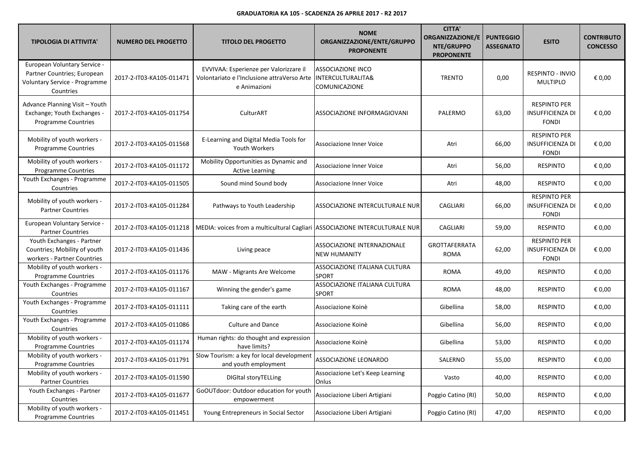| <b>TIPOLOGIA DI ATTIVITA'</b>                                                                             | <b>NUMERO DEL PROGETTO</b> | <b>TITOLO DEL PROGETTO</b>                                                                            | <b>NOME</b><br>ORGANIZZAZIONE/ENTE/GRUPPO<br><b>PROPONENTE</b> | <b>CITTA'</b><br><b>ORGANIZZAZIONE/E</b><br>NTE/GRUPPO<br><b>PROPONENTE</b> | <b>PUNTEGGIO</b><br><b>ASSEGNATO</b> | <b>ESITO</b>                                                   | <b>CONTRIBUTO</b><br><b>CONCESSO</b> |
|-----------------------------------------------------------------------------------------------------------|----------------------------|-------------------------------------------------------------------------------------------------------|----------------------------------------------------------------|-----------------------------------------------------------------------------|--------------------------------------|----------------------------------------------------------------|--------------------------------------|
| European Voluntary Service -<br>Partner Countries; European<br>Voluntary Service - Programme<br>Countries | 2017-2-IT03-KA105-011471   | EVVIVAA: Esperienze per Valorizzare il<br>Volontariato e l'Inclusione attraVerso Arte<br>e Animazioni | <b>ASSOCIAZIONE INCO</b><br>INTERCULTURALITA&<br>COMUNICAZIONE | <b>TRENTO</b>                                                               | 0,00                                 | <b>RESPINTO - INVIO</b><br><b>MULTIPLO</b>                     | € 0,00                               |
| Advance Planning Visit - Youth<br>Exchange; Youth Exchanges -<br><b>Programme Countries</b>               | 2017-2-IT03-KA105-011754   | CulturART                                                                                             | ASSOCIAZIONE INFORMAGIOVANI                                    | PALERMO                                                                     | 63,00                                | <b>RESPINTO PER</b><br><b>INSUFFICIENZA DI</b><br><b>FONDI</b> | € 0,00                               |
| Mobility of youth workers -<br><b>Programme Countries</b>                                                 | 2017-2-IT03-KA105-011568   | E-Learning and Digital Media Tools for<br>Youth Workers                                               | <b>Associazione Inner Voice</b>                                | Atri                                                                        | 66,00                                | <b>RESPINTO PER</b><br><b>INSUFFICIENZA DI</b><br><b>FONDI</b> | € 0,00                               |
| Mobility of youth workers -<br><b>Programme Countries</b>                                                 | 2017-2-IT03-KA105-011172   | Mobility Opportunities as Dynamic and<br><b>Active Learning</b>                                       | Associazione Inner Voice                                       | Atri                                                                        | 56,00                                | <b>RESPINTO</b>                                                | € 0,00                               |
| Youth Exchanges - Programme<br>Countries                                                                  | 2017-2-IT03-KA105-011505   | Sound mind Sound body                                                                                 | Associazione Inner Voice                                       | Atri                                                                        | 48,00                                | <b>RESPINTO</b>                                                | € 0,00                               |
| Mobility of youth workers -<br><b>Partner Countries</b>                                                   | 2017-2-IT03-KA105-011284   | Pathways to Youth Leadership                                                                          | ASSOCIAZIONE INTERCULTURALE NUR                                | CAGLIARI                                                                    | 66,00                                | <b>RESPINTO PER</b><br><b>INSUFFICIENZA DI</b><br><b>FONDI</b> | € 0,00                               |
| European Voluntary Service -<br><b>Partner Countries</b>                                                  | 2017-2-IT03-KA105-011218   | MEDIA: voices from a multicultural Cagliari                                                           | ASSOCIAZIONE INTERCULTURALE NUR                                | <b>CAGLIARI</b>                                                             | 59,00                                | <b>RESPINTO</b>                                                | € 0,00                               |
| Youth Exchanges - Partner<br>Countries; Mobility of youth<br>workers - Partner Countries                  | 2017-2-IT03-KA105-011436   | Living peace                                                                                          | ASSOCIAZIONE INTERNAZIONALE<br><b>NEW HUMANITY</b>             | <b>GROTTAFERRATA</b><br><b>ROMA</b>                                         | 62,00                                | <b>RESPINTO PER</b><br>INSUFFICIENZA DI<br><b>FONDI</b>        | € 0,00                               |
| Mobility of youth workers -<br><b>Programme Countries</b>                                                 | 2017-2-IT03-KA105-011176   | MAW - Migrants Are Welcome                                                                            | ASSOCIAZIONE ITALIANA CULTURA<br><b>SPORT</b>                  | <b>ROMA</b>                                                                 | 49,00                                | <b>RESPINTO</b>                                                | € 0,00                               |
| Youth Exchanges - Programme<br>Countries                                                                  | 2017-2-IT03-KA105-011167   | Winning the gender's game                                                                             | ASSOCIAZIONE ITALIANA CULTURA<br>SPORT                         | <b>ROMA</b>                                                                 | 48,00                                | <b>RESPINTO</b>                                                | € 0,00                               |
| Youth Exchanges - Programme<br>Countries                                                                  | 2017-2-IT03-KA105-011111   | Taking care of the earth                                                                              | Associazione Koinè                                             | Gibellina                                                                   | 58,00                                | <b>RESPINTO</b>                                                | € 0,00                               |
| Youth Exchanges - Programme<br>Countries                                                                  | 2017-2-IT03-KA105-011086   | <b>Culture and Dance</b>                                                                              | Associazione Koinè                                             | Gibellina                                                                   | 56,00                                | <b>RESPINTO</b>                                                | € 0,00                               |
| Mobility of youth workers -<br><b>Programme Countries</b>                                                 | 2017-2-IT03-KA105-011174   | Human rights: do thought and expression<br>have limits?                                               | Associazione Koinè                                             | Gibellina                                                                   | 53,00                                | <b>RESPINTO</b>                                                | € 0,00                               |
| Mobility of youth workers -<br><b>Programme Countries</b>                                                 | 2017-2-IT03-KA105-011791   | Slow Tourism: a key for local development<br>and youth employment                                     | ASSOCIAZIONE LEONARDO                                          | SALERNO                                                                     | 55,00                                | <b>RESPINTO</b>                                                | € 0,00                               |
| Mobility of youth workers -<br><b>Partner Countries</b>                                                   | 2017-2-IT03-KA105-011590   | <b>DIGItal storyTELLing</b>                                                                           | Associazione Let's Keep Learning<br>Onlus                      | Vasto                                                                       | 40,00                                | <b>RESPINTO</b>                                                | € 0,00                               |
| Youth Exchanges - Partner<br>Countries                                                                    | 2017-2-IT03-KA105-011677   | GoOUTdoor: Outdoor education for youth<br>empowerment                                                 | Associazione Liberi Artigiani                                  | Poggio Catino (RI)                                                          | 50,00                                | <b>RESPINTO</b>                                                | € 0,00                               |
| Mobility of youth workers -<br><b>Programme Countries</b>                                                 | 2017-2-IT03-KA105-011451   | Young Entrepreneurs in Social Sector                                                                  | Associazione Liberi Artigiani                                  | Poggio Catino (RI)                                                          | 47,00                                | <b>RESPINTO</b>                                                | € 0,00                               |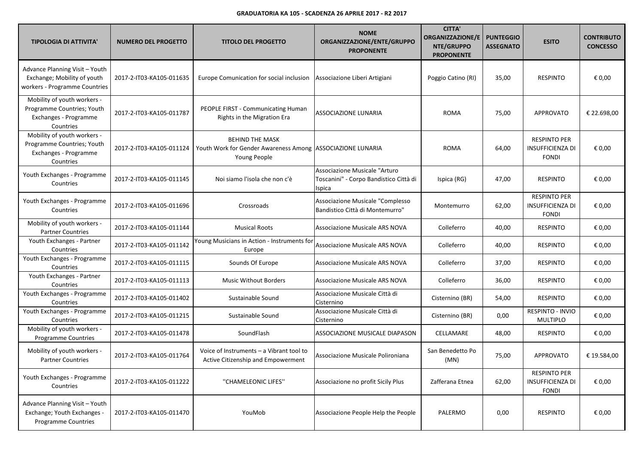| <b>TIPOLOGIA DI ATTIVITA'</b>                                                                   | <b>NUMERO DEL PROGETTO</b> | <b>TITOLO DEL PROGETTO</b>                                                                           | <b>NOME</b><br>ORGANIZZAZIONE/ENTE/GRUPPO<br><b>PROPONENTE</b>                    | <b>CITTA'</b><br><b>ORGANIZZAZIONE/E</b><br>NTE/GRUPPO<br><b>PROPONENTE</b> | <b>PUNTEGGIO</b><br><b>ASSEGNATO</b> | <b>ESITO</b>                                                   | <b>CONTRIBUTO</b><br><b>CONCESSO</b> |
|-------------------------------------------------------------------------------------------------|----------------------------|------------------------------------------------------------------------------------------------------|-----------------------------------------------------------------------------------|-----------------------------------------------------------------------------|--------------------------------------|----------------------------------------------------------------|--------------------------------------|
| Advance Planning Visit - Youth<br>Exchange; Mobility of youth<br>workers - Programme Countries  | 2017-2-IT03-KA105-011635   | Europe Comunication for social inclusion                                                             | Associazione Liberi Artigiani                                                     | Poggio Catino (RI)                                                          | 35,00                                | <b>RESPINTO</b>                                                | € 0,00                               |
| Mobility of youth workers -<br>Programme Countries; Youth<br>Exchanges - Programme<br>Countries | 2017-2-IT03-KA105-011787   | PEOPLE FIRST - Communicating Human<br>Rights in the Migration Era                                    | ASSOCIAZIONE LUNARIA                                                              | <b>ROMA</b>                                                                 | 75,00                                | APPROVATO                                                      | € 22.698,00                          |
| Mobility of youth workers -<br>Programme Countries; Youth<br>Exchanges - Programme<br>Countries | 2017-2-IT03-KA105-011124   | <b>BEHIND THE MASK</b><br>Youth Work for Gender Awareness Among ASSOCIAZIONE LUNARIA<br>Young People |                                                                                   | <b>ROMA</b>                                                                 | 64,00                                | <b>RESPINTO PER</b><br><b>INSUFFICIENZA DI</b><br><b>FONDI</b> | € 0,00                               |
| Youth Exchanges - Programme<br>Countries                                                        | 2017-2-IT03-KA105-011145   | Noi siamo l'isola che non c'è                                                                        | Associazione Musicale "Arturo<br>Toscanini" - Corpo Bandistico Città di<br>Ispica | Ispica (RG)                                                                 | 47,00                                | <b>RESPINTO</b>                                                | € 0,00                               |
| Youth Exchanges - Programme<br>Countries                                                        | 2017-2-IT03-KA105-011696   | Crossroads                                                                                           | Associazione Musicale "Complesso<br>Bandistico Città di Montemurro"               | Montemurro                                                                  | 62,00                                | <b>RESPINTO PER</b><br><b>INSUFFICIENZA DI</b><br><b>FONDI</b> | € 0,00                               |
| Mobility of youth workers -<br><b>Partner Countries</b>                                         | 2017-2-IT03-KA105-011144   | <b>Musical Roots</b>                                                                                 | Associazione Musicale ARS NOVA                                                    | Colleferro                                                                  | 40,00                                | <b>RESPINTO</b>                                                | € 0,00                               |
| Youth Exchanges - Partner<br>Countries                                                          | 2017-2-IT03-KA105-011142   | Young Musicians in Action - Instruments for<br>Europe                                                | Associazione Musicale ARS NOVA                                                    | Colleferro                                                                  | 40,00                                | <b>RESPINTO</b>                                                | € 0,00                               |
| Youth Exchanges - Programme<br>Countries                                                        | 2017-2-IT03-KA105-011115   | Sounds Of Europe                                                                                     | Associazione Musicale ARS NOVA                                                    | Colleferro                                                                  | 37,00                                | <b>RESPINTO</b>                                                | € 0,00                               |
| Youth Exchanges - Partner<br>Countries                                                          | 2017-2-IT03-KA105-011113   | <b>Music Without Borders</b>                                                                         | Associazione Musicale ARS NOVA                                                    | Colleferro                                                                  | 36,00                                | <b>RESPINTO</b>                                                | € 0,00                               |
| Youth Exchanges - Programme<br>Countries                                                        | 2017-2-IT03-KA105-011402   | Sustainable Sound                                                                                    | Associazione Musicale Città di<br>Cisternino                                      | Cisternino (BR)                                                             | 54,00                                | <b>RESPINTO</b>                                                | € 0,00                               |
| Youth Exchanges - Programme<br>Countries                                                        | 2017-2-IT03-KA105-011215   | Sustainable Sound                                                                                    | Associazione Musicale Città di<br>Cisternino                                      | Cisternino (BR)                                                             | 0,00                                 | RESPINTO - INVIO<br><b>MULTIPLO</b>                            | € 0,00                               |
| Mobility of youth workers -<br><b>Programme Countries</b>                                       | 2017-2-IT03-KA105-011478   | SoundFlash                                                                                           | ASSOCIAZIONE MUSICALE DIAPASON                                                    | CELLAMARE                                                                   | 48,00                                | <b>RESPINTO</b>                                                | € 0,00                               |
| Mobility of youth workers -<br><b>Partner Countries</b>                                         | 2017-2-IT03-KA105-011764   | Voice of Instruments - a Vibrant tool to<br>Active Citizenship and Empowerment                       | Associazione Musicale Polironiana                                                 | San Benedetto Po<br>(MN)                                                    | 75,00                                | <b>APPROVATO</b>                                               | € 19.584,00                          |
| Youth Exchanges - Programme<br>Countries                                                        | 2017-2-IT03-KA105-011222   | "CHAMELEONIC LIFES"                                                                                  | Associazione no profit Sicily Plus                                                | Zafferana Etnea                                                             | 62,00                                | <b>RESPINTO PER</b><br><b>INSUFFICIENZA DI</b><br><b>FONDI</b> | € 0,00                               |
| Advance Planning Visit - Youth<br>Exchange; Youth Exchanges -<br>Programme Countries            | 2017-2-IT03-KA105-011470   | YouMob                                                                                               | Associazione People Help the People                                               | PALERMO                                                                     | 0,00                                 | <b>RESPINTO</b>                                                | € 0,00                               |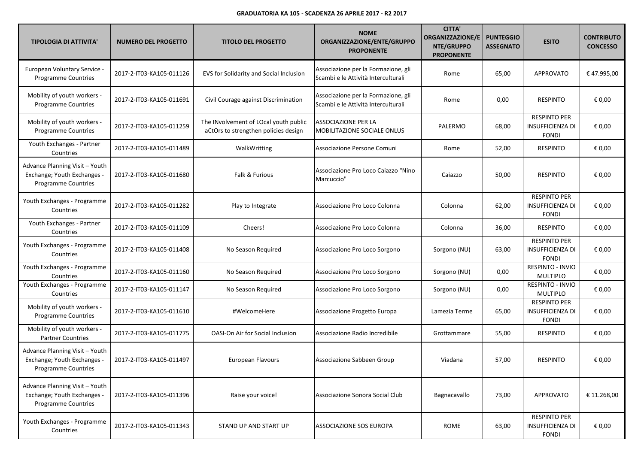| <b>TIPOLOGIA DI ATTIVITA'</b>                                                               | <b>NUMERO DEL PROGETTO</b> | <b>TITOLO DEL PROGETTO</b>                                                    | <b>NOME</b><br>ORGANIZZAZIONE/ENTE/GRUPPO<br><b>PROPONENTE</b>             | <b>CITTA'</b><br><b>ORGANIZZAZIONE/E</b><br>NTE/GRUPPO<br><b>PROPONENTE</b> | <b>PUNTEGGIO</b><br><b>ASSEGNATO</b> | <b>ESITO</b>                                                   | <b>CONTRIBUTO</b><br><b>CONCESSO</b> |
|---------------------------------------------------------------------------------------------|----------------------------|-------------------------------------------------------------------------------|----------------------------------------------------------------------------|-----------------------------------------------------------------------------|--------------------------------------|----------------------------------------------------------------|--------------------------------------|
| European Voluntary Service -<br><b>Programme Countries</b>                                  | 2017-2-IT03-KA105-011126   | EVS for Solidarity and Social Inclusion                                       | Associazione per la Formazione, gli<br>Scambi e le Attività Interculturali | Rome                                                                        | 65,00                                | APPROVATO                                                      | €47.995,00                           |
| Mobility of youth workers -<br><b>Programme Countries</b>                                   | 2017-2-IT03-KA105-011691   | Civil Courage against Discrimination                                          | Associazione per la Formazione, gli<br>Scambi e le Attività Interculturali | Rome                                                                        | 0,00                                 | <b>RESPINTO</b>                                                | € 0,00                               |
| Mobility of youth workers -<br><b>Programme Countries</b>                                   | 2017-2-IT03-KA105-011259   | The INvolvement of LOcal youth public<br>aCtOrs to strengthen policies design | ASSOCIAZIONE PER LA<br>MOBILITAZIONE SOCIALE ONLUS                         | PALERMO                                                                     | 68,00                                | <b>RESPINTO PER</b><br><b>INSUFFICIENZA DI</b><br><b>FONDI</b> | € 0,00                               |
| Youth Exchanges - Partner<br>Countries                                                      | 2017-2-IT03-KA105-011489   | WalkWritting                                                                  | Associazione Persone Comuni                                                | Rome                                                                        | 52,00                                | <b>RESPINTO</b>                                                | € 0,00                               |
| Advance Planning Visit - Youth<br>Exchange; Youth Exchanges -<br><b>Programme Countries</b> | 2017-2-IT03-KA105-011680   | Falk & Furious                                                                | Associazione Pro Loco Caiazzo "Nino<br>Marcuccio"                          | Caiazzo                                                                     | 50,00                                | <b>RESPINTO</b>                                                | € 0,00                               |
| Youth Exchanges - Programme<br>Countries                                                    | 2017-2-IT03-KA105-011282   | Play to Integrate                                                             | Associazione Pro Loco Colonna                                              | Colonna                                                                     | 62,00                                | <b>RESPINTO PER</b><br><b>INSUFFICIENZA DI</b><br><b>FONDI</b> | € 0,00                               |
| Youth Exchanges - Partner<br>Countries                                                      | 2017-2-IT03-KA105-011109   | Cheers!                                                                       | Associazione Pro Loco Colonna                                              | Colonna                                                                     | 36,00                                | <b>RESPINTO</b>                                                | € 0,00                               |
| Youth Exchanges - Programme<br>Countries                                                    | 2017-2-IT03-KA105-011408   | No Season Required                                                            | Associazione Pro Loco Sorgono                                              | Sorgono (NU)                                                                | 63,00                                | <b>RESPINTO PER</b><br><b>INSUFFICIENZA DI</b><br><b>FONDI</b> | € 0,00                               |
| Youth Exchanges - Programme<br>Countries                                                    | 2017-2-IT03-KA105-011160   | No Season Required                                                            | Associazione Pro Loco Sorgono                                              | Sorgono (NU)                                                                | 0,00                                 | RESPINTO - INVIO<br><b>MULTIPLO</b>                            | € 0,00                               |
| Youth Exchanges - Programme<br>Countries                                                    | 2017-2-IT03-KA105-011147   | No Season Required                                                            | Associazione Pro Loco Sorgono                                              | Sorgono (NU)                                                                | 0,00                                 | RESPINTO - INVIO<br><b>MULTIPLO</b>                            | € 0,00                               |
| Mobility of youth workers -<br><b>Programme Countries</b>                                   | 2017-2-IT03-KA105-011610   | #WelcomeHere                                                                  | Associazione Progetto Europa                                               | Lamezia Terme                                                               | 65,00                                | <b>RESPINTO PER</b><br><b>INSUFFICIENZA DI</b><br><b>FONDI</b> | € 0,00                               |
| Mobility of youth workers -<br><b>Partner Countries</b>                                     | 2017-2-IT03-KA105-011775   | OASI-On Air for Social Inclusion                                              | Associazione Radio Incredibile                                             | Grottammare                                                                 | 55,00                                | <b>RESPINTO</b>                                                | € 0,00                               |
| Advance Planning Visit - Youth<br>Exchange; Youth Exchanges -<br>Programme Countries        | 2017-2-IT03-KA105-011497   | <b>European Flavours</b>                                                      | Associazione Sabbeen Group                                                 | Viadana                                                                     | 57,00                                | <b>RESPINTO</b>                                                | € 0,00                               |
| Advance Planning Visit - Youth<br>Exchange; Youth Exchanges -<br><b>Programme Countries</b> | 2017-2-IT03-KA105-011396   | Raise your voice!                                                             | Associazione Sonora Social Club                                            | Bagnacavallo                                                                | 73,00                                | APPROVATO                                                      | € 11.268,00                          |
| Youth Exchanges - Programme<br>Countries                                                    | 2017-2-IT03-KA105-011343   | STAND UP AND START UP                                                         | ASSOCIAZIONE SOS EUROPA                                                    | ROME                                                                        | 63,00                                | <b>RESPINTO PER</b><br><b>INSUFFICIENZA DI</b><br><b>FONDI</b> | € 0,00                               |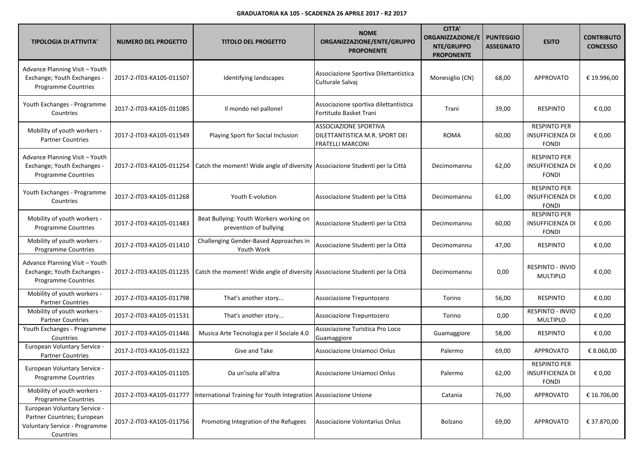| <b>TIPOLOGIA DI ATTIVITA'</b>                                                                                    | <b>NUMERO DEL PROGETTO</b> | <b>TITOLO DEL PROGETTO</b>                                                   | <b>NOME</b><br>ORGANIZZAZIONE/ENTE/GRUPPO<br><b>PROPONENTE</b>                            | <b>CITTA'</b><br><b>ORGANIZZAZIONE/E</b><br>NTE/GRUPPO<br><b>PROPONENTE</b> | <b>PUNTEGGIO</b><br><b>ASSEGNATO</b> | <b>ESITO</b>                                                   | <b>CONTRIBUTO</b><br><b>CONCESSO</b> |
|------------------------------------------------------------------------------------------------------------------|----------------------------|------------------------------------------------------------------------------|-------------------------------------------------------------------------------------------|-----------------------------------------------------------------------------|--------------------------------------|----------------------------------------------------------------|--------------------------------------|
| Advance Planning Visit - Youth<br>Exchange; Youth Exchanges -<br>Programme Countries                             | 2017-2-IT03-KA105-011507   | Identifying landscapes                                                       | Associazione Sportiva Dilettantistica<br>Culturale Salvaj                                 | Monesiglio (CN)                                                             | 68,00                                | <b>APPROVATO</b>                                               | € 19.996,00                          |
| Youth Exchanges - Programme<br>Countries                                                                         | 2017-2-IT03-KA105-011085   | Il mondo nel pallone!                                                        | Associazione sportiva dilettantistica<br>Fortitudo Basket Trani                           | Trani                                                                       | 39,00                                | <b>RESPINTO</b>                                                | € 0,00                               |
| Mobility of youth workers -<br><b>Partner Countries</b>                                                          | 2017-2-IT03-KA105-011549   | Playing Sport for Social Inclusion                                           | <b>ASSOCIAZIONE SPORTIVA</b><br>DILETTANTISTICA M.R. SPORT DEI<br><b>FRATELLI MARCONI</b> | <b>ROMA</b>                                                                 | 60,00                                | <b>RESPINTO PER</b><br><b>INSUFFICIENZA DI</b><br><b>FONDI</b> | € 0,00                               |
| Advance Planning Visit - Youth<br>Exchange; Youth Exchanges -<br>Programme Countries                             | 2017-2-IT03-KA105-011254   | Catch the moment! Wide angle of diversity Associazione Studenti per la Città |                                                                                           | Decimomannu                                                                 | 62,00                                | <b>RESPINTO PER</b><br><b>INSUFFICIENZA DI</b><br><b>FONDI</b> | € 0,00                               |
| Youth Exchanges - Programme<br>Countries                                                                         | 2017-2-IT03-KA105-011268   | Youth E-volution                                                             | Associazione Studenti per la Città                                                        | Decimomannu                                                                 | 61,00                                | <b>RESPINTO PER</b><br><b>INSUFFICIENZA DI</b><br><b>FONDI</b> | € 0,00                               |
| Mobility of youth workers -<br><b>Programme Countries</b>                                                        | 2017-2-IT03-KA105-011483   | Beat Bullying: Youth Workers working on<br>prevention of bullying            | Associazione Studenti per la Città                                                        | Decimomannu                                                                 | 60,00                                | <b>RESPINTO PER</b><br>INSUFFICIENZA DI<br><b>FONDI</b>        | € 0,00                               |
| Mobility of youth workers -<br>Programme Countries                                                               | 2017-2-IT03-KA105-011410   | Challenging Gender-Based Approaches in<br>Youth Work                         | Associazione Studenti per la Città                                                        | Decimomannu                                                                 | 47,00                                | <b>RESPINTO</b>                                                | € 0,00                               |
| Advance Planning Visit - Youth<br>Exchange; Youth Exchanges -<br>Programme Countries                             | 2017-2-IT03-KA105-011235   | Catch the moment! Wide angle of diversity Associazione Studenti per la Città |                                                                                           | Decimomannu                                                                 | 0,00                                 | RESPINTO - INVIO<br><b>MULTIPLO</b>                            | € 0,00                               |
| Mobility of youth workers -<br><b>Partner Countries</b>                                                          | 2017-2-IT03-KA105-011798   | That's another story                                                         | Associazione Trepuntozero                                                                 | Torino                                                                      | 56,00                                | <b>RESPINTO</b>                                                | € 0,00                               |
| Mobility of youth workers -<br><b>Partner Countries</b>                                                          | 2017-2-IT03-KA105-011531   | That's another story                                                         | Associazione Trepuntozero                                                                 | Torino                                                                      | 0,00                                 | RESPINTO - INVIO<br>MULTIPLO                                   | € 0,00                               |
| Youth Exchanges - Programme<br>Countries                                                                         | 2017-2-IT03-KA105-011446   | Musica Arte Tecnologia per il Sociale 4.0                                    | Associazione Turistica Pro Loco<br>Guamaggiore                                            | Guamaggiore                                                                 | 58,00                                | <b>RESPINTO</b>                                                | € 0,00                               |
| European Voluntary Service -<br><b>Partner Countries</b>                                                         | 2017-2-IT03-KA105-011322   | Give and Take                                                                | Associazione Uniamoci Onlus                                                               | Palermo                                                                     | 69,00                                | <b>APPROVATO</b>                                               | € 8.060,00                           |
| European Voluntary Service -<br>Programme Countries                                                              | 2017-2-IT03-KA105-011105   | Da un'isola all'altra                                                        | Associazione Uniamoci Onlus                                                               | Palermo                                                                     | 62,00                                | <b>RESPINTO PER</b><br><b>INSUFFICIENZA DI</b><br><b>FONDI</b> | € 0,00                               |
| Mobility of youth workers -<br><b>Programme Countries</b>                                                        | 2017-2-IT03-KA105-011777   | International Training for Youth Integration Associazione Unione             |                                                                                           | Catania                                                                     | 76,00                                | <b>APPROVATO</b>                                               | € 16.706,00                          |
| European Voluntary Service -<br>Partner Countries; European<br><b>Voluntary Service - Programme</b><br>Countries | 2017-2-IT03-KA105-011756   | Promoting Integration of the Refugees                                        | Associazione Volontarius Onlus                                                            | Bolzano                                                                     | 69,00                                | <b>APPROVATO</b>                                               | € 37.870,00                          |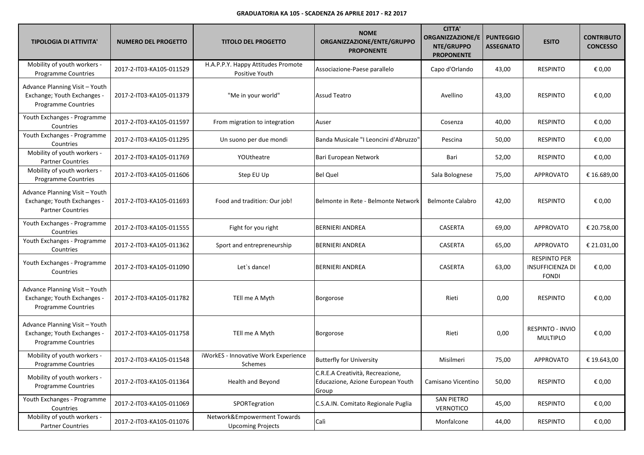| <b>TIPOLOGIA DI ATTIVITA'</b>                                                               | <b>NUMERO DEL PROGETTO</b> | <b>TITOLO DEL PROGETTO</b>                              | <b>NOME</b><br>ORGANIZZAZIONE/ENTE/GRUPPO<br><b>PROPONENTE</b>                 | <b>CITTA'</b><br><b>ORGANIZZAZIONE/E</b><br>NTE/GRUPPO<br><b>PROPONENTE</b> | <b>PUNTEGGIO</b><br><b>ASSEGNATO</b> | <b>ESITO</b>                                                   | <b>CONTRIBUTO</b><br><b>CONCESSO</b> |
|---------------------------------------------------------------------------------------------|----------------------------|---------------------------------------------------------|--------------------------------------------------------------------------------|-----------------------------------------------------------------------------|--------------------------------------|----------------------------------------------------------------|--------------------------------------|
| Mobility of youth workers -<br><b>Programme Countries</b>                                   | 2017-2-IT03-KA105-011529   | H.A.P.P.Y. Happy Attitudes Promote<br>Positive Youth    | Associazione-Paese parallelo                                                   | Capo d'Orlando                                                              | 43,00                                | <b>RESPINTO</b>                                                | € 0,00                               |
| Advance Planning Visit - Youth<br>Exchange; Youth Exchanges -<br><b>Programme Countries</b> | 2017-2-IT03-KA105-011379   | "Me in your world"                                      | <b>Assud Teatro</b>                                                            | Avellino                                                                    | 43,00                                | <b>RESPINTO</b>                                                | € 0,00                               |
| Youth Exchanges - Programme<br>Countries                                                    | 2017-2-IT03-KA105-011597   | From migration to integration                           | Auser                                                                          | Cosenza                                                                     | 40,00                                | <b>RESPINTO</b>                                                | € 0,00                               |
| Youth Exchanges - Programme<br>Countries                                                    | 2017-2-IT03-KA105-011295   | Un suono per due mondi                                  | Banda Musicale "I Leoncini d'Abruzzo"                                          | Pescina                                                                     | 50,00                                | <b>RESPINTO</b>                                                | € 0,00                               |
| Mobility of youth workers -<br><b>Partner Countries</b>                                     | 2017-2-IT03-KA105-011769   | YOUtheatre                                              | Bari European Network                                                          | Bari                                                                        | 52,00                                | <b>RESPINTO</b>                                                | € 0,00                               |
| Mobility of youth workers -<br><b>Programme Countries</b>                                   | 2017-2-IT03-KA105-011606   | Step EU Up                                              | <b>Bel Quel</b>                                                                | Sala Bolognese                                                              | 75,00                                | <b>APPROVATO</b>                                               | € 16.689,00                          |
| Advance Planning Visit - Youth<br>Exchange; Youth Exchanges -<br><b>Partner Countries</b>   | 2017-2-IT03-KA105-011693   | Food and tradition: Our job!                            | Belmonte in Rete - Belmonte Network                                            | <b>Belmonte Calabro</b>                                                     | 42,00                                | <b>RESPINTO</b>                                                | € 0,00                               |
| Youth Exchanges - Programme<br>Countries                                                    | 2017-2-IT03-KA105-011555   | Fight for you right                                     | BERNIERI ANDREA                                                                | CASERTA                                                                     | 69,00                                | <b>APPROVATO</b>                                               | € 20.758,00                          |
| Youth Exchanges - Programme<br>Countries                                                    | 2017-2-IT03-KA105-011362   | Sport and entrepreneurship                              | BERNIERI ANDREA                                                                | CASERTA                                                                     | 65,00                                | <b>APPROVATO</b>                                               | € 21.031,00                          |
| Youth Exchanges - Programme<br>Countries                                                    | 2017-2-IT03-KA105-011090   | Let's dance!                                            | <b>BERNIERI ANDREA</b>                                                         | CASERTA                                                                     | 63,00                                | <b>RESPINTO PER</b><br><b>INSUFFICIENZA DI</b><br><b>FONDI</b> | € 0,00                               |
| Advance Planning Visit - Youth<br>Exchange; Youth Exchanges -<br>Programme Countries        | 2017-2-IT03-KA105-011782   | TEll me A Myth                                          | Borgorose                                                                      | Rieti                                                                       | 0,00                                 | <b>RESPINTO</b>                                                | € 0,00                               |
| Advance Planning Visit - Youth<br>Exchange; Youth Exchanges -<br><b>Programme Countries</b> | 2017-2-IT03-KA105-011758   | TEll me A Myth                                          | Borgorose                                                                      | Rieti                                                                       | 0,00                                 | RESPINTO - INVIO<br><b>MULTIPLO</b>                            | € 0,00                               |
| Mobility of youth workers -<br><b>Programme Countries</b>                                   | 2017-2-IT03-KA105-011548   | iWorkES - Innovative Work Experience<br>Schemes         | <b>Butterfly for University</b>                                                | Misilmeri                                                                   | 75,00                                | <b>APPROVATO</b>                                               | € 19.643,00                          |
| Mobility of youth workers -<br>Programme Countries                                          | 2017-2-IT03-KA105-011364   | Health and Beyond                                       | C.R.E.A Creatività, Recreazione,<br>Educazione, Azione European Youth<br>Group | Camisano Vicentino                                                          | 50,00                                | <b>RESPINTO</b>                                                | € 0,00                               |
| Youth Exchanges - Programme<br>Countries                                                    | 2017-2-IT03-KA105-011069   | SPORTegration                                           | C.S.A.IN. Comitato Regionale Puglia                                            | <b>SAN PIETRO</b><br><b>VERNOTICO</b>                                       | 45,00                                | <b>RESPINTO</b>                                                | € 0,00                               |
| Mobility of youth workers -<br><b>Partner Countries</b>                                     | 2017-2-IT03-KA105-011076   | Network&Empowerment Towards<br><b>Upcoming Projects</b> | Calì                                                                           | Monfalcone                                                                  | 44,00                                | <b>RESPINTO</b>                                                | € 0,00                               |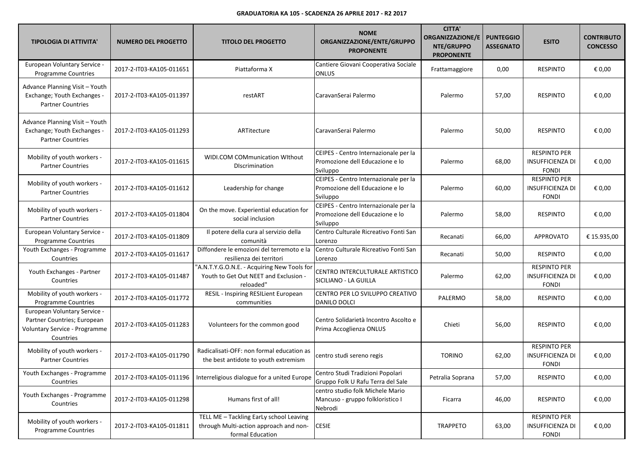| <b>TIPOLOGIA DI ATTIVITA'</b>                                                                             | <b>NUMERO DEL PROGETTO</b> | <b>TITOLO DEL PROGETTO</b>                                                                            | <b>NOME</b><br>ORGANIZZAZIONE/ENTE/GRUPPO<br><b>PROPONENTE</b>                       | <b>CITTA'</b><br><b>ORGANIZZAZIONE/E</b><br>NTE/GRUPPO<br><b>PROPONENTE</b> | <b>PUNTEGGIO</b><br><b>ASSEGNATO</b> | <b>ESITO</b>                                                   | <b>CONTRIBUTO</b><br><b>CONCESSO</b> |
|-----------------------------------------------------------------------------------------------------------|----------------------------|-------------------------------------------------------------------------------------------------------|--------------------------------------------------------------------------------------|-----------------------------------------------------------------------------|--------------------------------------|----------------------------------------------------------------|--------------------------------------|
| European Voluntary Service -<br><b>Programme Countries</b>                                                | 2017-2-IT03-KA105-011651   | Piattaforma X                                                                                         | Cantiere Giovani Cooperativa Sociale<br>ONLUS                                        | Frattamaggiore                                                              | 0,00                                 | <b>RESPINTO</b>                                                | € 0,00                               |
| Advance Planning Visit - Youth<br>Exchange; Youth Exchanges -<br><b>Partner Countries</b>                 | 2017-2-IT03-KA105-011397   | restART                                                                                               | CaravanSerai Palermo                                                                 | Palermo                                                                     | 57,00                                | <b>RESPINTO</b>                                                | € 0,00                               |
| Advance Planning Visit - Youth<br>Exchange; Youth Exchanges -<br><b>Partner Countries</b>                 | 2017-2-IT03-KA105-011293   | ARTitecture                                                                                           | CaravanSerai Palermo                                                                 | Palermo                                                                     | 50,00                                | <b>RESPINTO</b>                                                | € 0,00                               |
| Mobility of youth workers -<br><b>Partner Countries</b>                                                   | 2017-2-IT03-KA105-011615   | <b>WIDI.COM COMmunication WIthout</b><br>Discrimination                                               | CEIPES - Centro Internazionale per la<br>Promozione dell Educazione e lo<br>Sviluppo | Palermo                                                                     | 68,00                                | <b>RESPINTO PER</b><br><b>INSUFFICIENZA DI</b><br><b>FONDI</b> | € 0,00                               |
| Mobility of youth workers -<br><b>Partner Countries</b>                                                   | 2017-2-IT03-KA105-011612   | Leadership for change                                                                                 | CEIPES - Centro Internazionale per la<br>Promozione dell Educazione e lo<br>Sviluppo | Palermo                                                                     | 60,00                                | <b>RESPINTO PER</b><br><b>INSUFFICIENZA DI</b><br><b>FONDI</b> | € 0,00                               |
| Mobility of youth workers -<br><b>Partner Countries</b>                                                   | 2017-2-IT03-KA105-011804   | On the move. Experiential education for<br>social inclusion                                           | CEIPES - Centro Internazionale per la<br>Promozione dell Educazione e lo<br>Sviluppo | Palermo                                                                     | 58,00                                | <b>RESPINTO</b>                                                | € 0,00                               |
| European Voluntary Service -<br>Programme Countries                                                       | 2017-2-IT03-KA105-011809   | Il potere della cura al servizio della<br>comunità                                                    | Centro Culturale Ricreativo Fonti San<br>Lorenzo                                     | Recanati                                                                    | 66,00                                | APPROVATO                                                      | € 15.935,00                          |
| Youth Exchanges - Programme<br>Countries                                                                  | 2017-2-IT03-KA105-011617   | Diffondere le emozioni del terremoto e la<br>resilienza dei territori                                 | Centro Culturale Ricreativo Fonti San<br>Lorenzo                                     | Recanati                                                                    | 50,00                                | <b>RESPINTO</b>                                                | € 0,00                               |
| Youth Exchanges - Partner<br>Countries                                                                    | 2017-2-IT03-KA105-011487   | "A.N.T.Y.G.O.N.E. - Acquiring New Tools for<br>Youth to Get Out NEET and Exclusion -<br>reloaded"     | CENTRO INTERCULTURALE ARTISTICO<br>SICILIANO - LA GUILLA                             | Palermo                                                                     | 62,00                                | <b>RESPINTO PER</b><br><b>INSUFFICIENZA DI</b><br><b>FONDI</b> | € 0,00                               |
| Mobility of youth workers -<br>Programme Countries                                                        | 2017-2-IT03-KA105-011772   | RESIL - Inspiring RESILient European<br>communities                                                   | CENTRO PER LO SVILUPPO CREATIVO<br>DANILO DOLCI                                      | PALERMO                                                                     | 58,00                                | <b>RESPINTO</b>                                                | € 0,00                               |
| European Voluntary Service -<br>Partner Countries; European<br>Voluntary Service - Programme<br>Countries | 2017-2-IT03-KA105-011283   | Volunteers for the common good                                                                        | Centro Solidarietà Incontro Ascolto e<br>Prima Accoglienza ONLUS                     | Chieti                                                                      | 56,00                                | <b>RESPINTO</b>                                                | € 0,00                               |
| Mobility of youth workers -<br><b>Partner Countries</b>                                                   | 2017-2-IT03-KA105-011790   | Radicalisati-OFF: non formal education as<br>the best antidote to youth extremism                     | centro studi sereno regis                                                            | <b>TORINO</b>                                                               | 62,00                                | <b>RESPINTO PER</b><br><b>INSUFFICIENZA DI</b><br><b>FONDI</b> | € 0,00                               |
| Youth Exchanges - Programme<br>Countries                                                                  | 2017-2-IT03-KA105-011196   | Interreligious dialogue for a united Europe                                                           | Centro Studi Tradizioni Popolari<br>Gruppo Folk U Rafu Terra del Sale                | Petralia Soprana                                                            | 57,00                                | <b>RESPINTO</b>                                                | € 0,00                               |
| Youth Exchanges - Programme<br>Countries                                                                  | 2017-2-IT03-KA105-011298   | Humans first of all!                                                                                  | centro studio folk Michele Mario<br>Mancuso - gruppo folkloristico I<br>Nebrodi      | Ficarra                                                                     | 46,00                                | <b>RESPINTO</b>                                                | € 0,00                               |
| Mobility of youth workers -<br><b>Programme Countries</b>                                                 | 2017-2-IT03-KA105-011811   | TELL ME - Tackling EarLy school Leaving<br>through Multi-action approach and non-<br>formal Education | <b>CESIE</b>                                                                         | <b>TRAPPETO</b>                                                             | 63,00                                | <b>RESPINTO PER</b><br><b>INSUFFICIENZA DI</b><br><b>FONDI</b> | € 0,00                               |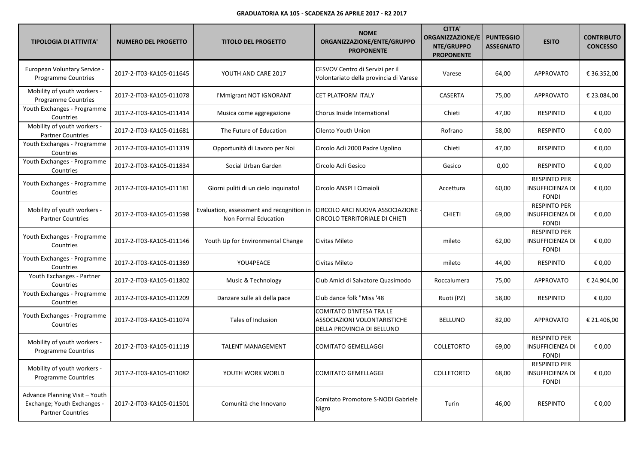| <b>TIPOLOGIA DI ATTIVITA'</b>                                                             | <b>NUMERO DEL PROGETTO</b> | <b>TITOLO DEL PROGETTO</b>                                        | <b>NOME</b><br>ORGANIZZAZIONE/ENTE/GRUPPO<br><b>PROPONENTE</b>                         | <b>CITTA'</b><br><b>ORGANIZZAZIONE/E</b><br>NTE/GRUPPO<br><b>PROPONENTE</b> | <b>PUNTEGGIO</b><br><b>ASSEGNATO</b> | <b>ESITO</b>                                                   | <b>CONTRIBUTO</b><br><b>CONCESSO</b> |
|-------------------------------------------------------------------------------------------|----------------------------|-------------------------------------------------------------------|----------------------------------------------------------------------------------------|-----------------------------------------------------------------------------|--------------------------------------|----------------------------------------------------------------|--------------------------------------|
| European Voluntary Service -<br>Programme Countries                                       | 2017-2-IT03-KA105-011645   | YOUTH AND CARE 2017                                               | CESVOV Centro di Servizi per il<br>Volontariato della provincia di Varese              | Varese                                                                      | 64,00                                | APPROVATO                                                      | € 36.352,00                          |
| Mobility of youth workers -<br><b>Programme Countries</b>                                 | 2017-2-IT03-KA105-011078   | I'Mmigrant NOT IGNORANT                                           | CET PLATFORM ITALY                                                                     | CASERTA                                                                     | 75,00                                | <b>APPROVATO</b>                                               | € 23.084,00                          |
| Youth Exchanges - Programme<br>Countries                                                  | 2017-2-IT03-KA105-011414   | Musica come aggregazione                                          | Chorus Inside International                                                            | Chieti                                                                      | 47,00                                | <b>RESPINTO</b>                                                | € 0,00                               |
| Mobility of youth workers -<br><b>Partner Countries</b>                                   | 2017-2-IT03-KA105-011681   | The Future of Education                                           | Cilento Youth Union                                                                    | Rofrano                                                                     | 58,00                                | <b>RESPINTO</b>                                                | € 0,00                               |
| Youth Exchanges - Programme<br>Countries                                                  | 2017-2-IT03-KA105-011319   | Opportunità di Lavoro per Noi                                     | Circolo Acli 2000 Padre Ugolino                                                        | Chieti                                                                      | 47,00                                | <b>RESPINTO</b>                                                | € 0,00                               |
| Youth Exchanges - Programme<br>Countries                                                  | 2017-2-IT03-KA105-011834   | Social Urban Garden                                               | Circolo Acli Gesico                                                                    | Gesico                                                                      | 0,00                                 | <b>RESPINTO</b>                                                | € 0,00                               |
| Youth Exchanges - Programme<br>Countries                                                  | 2017-2-IT03-KA105-011181   | Giorni puliti di un cielo inquinato!                              | Circolo ANSPI I Cimaioli                                                               | Accettura                                                                   | 60,00                                | <b>RESPINTO PER</b><br><b>INSUFFICIENZA DI</b><br><b>FONDI</b> | € 0.00                               |
| Mobility of youth workers -<br><b>Partner Countries</b>                                   | 2017-2-IT03-KA105-011598   | Evaluation, assessment and recognition in<br>Non Formal Education | CIRCOLO ARCI NUOVA ASSOCIAZIONE<br>CIRCOLO TERRITORIALE DI CHIETI                      | <b>CHIETI</b>                                                               | 69,00                                | <b>RESPINTO PER</b><br><b>INSUFFICIENZA DI</b><br><b>FONDI</b> | € 0,00                               |
| Youth Exchanges - Programme<br>Countries                                                  | 2017-2-IT03-KA105-011146   | Youth Up for Environmental Change                                 | Civitas Mileto                                                                         | mileto                                                                      | 62,00                                | <b>RESPINTO PER</b><br><b>INSUFFICIENZA DI</b><br><b>FONDI</b> | € 0,00                               |
| Youth Exchanges - Programme<br>Countries                                                  | 2017-2-IT03-KA105-011369   | YOU4PEACE                                                         | Civitas Mileto                                                                         | mileto                                                                      | 44,00                                | <b>RESPINTO</b>                                                | € 0,00                               |
| Youth Exchanges - Partner<br>Countries                                                    | 2017-2-IT03-KA105-011802   | Music & Technology                                                | Club Amici di Salvatore Quasimodo                                                      | Roccalumera                                                                 | 75,00                                | <b>APPROVATO</b>                                               | € 24.904,00                          |
| Youth Exchanges - Programme<br>Countries                                                  | 2017-2-IT03-KA105-011209   | Danzare sulle ali della pace                                      | Club dance folk "Miss '48                                                              | Ruoti (PZ)                                                                  | 58,00                                | <b>RESPINTO</b>                                                | € 0,00                               |
| Youth Exchanges - Programme<br>Countries                                                  | 2017-2-IT03-KA105-011074   | Tales of Inclusion                                                | COMITATO D'INTESA TRA LE<br>ASSOCIAZIONI VOLONTARISTICHE<br>DELLA PROVINCIA DI BELLUNO | <b>BELLUNO</b>                                                              | 82,00                                | <b>APPROVATO</b>                                               | € 21.406,00                          |
| Mobility of youth workers -<br><b>Programme Countries</b>                                 | 2017-2-IT03-KA105-011119   | <b>TALENT MANAGEMENT</b>                                          | <b>COMITATO GEMELLAGGI</b>                                                             | <b>COLLETORTO</b>                                                           | 69,00                                | <b>RESPINTO PER</b><br><b>INSUFFICIENZA DI</b><br><b>FONDI</b> | € 0,00                               |
| Mobility of youth workers -<br><b>Programme Countries</b>                                 | 2017-2-IT03-KA105-011082   | YOUTH WORK WORLD                                                  | <b>COMITATO GEMELLAGGI</b>                                                             | <b>COLLETORTO</b>                                                           | 68,00                                | <b>RESPINTO PER</b><br><b>INSUFFICIENZA DI</b><br><b>FONDI</b> | € 0,00                               |
| Advance Planning Visit - Youth<br>Exchange; Youth Exchanges -<br><b>Partner Countries</b> | 2017-2-IT03-KA105-011501   | Comunità che Innovano                                             | Comitato Promotore S-NODI Gabriele<br>Nigro                                            | Turin                                                                       | 46,00                                | <b>RESPINTO</b>                                                | € 0,00                               |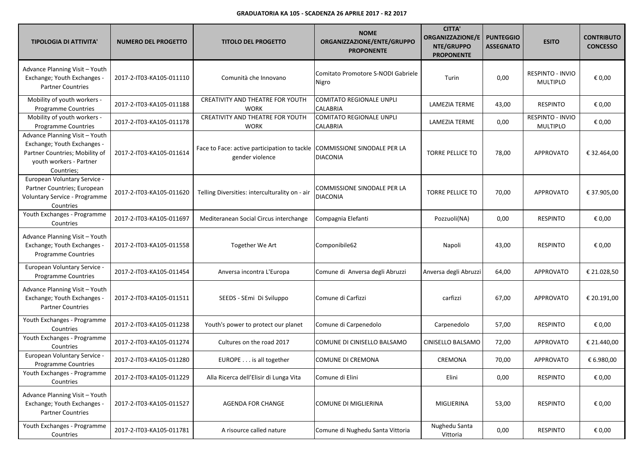| <b>TIPOLOGIA DI ATTIVITA'</b>                                                                                                            | <b>NUMERO DEL PROGETTO</b> | <b>TITOLO DEL PROGETTO</b>                                                                  | <b>NOME</b><br>ORGANIZZAZIONE/ENTE/GRUPPO<br><b>PROPONENTE</b> | <b>CITTA'</b><br><b>ORGANIZZAZIONE/E</b><br>NTE/GRUPPO<br><b>PROPONENTE</b> | <b>PUNTEGGIO</b><br><b>ASSEGNATO</b> | <b>ESITO</b>                               | <b>CONTRIBUTO</b><br><b>CONCESSO</b> |
|------------------------------------------------------------------------------------------------------------------------------------------|----------------------------|---------------------------------------------------------------------------------------------|----------------------------------------------------------------|-----------------------------------------------------------------------------|--------------------------------------|--------------------------------------------|--------------------------------------|
| Advance Planning Visit - Youth<br>Exchange; Youth Exchanges -<br><b>Partner Countries</b>                                                | 2017-2-IT03-KA105-011110   | Comunità che Innovano                                                                       | Comitato Promotore S-NODI Gabriele<br>Nigro                    | Turin                                                                       | 0,00                                 | RESPINTO - INVIO<br><b>MULTIPLO</b>        | € 0,00                               |
| Mobility of youth workers -<br><b>Programme Countries</b>                                                                                | 2017-2-IT03-KA105-011188   | CREATIVITY AND THEATRE FOR YOUTH<br><b>WORK</b>                                             | <b>COMITATO REGIONALE UNPLI</b><br>CALABRIA                    | <b>LAMEZIA TERME</b>                                                        | 43,00                                | <b>RESPINTO</b>                            | € 0,00                               |
| Mobility of youth workers -<br>Programme Countries                                                                                       | 2017-2-IT03-KA105-011178   | <b>CREATIVITY AND THEATRE FOR YOUTH</b><br><b>WORK</b>                                      | <b>COMITATO REGIONALE UNPLI</b><br><b>CALABRIA</b>             | <b>LAMEZIA TERME</b>                                                        | 0,00                                 | <b>RESPINTO - INVIO</b><br><b>MULTIPLO</b> | € 0,00                               |
| Advance Planning Visit - Youth<br>Exchange; Youth Exchanges -<br>Partner Countries; Mobility of<br>youth workers - Partner<br>Countries; | 2017-2-IT03-KA105-011614   | Face to Face: active participation to tackle COMMISSIONE SINODALE PER LA<br>gender violence | <b>DIACONIA</b>                                                | <b>TORRE PELLICE TO</b>                                                     | 78,00                                | <b>APPROVATO</b>                           | € 32.464,00                          |
| European Voluntary Service -<br>Partner Countries; European<br>Voluntary Service - Programme<br>Countries                                | 2017-2-IT03-KA105-011620   | Telling Diversities: interculturality on - air                                              | COMMISSIONE SINODALE PER LA<br><b>DIACONIA</b>                 | <b>TORRE PELLICE TO</b>                                                     | 70,00                                | <b>APPROVATO</b>                           | € 37.905,00                          |
| Youth Exchanges - Programme<br>Countries                                                                                                 | 2017-2-IT03-KA105-011697   | Mediteranean Social Circus interchange                                                      | Compagnia Elefanti                                             | Pozzuoli(NA)                                                                | 0,00                                 | <b>RESPINTO</b>                            | € 0,00                               |
| Advance Planning Visit - Youth<br>Exchange; Youth Exchanges -<br>Programme Countries                                                     | 2017-2-IT03-KA105-011558   | Together We Art                                                                             | Componibile62                                                  | Napoli                                                                      | 43,00                                | <b>RESPINTO</b>                            | € 0,00                               |
| European Voluntary Service -<br>Programme Countries                                                                                      | 2017-2-IT03-KA105-011454   | Anversa incontra L'Europa                                                                   | Comune di Anversa degli Abruzzi                                | Anversa degli Abruzzi                                                       | 64,00                                | <b>APPROVATO</b>                           | € 21.028,50                          |
| Advance Planning Visit - Youth<br>Exchange; Youth Exchanges -<br><b>Partner Countries</b>                                                | 2017-2-IT03-KA105-011511   | SEEDS - SEmi Di Sviluppo                                                                    | Comune di Carfizzi                                             | carfizzi                                                                    | 67,00                                | <b>APPROVATO</b>                           | € 20.191,00                          |
| Youth Exchanges - Programme<br>Countries                                                                                                 | 2017-2-IT03-KA105-011238   | Youth's power to protect our planet                                                         | Comune di Carpenedolo                                          | Carpenedolo                                                                 | 57,00                                | <b>RESPINTO</b>                            | € 0,00                               |
| Youth Exchanges - Programme<br>Countries                                                                                                 | 2017-2-IT03-KA105-011274   | Cultures on the road 2017                                                                   | COMUNE DI CINISELLO BALSAMO                                    | CINISELLO BALSAMO                                                           | 72,00                                | APPROVATO                                  | € 21.440,00                          |
| European Voluntary Service -<br>Programme Countries                                                                                      | 2017-2-IT03-KA105-011280   | EUROPE is all together                                                                      | COMUNE DI CREMONA                                              | CREMONA                                                                     | 70,00                                | <b>APPROVATO</b>                           | € 6.980,00                           |
| Youth Exchanges - Programme<br>Countries                                                                                                 | 2017-2-IT03-KA105-011229   | Alla Ricerca dell'Elisir di Lunga Vita                                                      | Comune di Elini                                                | Elini                                                                       | 0,00                                 | <b>RESPINTO</b>                            | € 0,00                               |
| Advance Planning Visit - Youth<br>Exchange; Youth Exchanges -<br><b>Partner Countries</b>                                                | 2017-2-IT03-KA105-011527   | AGENDA FOR CHANGE                                                                           | <b>COMUNE DI MIGLIERINA</b>                                    | MIGLIERINA                                                                  | 53,00                                | <b>RESPINTO</b>                            | € 0,00                               |
| Youth Exchanges - Programme<br>Countries                                                                                                 | 2017-2-IT03-KA105-011781   | A risource called nature                                                                    | Comune di Nughedu Santa Vittoria                               | Nughedu Santa<br>Vittoria                                                   | 0,00                                 | <b>RESPINTO</b>                            | € 0,00                               |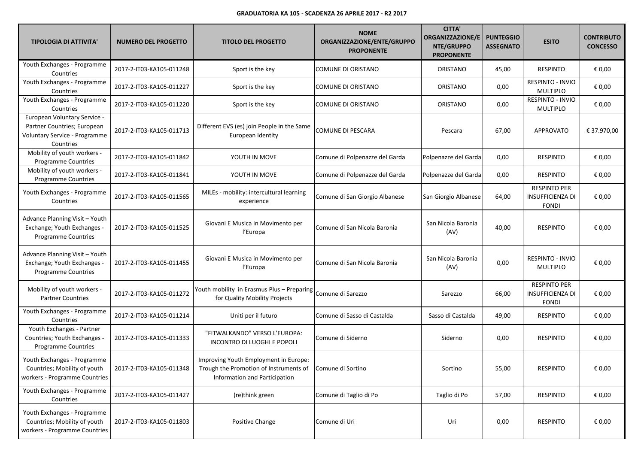| <b>TIPOLOGIA DI ATTIVITA'</b>                                                                             | <b>NUMERO DEL PROGETTO</b> | <b>TITOLO DEL PROGETTO</b>                                                                                       | <b>NOME</b><br>ORGANIZZAZIONE/ENTE/GRUPPO<br><b>PROPONENTE</b> | <b>CITTA'</b><br><b>ORGANIZZAZIONE/E</b><br>NTE/GRUPPO<br><b>PROPONENTE</b> | <b>PUNTEGGIO</b><br><b>ASSEGNATO</b> | <b>ESITO</b>                                                   | <b>CONTRIBUTO</b><br><b>CONCESSO</b> |
|-----------------------------------------------------------------------------------------------------------|----------------------------|------------------------------------------------------------------------------------------------------------------|----------------------------------------------------------------|-----------------------------------------------------------------------------|--------------------------------------|----------------------------------------------------------------|--------------------------------------|
| Youth Exchanges - Programme<br>Countries                                                                  | 2017-2-IT03-KA105-011248   | Sport is the key                                                                                                 | COMUNE DI ORISTANO                                             | ORISTANO                                                                    | 45,00                                | <b>RESPINTO</b>                                                | € 0,00                               |
| Youth Exchanges - Programme<br>Countries                                                                  | 2017-2-IT03-KA105-011227   | Sport is the key                                                                                                 | COMUNE DI ORISTANO                                             | ORISTANO                                                                    | 0,00                                 | RESPINTO - INVIO<br><b>MULTIPLO</b>                            | € 0,00                               |
| Youth Exchanges - Programme<br>Countries                                                                  | 2017-2-IT03-KA105-011220   | Sport is the key                                                                                                 | COMUNE DI ORISTANO                                             | ORISTANO                                                                    | 0,00                                 | RESPINTO - INVIO<br><b>MULTIPLO</b>                            | € 0,00                               |
| European Voluntary Service -<br>Partner Countries; European<br>Voluntary Service - Programme<br>Countries | 2017-2-IT03-KA105-011713   | Different EVS (es) join People in the Same<br>European Identity                                                  | COMUNE DI PESCARA                                              | Pescara                                                                     | 67,00                                | <b>APPROVATO</b>                                               | € 37.970,00                          |
| Mobility of youth workers -<br><b>Programme Countries</b>                                                 | 2017-2-IT03-KA105-011842   | YOUTH IN MOVE                                                                                                    | Comune di Polpenazze del Garda                                 | Polpenazze del Garda                                                        | 0,00                                 | <b>RESPINTO</b>                                                | € 0,00                               |
| Mobility of youth workers -<br><b>Programme Countries</b>                                                 | 2017-2-IT03-KA105-011841   | YOUTH IN MOVE                                                                                                    | Comune di Polpenazze del Garda                                 | Polpenazze del Garda                                                        | 0,00                                 | <b>RESPINTO</b>                                                | € 0,00                               |
| Youth Exchanges - Programme<br>Countries                                                                  | 2017-2-IT03-KA105-011565   | MILEs - mobility: intercultural learning<br>experience                                                           | Comune di San Giorgio Albanese                                 | San Giorgio Albanese                                                        | 64,00                                | <b>RESPINTO PER</b><br><b>INSUFFICIENZA DI</b><br><b>FONDI</b> | € 0,00                               |
| Advance Planning Visit - Youth<br>Exchange; Youth Exchanges -<br>Programme Countries                      | 2017-2-IT03-KA105-011525   | Giovani E Musica in Movimento per<br>l'Europa                                                                    | Comune di San Nicola Baronia                                   | San Nicola Baronia<br>(AV)                                                  | 40,00                                | <b>RESPINTO</b>                                                | € 0,00                               |
| Advance Planning Visit - Youth<br>Exchange; Youth Exchanges -<br>Programme Countries                      | 2017-2-IT03-KA105-011455   | Giovani E Musica in Movimento per<br>l'Europa                                                                    | Comune di San Nicola Baronia                                   | San Nicola Baronia<br>(AV)                                                  | 0,00                                 | <b>RESPINTO - INVIO</b><br><b>MULTIPLO</b>                     | € 0,00                               |
| Mobility of youth workers -<br><b>Partner Countries</b>                                                   | 2017-2-IT03-KA105-011272   | Youth mobility in Erasmus Plus - Preparing<br>for Quality Mobility Projects                                      | Comune di Sarezzo                                              | Sarezzo                                                                     | 66,00                                | <b>RESPINTO PER</b><br><b>INSUFFICIENZA DI</b><br><b>FONDI</b> | € 0,00                               |
| Youth Exchanges - Programme<br>Countries                                                                  | 2017-2-IT03-KA105-011214   | Uniti per il futuro                                                                                              | Comune di Sasso di Castalda                                    | Sasso di Castalda                                                           | 49,00                                | <b>RESPINTO</b>                                                | € 0,00                               |
| Youth Exchanges - Partner<br>Countries; Youth Exchanges -<br><b>Programme Countries</b>                   | 2017-2-IT03-KA105-011333   | "FITWALKANDO" VERSO L'EUROPA:<br>INCONTRO DI LUOGHI E POPOLI                                                     | Comune di Siderno                                              | Siderno                                                                     | 0,00                                 | <b>RESPINTO</b>                                                | € 0,00                               |
| Youth Exchanges - Programme<br>Countries; Mobility of youth<br>workers - Programme Countries              | 2017-2-IT03-KA105-011348   | Improving Youth Employment in Europe:<br>Trough the Promotion of Instruments of<br>Information and Participation | Comune di Sortino                                              | Sortino                                                                     | 55,00                                | <b>RESPINTO</b>                                                | $\epsilon$ 0,00                      |
| Youth Exchanges - Programme<br>Countries                                                                  | 2017-2-IT03-KA105-011427   | (re)think green                                                                                                  | Comune di Taglio di Po                                         | Taglio di Po                                                                | 57,00                                | <b>RESPINTO</b>                                                | € 0,00                               |
| Youth Exchanges - Programme<br>Countries; Mobility of youth<br>workers - Programme Countries              | 2017-2-IT03-KA105-011803   | Positive Change                                                                                                  | Comune di Uri                                                  | Uri                                                                         | 0,00                                 | <b>RESPINTO</b>                                                | € 0,00                               |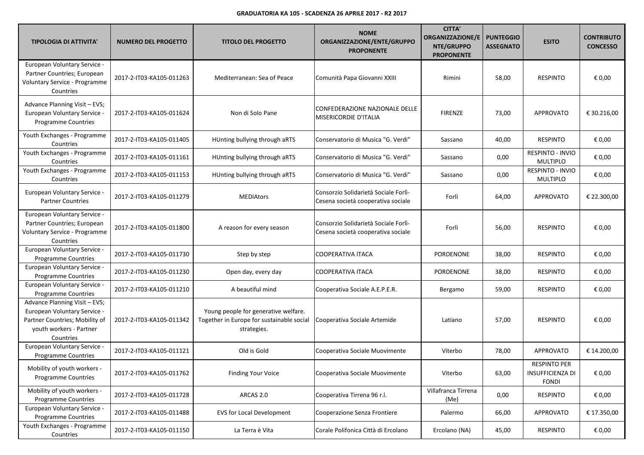| <b>TIPOLOGIA DI ATTIVITA'</b>                                                                                                           | <b>NUMERO DEL PROGETTO</b> | <b>TITOLO DEL PROGETTO</b>                                                                       | <b>NOME</b><br>ORGANIZZAZIONE/ENTE/GRUPPO<br><b>PROPONENTE</b>             | <b>CITTA'</b><br><b>ORGANIZZAZIONE/E</b><br>NTE/GRUPPO<br><b>PROPONENTE</b> | <b>PUNTEGGIO</b><br><b>ASSEGNATO</b> | <b>ESITO</b>                                                   | <b>CONTRIBUTO</b><br><b>CONCESSO</b> |
|-----------------------------------------------------------------------------------------------------------------------------------------|----------------------------|--------------------------------------------------------------------------------------------------|----------------------------------------------------------------------------|-----------------------------------------------------------------------------|--------------------------------------|----------------------------------------------------------------|--------------------------------------|
| European Voluntary Service -<br>Partner Countries; European<br>Voluntary Service - Programme<br>Countries                               | 2017-2-IT03-KA105-011263   | Mediterranean: Sea of Peace                                                                      | Comunità Papa Giovanni XXIII                                               | Rimini                                                                      | 58,00                                | <b>RESPINTO</b>                                                | € 0,00                               |
| Advance Planning Visit - EVS;<br>European Voluntary Service -<br><b>Programme Countries</b>                                             | 2017-2-IT03-KA105-011624   | Non di Solo Pane                                                                                 | CONFEDERAZIONE NAZIONALE DELLE<br>MISERICORDIE D'ITALIA                    | <b>FIRENZE</b>                                                              | 73,00                                | <b>APPROVATO</b>                                               | € 30.216,00                          |
| Youth Exchanges - Programme<br>Countries                                                                                                | 2017-2-IT03-KA105-011405   | HUnting bullying through aRTS                                                                    | Conservatorio di Musica "G. Verdi"                                         | Sassano                                                                     | 40,00                                | <b>RESPINTO</b>                                                | € 0,00                               |
| Youth Exchanges - Programme<br>Countries                                                                                                | 2017-2-IT03-KA105-011161   | HUnting bullying through aRTS                                                                    | Conservatorio di Musica "G. Verdi"                                         | Sassano                                                                     | 0,00                                 | RESPINTO - INVIO<br>MULTIPLO                                   | € 0,00                               |
| Youth Exchanges - Programme<br>Countries                                                                                                | 2017-2-IT03-KA105-011153   | HUnting bullying through aRTS                                                                    | Conservatorio di Musica "G. Verdi"                                         | Sassano                                                                     | 0,00                                 | RESPINTO - INVIO<br><b>MULTIPLO</b>                            | € 0,00                               |
| European Voluntary Service -<br><b>Partner Countries</b>                                                                                | 2017-2-IT03-KA105-011279   | <b>MEDIAtors</b>                                                                                 | Consorzio Solidarietà Sociale Forlì-<br>Cesena società cooperativa sociale | Forlì                                                                       | 64,00                                | <b>APPROVATO</b>                                               | € 22.300,00                          |
| European Voluntary Service -<br>Partner Countries; European<br>Voluntary Service - Programme<br>Countries                               | 2017-2-IT03-KA105-011800   | A reason for every season                                                                        | Consorzio Solidarietà Sociale Forlì-<br>Cesena società cooperativa sociale | Forlì                                                                       | 56,00                                | <b>RESPINTO</b>                                                | € 0,00                               |
| European Voluntary Service -<br>Programme Countries                                                                                     | 2017-2-IT03-KA105-011730   | Step by step                                                                                     | <b>COOPERATIVA ITACA</b>                                                   | PORDENONE                                                                   | 38,00                                | <b>RESPINTO</b>                                                | € 0,00                               |
| European Voluntary Service -<br>Programme Countries                                                                                     | 2017-2-IT03-KA105-011230   | Open day, every day                                                                              | COOPERATIVA ITACA                                                          | PORDENONE                                                                   | 38,00                                | <b>RESPINTO</b>                                                | € 0,00                               |
| European Voluntary Service -<br><b>Programme Countries</b>                                                                              | 2017-2-IT03-KA105-011210   | A beautiful mind                                                                                 | Cooperativa Sociale A.E.P.E.R.                                             | Bergamo                                                                     | 59,00                                | <b>RESPINTO</b>                                                | € 0,00                               |
| Advance Planning Visit - EVS;<br>European Voluntary Service -<br>Partner Countries; Mobility of<br>youth workers - Partner<br>Countries | 2017-2-IT03-KA105-011342   | Young people for generative welfare.<br>Together in Europe for sustainable social<br>strategies. | Cooperativa Sociale Artemide                                               | Latiano                                                                     | 57,00                                | <b>RESPINTO</b>                                                | € 0,00                               |
| European Voluntary Service -<br><b>Programme Countries</b>                                                                              | 2017-2-IT03-KA105-011121   | Old is Gold                                                                                      | Cooperativa Sociale Muovimente                                             | Viterbo                                                                     | 78,00                                | <b>APPROVATO</b>                                               | € 14.200,00                          |
| Mobility of youth workers -<br><b>Programme Countries</b>                                                                               | 2017-2-IT03-KA105-011762   | <b>Finding Your Voice</b>                                                                        | Cooperativa Sociale Muovimente                                             | Viterbo                                                                     | 63,00                                | <b>RESPINTO PER</b><br><b>INSUFFICIENZA DI</b><br><b>FONDI</b> | € 0,00                               |
| Mobility of youth workers -<br>Programme Countries                                                                                      | 2017-2-IT03-KA105-011728   | ARCAS 2.0                                                                                        | Cooperativa Tirrena 96 r.l.                                                | Villafranca Tirrena<br>(Me)                                                 | 0,00                                 | RESPINTO                                                       | € 0,00                               |
| European Voluntary Service -<br><b>Programme Countries</b>                                                                              | 2017-2-IT03-KA105-011488   | <b>EVS for Local Development</b>                                                                 | Cooperazione Senza Frontiere                                               | Palermo                                                                     | 66,00                                | <b>APPROVATO</b>                                               | € 17.350,00                          |
| Youth Exchanges - Programme<br>Countries                                                                                                | 2017-2-IT03-KA105-011150   | La Terra è Vita                                                                                  | Corale Polifonica Città di Ercolano                                        | Ercolano (NA)                                                               | 45,00                                | <b>RESPINTO</b>                                                | € 0,00                               |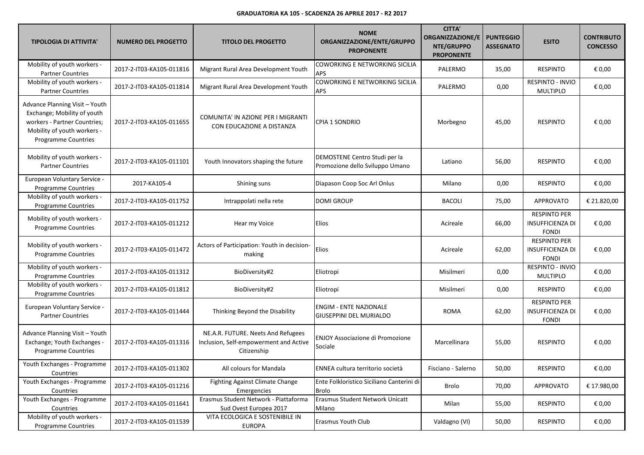| <b>TIPOLOGIA DI ATTIVITA'</b>                                                                                                                       | <b>NUMERO DEL PROGETTO</b> | <b>TITOLO DEL PROGETTO</b>                                                                  | <b>NOME</b><br>ORGANIZZAZIONE/ENTE/GRUPPO<br><b>PROPONENTE</b>   | <b>CITTA'</b><br><b>ORGANIZZAZIONE/E</b><br>NTE/GRUPPO<br><b>PROPONENTE</b> | <b>PUNTEGGIO</b><br><b>ASSEGNATO</b> | <b>ESITO</b>                                                   | <b>CONTRIBUTO</b><br><b>CONCESSO</b> |
|-----------------------------------------------------------------------------------------------------------------------------------------------------|----------------------------|---------------------------------------------------------------------------------------------|------------------------------------------------------------------|-----------------------------------------------------------------------------|--------------------------------------|----------------------------------------------------------------|--------------------------------------|
| Mobility of youth workers -<br><b>Partner Countries</b>                                                                                             | 2017-2-IT03-KA105-011816   | Migrant Rural Area Development Youth                                                        | COWORKING E NETWORKING SICILIA<br>APS                            | PALERMO                                                                     | 35,00                                | <b>RESPINTO</b>                                                | € 0,00                               |
| Mobility of youth workers -<br><b>Partner Countries</b>                                                                                             | 2017-2-IT03-KA105-011814   | Migrant Rural Area Development Youth                                                        | COWORKING E NETWORKING SICILIA<br>APS                            | PALERMO                                                                     | 0,00                                 | RESPINTO - INVIO<br>MULTIPLO                                   | € 0,00                               |
| Advance Planning Visit - Youth<br>Exchange; Mobility of youth<br>workers - Partner Countries;<br>Mobility of youth workers -<br>Programme Countries | 2017-2-IT03-KA105-011655   | COMUNITA' IN AZIONE PER I MIGRANTI<br>CON EDUCAZIONE A DISTANZA                             | <b>CPIA 1 SONDRIO</b>                                            | Morbegno                                                                    | 45,00                                | <b>RESPINTO</b>                                                | € 0,00                               |
| Mobility of youth workers -<br><b>Partner Countries</b>                                                                                             | 2017-2-IT03-KA105-011101   | Youth Innovators shaping the future                                                         | DEMOSTENE Centro Studi per la<br>Promozione dello Sviluppo Umano | Latiano                                                                     | 56,00                                | <b>RESPINTO</b>                                                | € 0,00                               |
| European Voluntary Service -<br>Programme Countries                                                                                                 | 2017-KA105-4               | Shining suns                                                                                | Diapason Coop Soc Arl Onlus                                      | Milano                                                                      | 0,00                                 | <b>RESPINTO</b>                                                | € 0,00                               |
| Mobility of youth workers -<br>Programme Countries                                                                                                  | 2017-2-IT03-KA105-011752   | Intrappolati nella rete                                                                     | <b>DOMI GROUP</b>                                                | <b>BACOLI</b>                                                               | 75,00                                | <b>APPROVATO</b>                                               | € 21.820,00                          |
| Mobility of youth workers -<br><b>Programme Countries</b>                                                                                           | 2017-2-IT03-KA105-011212   | Hear my Voice                                                                               | Elios                                                            | Acireale                                                                    | 66,00                                | <b>RESPINTO PER</b><br>INSUFFICIENZA DI<br><b>FONDI</b>        | € 0,00                               |
| Mobility of youth workers -<br>Programme Countries                                                                                                  | 2017-2-IT03-KA105-011472   | Actors of Participation: Youth in decision-<br>making                                       | Elios                                                            | Acireale                                                                    | 62,00                                | <b>RESPINTO PER</b><br><b>INSUFFICIENZA DI</b><br><b>FONDI</b> | € 0,00                               |
| Mobility of youth workers -<br>Programme Countries                                                                                                  | 2017-2-IT03-KA105-011312   | BioDiversity#2                                                                              | Eliotropi                                                        | Misilmeri                                                                   | 0,00                                 | RESPINTO - INVIO<br><b>MULTIPLO</b>                            | € 0,00                               |
| Mobility of youth workers -<br><b>Programme Countries</b>                                                                                           | 2017-2-IT03-KA105-011812   | BioDiversity#2                                                                              | Eliotropi                                                        | Misilmeri                                                                   | 0,00                                 | <b>RESPINTO</b>                                                | € 0,00                               |
| European Voluntary Service -<br><b>Partner Countries</b>                                                                                            | 2017-2-IT03-KA105-011444   | Thinking Beyond the Disability                                                              | <b>ENGIM - ENTE NAZIONALE</b><br><b>GIUSEPPINI DEL MURIALDO</b>  | <b>ROMA</b>                                                                 | 62,00                                | <b>RESPINTO PER</b><br><b>INSUFFICIENZA DI</b><br><b>FONDI</b> | € 0,00                               |
| Advance Planning Visit - Youth<br>Exchange; Youth Exchanges -<br><b>Programme Countries</b>                                                         | 2017-2-IT03-KA105-011316   | NE.A.R. FUTURE. Neets And Refugees<br>Inclusion, Self-empowerment and Active<br>Citizenship | <b>ENJOY Associazione di Promozione</b><br>Sociale               | Marcellinara                                                                | 55,00                                | <b>RESPINTO</b>                                                | € 0,00                               |
| Youth Exchanges - Programme<br>Countries                                                                                                            | 2017-2-IT03-KA105-011302   | All colours for Mandala                                                                     | ENNEA cultura territorio società                                 | Fisciano - Salerno                                                          | 50,00                                | <b>RESPINTO</b>                                                | $\epsilon$ 0,00                      |
| Youth Exchanges - Programme<br>Countries                                                                                                            | 2017-2-IT03-KA105-011216   | <b>Fighting Against Climate Change</b><br>Emergencies                                       | Ente Folkloristico Siciliano Canterini di<br><b>Brolo</b>        | Brolo                                                                       | 70,00                                | APPROVATO                                                      | € 17.980,00                          |
| Youth Exchanges - Programme<br>Countries                                                                                                            | 2017-2-IT03-KA105-011641   | Erasmus Student Network - Piattaforma<br>Sud Ovest Europea 2017                             | Erasmus Student Network Unicatt<br>Milano                        | Milan                                                                       | 55,00                                | <b>RESPINTO</b>                                                | € 0,00                               |
| Mobility of youth workers -<br>Programme Countries                                                                                                  | 2017-2-IT03-KA105-011539   | VITA ECOLOGICA E SOSTENIBILE IN<br><b>EUROPA</b>                                            | Erasmus Youth Club                                               | Valdagno (VI)                                                               | 50,00                                | <b>RESPINTO</b>                                                | € 0,00                               |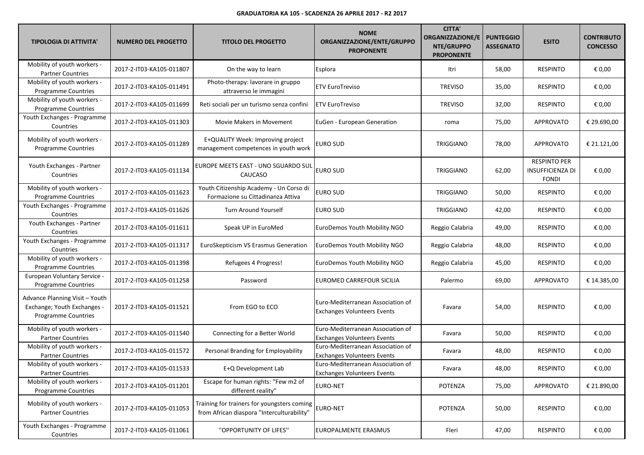| <b>TIPOLOGIA DI ATTIVITA'</b>                                                               | <b>NUMERO DEL PROGETTO</b> | <b>TITOLO DEL PROGETTO</b>                                                                | <b>NOME</b><br>ORGANIZZAZIONE/ENTE/GRUPPO<br><b>PROPONENTE</b>          | <b>CITTA'</b><br><b>ORGANIZZAZIONE/E</b><br>NTE/GRUPPO<br><b>PROPONENTE</b> | <b>PUNTEGGIO</b><br><b>ASSEGNATO</b> | <b>ESITO</b>                                                   | <b>CONTRIBUTO</b><br><b>CONCESSO</b> |
|---------------------------------------------------------------------------------------------|----------------------------|-------------------------------------------------------------------------------------------|-------------------------------------------------------------------------|-----------------------------------------------------------------------------|--------------------------------------|----------------------------------------------------------------|--------------------------------------|
| Mobility of youth workers -<br><b>Partner Countries</b>                                     | 2017-2-IT03-KA105-011807   | On the way to learn                                                                       | Esplora                                                                 | Itri                                                                        | 58,00                                | <b>RESPINTO</b>                                                | € 0,00                               |
| Mobility of youth workers -<br>Programme Countries                                          | 2017-2-IT03-KA105-011491   | Photo-therapy: lavorare in gruppo<br>attraverso le immagini                               | <b>ETV EuroTreviso</b>                                                  | <b>TREVISO</b>                                                              | 35,00                                | <b>RESPINTO</b>                                                | € 0,00                               |
| Mobility of youth workers -<br>Programme Countries                                          | 2017-2-IT03-KA105-011699   | Reti sociali per un turismo senza confini                                                 | <b>ETV EuroTreviso</b>                                                  | <b>TREVISO</b>                                                              | 32,00                                | <b>RESPINTO</b>                                                | € 0,00                               |
| Youth Exchanges - Programme<br>Countries                                                    | 2017-2-IT03-KA105-011303   | Movie Makers in Movement                                                                  | EuGen - European Generation                                             | roma                                                                        | 75,00                                | APPROVATO                                                      | € 29.690,00                          |
| Mobility of youth workers -<br>Programme Countries                                          | 2017-2-IT03-KA105-011289   | E+QUALITY Week: Improving project<br>management competences in youth work                 | EURO SUD                                                                | TRIGGIANO                                                                   | 78,00                                | <b>APPROVATO</b>                                               | € 21.121,00                          |
| Youth Exchanges - Partner<br>Countries                                                      | 2017-2-IT03-KA105-011134   | EUROPE MEETS EAST - UNO SGUARDO SUI<br>CAUCASO                                            | <b>EURO SUD</b>                                                         | TRIGGIANO                                                                   | 62,00                                | <b>RESPINTO PER</b><br><b>INSUFFICIENZA DI</b><br><b>FONDI</b> | € 0,00                               |
| Mobility of youth workers -<br>Programme Countries                                          | 2017-2-IT03-KA105-011623   | Youth Citizenship Academy - Un Corso di<br>Formazione su Cittadinanza Attiva              | <b>EURO SUD</b>                                                         | TRIGGIANO                                                                   | 50,00                                | <b>RESPINTO</b>                                                | € 0,00                               |
| Youth Exchanges - Programme<br>Countries                                                    | 2017-2-IT03-KA105-011626   | <b>Turn Around Yourself</b>                                                               | EURO SUD                                                                | TRIGGIANO                                                                   | 42,00                                | <b>RESPINTO</b>                                                | € 0,00                               |
| Youth Exchanges - Partner<br>Countries                                                      | 2017-2-IT03-KA105-011611   | Speak UP in EuroMed                                                                       | EuroDemos Youth Mobility NGO                                            | Reggio Calabria                                                             | 49,00                                | <b>RESPINTO</b>                                                | € 0,00                               |
| Youth Exchanges - Programme<br>Countries                                                    | 2017-2-IT03-KA105-011317   | EuroSkepticism VS Erasmus Generation                                                      | EuroDemos Youth Mobility NGO                                            | Reggio Calabria                                                             | 48,00                                | <b>RESPINTO</b>                                                | € 0,00                               |
| Mobility of youth workers -<br>Programme Countries                                          | 2017-2-IT03-KA105-011398   | Refugees 4 Progress!                                                                      | EuroDemos Youth Mobility NGO                                            | Reggio Calabria                                                             | 45,00                                | <b>RESPINTO</b>                                                | € 0,00                               |
| European Voluntary Service -<br><b>Programme Countries</b>                                  | 2017-2-IT03-KA105-011258   | Password                                                                                  | EUROMED CARREFOUR SICILIA                                               | Palermo                                                                     | 69,00                                | <b>APPROVATO</b>                                               | € 14.385,00                          |
| Advance Planning Visit - Youth<br>Exchange; Youth Exchanges -<br><b>Programme Countries</b> | 2017-2-IT03-KA105-011521   | From EGO to ECO                                                                           | Euro-Mediterranean Association of<br><b>Exchanges Volunteers Events</b> | Favara                                                                      | 54,00                                | <b>RESPINTO</b>                                                | € 0,00                               |
| Mobility of youth workers -<br><b>Partner Countries</b>                                     | 2017-2-IT03-KA105-011540   | Connecting for a Better World                                                             | Euro-Mediterranean Association of<br><b>Exchanges Volunteers Events</b> | Favara                                                                      | 50,00                                | <b>RESPINTO</b>                                                | € 0,00                               |
| Mobility of youth workers -<br><b>Partner Countries</b>                                     | 2017-2-IT03-KA105-011572   | Personal Branding for Employability                                                       | Euro-Mediterranean Association of<br><b>Exchanges Volunteers Events</b> | Favara                                                                      | 48,00                                | <b>RESPINTO</b>                                                | € 0,00                               |
| Mobility of youth workers -<br><b>Partner Countries</b>                                     | 2017-2-IT03-KA105-011533   | E+Q Development Lab                                                                       | Euro-Mediterranean Association of<br><b>Exchanges Volunteers Events</b> | Favara                                                                      | 48,00                                | <b>RESPINTO</b>                                                | $\epsilon$ 0,00                      |
| Mobility of youth workers -<br>Programme Countries                                          | 2017-2-IT03-KA105-011201   | Escape for human rights: "Few m2 of<br>different reality"                                 | EURO-NET                                                                | POTENZA                                                                     | 75,00                                | APPROVATO                                                      | € 21.890,00                          |
| Mobility of youth workers -<br><b>Partner Countries</b>                                     | 2017-2-IT03-KA105-011053   | Training for trainers for youngsters coming<br>from African diaspora "Interculturability" | EURO-NET                                                                | <b>POTENZA</b>                                                              | 50,00                                | <b>RESPINTO</b>                                                | € 0,00                               |
| Youth Exchanges - Programme<br>Countries                                                    | 2017-2-IT03-KA105-011061   | "OPPORTUNITY OF LIFES"                                                                    | EUROPALMENTE ERASMUS                                                    | Fleri                                                                       | 47,00                                | <b>RESPINTO</b>                                                | € 0,00                               |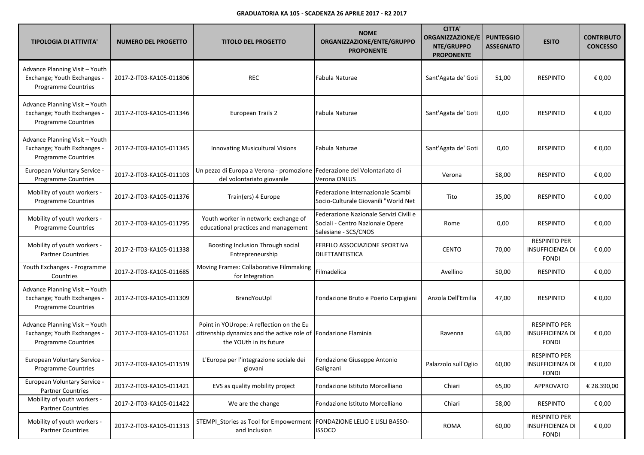| <b>TIPOLOGIA DI ATTIVITA'</b>                                                               | <b>NUMERO DEL PROGETTO</b> | <b>TITOLO DEL PROGETTO</b>                                                                                                             | <b>NOME</b><br>ORGANIZZAZIONE/ENTE/GRUPPO<br><b>PROPONENTE</b>                                     | <b>CITTA'</b><br><b>ORGANIZZAZIONE/E</b><br>NTE/GRUPPO<br><b>PROPONENTE</b> | <b>PUNTEGGIO</b><br><b>ASSEGNATO</b> | <b>ESITO</b>                                                   | <b>CONTRIBUTO</b><br><b>CONCESSO</b> |
|---------------------------------------------------------------------------------------------|----------------------------|----------------------------------------------------------------------------------------------------------------------------------------|----------------------------------------------------------------------------------------------------|-----------------------------------------------------------------------------|--------------------------------------|----------------------------------------------------------------|--------------------------------------|
| Advance Planning Visit - Youth<br>Exchange; Youth Exchanges -<br>Programme Countries        | 2017-2-IT03-KA105-011806   | <b>REC</b>                                                                                                                             | Fabula Naturae                                                                                     | Sant'Agata de' Goti                                                         | 51,00                                | <b>RESPINTO</b>                                                | € 0,00                               |
| Advance Planning Visit - Youth<br>Exchange; Youth Exchanges -<br>Programme Countries        | 2017-2-IT03-KA105-011346   | European Trails 2                                                                                                                      | Fabula Naturae                                                                                     | Sant'Agata de' Goti                                                         | 0,00                                 | <b>RESPINTO</b>                                                | € 0,00                               |
| Advance Planning Visit - Youth<br>Exchange; Youth Exchanges -<br>Programme Countries        | 2017-2-IT03-KA105-011345   | Innovating Musicultural Visions                                                                                                        | Fabula Naturae                                                                                     | Sant'Agata de' Goti                                                         | 0,00                                 | <b>RESPINTO</b>                                                | € 0,00                               |
| <b>European Voluntary Service -</b><br><b>Programme Countries</b>                           | 2017-2-IT03-KA105-011103   | Un pezzo di Europa a Verona - promozione Federazione del Volontariato di<br>del volontariato giovanile                                 | Verona ONLUS                                                                                       | Verona                                                                      | 58,00                                | <b>RESPINTO</b>                                                | € 0,00                               |
| Mobility of youth workers -<br>Programme Countries                                          | 2017-2-IT03-KA105-011376   | Train(ers) 4 Europe                                                                                                                    | Federazione Internazionale Scambi<br>Socio-Culturale Giovanili "World Net                          | Tito                                                                        | 35,00                                | <b>RESPINTO</b>                                                | € 0,00                               |
| Mobility of youth workers -<br><b>Programme Countries</b>                                   | 2017-2-IT03-KA105-011795   | Youth worker in network: exchange of<br>educational practices and management                                                           | Federazione Nazionale Servizi Civili e<br>Sociali - Centro Nazionale Opere<br>Salesiane - SCS/CNOS | Rome                                                                        | 0,00                                 | <b>RESPINTO</b>                                                | € 0,00                               |
| Mobility of youth workers -<br><b>Partner Countries</b>                                     | 2017-2-IT03-KA105-011338   | Boosting Inclusion Through social<br>Entrepreneurship                                                                                  | FERFILO ASSOCIAZIONE SPORTIVA<br>DILETTANTISTICA                                                   | <b>CENTO</b>                                                                | 70,00                                | <b>RESPINTO PER</b><br><b>INSUFFICIENZA DI</b><br><b>FONDI</b> | € 0,00                               |
| Youth Exchanges - Programme<br>Countries                                                    | 2017-2-IT03-KA105-011685   | Moving Frames: Collaborative Filmmaking<br>for Integration                                                                             | Filmadelica                                                                                        | Avellino                                                                    | 50,00                                | <b>RESPINTO</b>                                                | € 0,00                               |
| Advance Planning Visit - Youth<br>Exchange; Youth Exchanges -<br>Programme Countries        | 2017-2-IT03-KA105-011309   | BrandYouUp!                                                                                                                            | Fondazione Bruto e Poerio Carpigiani                                                               | Anzola Dell'Emilia                                                          | 47,00                                | <b>RESPINTO</b>                                                | € 0,00                               |
| Advance Planning Visit - Youth<br>Exchange; Youth Exchanges -<br><b>Programme Countries</b> | 2017-2-IT03-KA105-011261   | Point in YOUrope: A reflection on the Eu<br>citizenship dynamics and the active role of Fondazione Flaminia<br>the YOUth in its future |                                                                                                    | Ravenna                                                                     | 63,00                                | <b>RESPINTO PER</b><br><b>INSUFFICIENZA DI</b><br><b>FONDI</b> | € 0,00                               |
| European Voluntary Service -<br>Programme Countries                                         | 2017-2-IT03-KA105-011519   | L'Europa per l'integrazione sociale dei<br>giovani                                                                                     | Fondazione Giuseppe Antonio<br>Galignani                                                           | Palazzolo sull'Oglio                                                        | 60,00                                | <b>RESPINTO PER</b><br><b>INSUFFICIENZA DI</b><br><b>FONDI</b> | € 0,00                               |
| European Voluntary Service -<br><b>Partner Countries</b>                                    | 2017-2-IT03-KA105-011421   | EVS as quality mobility project                                                                                                        | Fondazione Istituto Morcelliano                                                                    | Chiari                                                                      | 65,00                                | <b>APPROVATO</b>                                               | € 28.390,00                          |
| Mobility of youth workers -<br><b>Partner Countries</b>                                     | 2017-2-IT03-KA105-011422   | We are the change                                                                                                                      | Fondazione Istituto Morcelliano                                                                    | Chiari                                                                      | 58,00                                | <b>RESPINTO</b>                                                | € 0,00                               |
| Mobility of youth workers -<br><b>Partner Countries</b>                                     | 2017-2-IT03-KA105-011313   | STEMPI Stories as Tool for Empowerment<br>and Inclusion                                                                                | <b>FONDAZIONE LELIO E LISLI BASSO-</b><br><b>ISSOCO</b>                                            | ROMA                                                                        | 60,00                                | <b>RESPINTO PER</b><br><b>INSUFFICIENZA DI</b><br><b>FONDI</b> | € 0,00                               |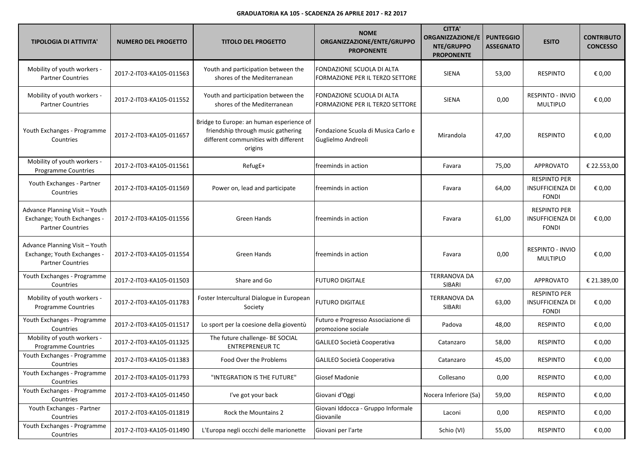| <b>TIPOLOGIA DI ATTIVITA'</b>                                                             | <b>NUMERO DEL PROGETTO</b> | <b>TITOLO DEL PROGETTO</b>                                                                                                        | <b>NOME</b><br>ORGANIZZAZIONE/ENTE/GRUPPO<br><b>PROPONENTE</b> | <b>CITTA'</b><br><b>ORGANIZZAZIONE/E</b><br>NTE/GRUPPO<br><b>PROPONENTE</b> | <b>PUNTEGGIO</b><br><b>ASSEGNATO</b> | <b>ESITO</b>                                                   | <b>CONTRIBUTO</b><br><b>CONCESSO</b> |
|-------------------------------------------------------------------------------------------|----------------------------|-----------------------------------------------------------------------------------------------------------------------------------|----------------------------------------------------------------|-----------------------------------------------------------------------------|--------------------------------------|----------------------------------------------------------------|--------------------------------------|
| Mobility of youth workers -<br><b>Partner Countries</b>                                   | 2017-2-IT03-KA105-011563   | Youth and participation between the<br>shores of the Mediterranean                                                                | FONDAZIONE SCUOLA DI ALTA<br>FORMAZIONE PER IL TERZO SETTORE   | <b>SIENA</b>                                                                | 53,00                                | <b>RESPINTO</b>                                                | € 0,00                               |
| Mobility of youth workers -<br><b>Partner Countries</b>                                   | 2017-2-IT03-KA105-011552   | Youth and participation between the<br>shores of the Mediterranean                                                                | FONDAZIONE SCUOLA DI ALTA<br>FORMAZIONE PER IL TERZO SETTORE   | <b>SIENA</b>                                                                | 0,00                                 | RESPINTO - INVIO<br>MULTIPLO                                   | € 0,00                               |
| Youth Exchanges - Programme<br>Countries                                                  | 2017-2-IT03-KA105-011657   | Bridge to Europe: an human esperience of<br>friendship through music gathering<br>different communities with different<br>origins | Fondazione Scuola di Musica Carlo e<br>Guglielmo Andreoli      | Mirandola                                                                   | 47,00                                | <b>RESPINTO</b>                                                | € 0,00                               |
| Mobility of youth workers -<br>Programme Countries                                        | 2017-2-IT03-KA105-011561   | RefugE+                                                                                                                           | freeminds in action                                            | Favara                                                                      | 75,00                                | APPROVATO                                                      | € 22.553,00                          |
| Youth Exchanges - Partner<br>Countries                                                    | 2017-2-IT03-KA105-011569   | Power on, lead and participate                                                                                                    | freeminds in action                                            | Favara                                                                      | 64,00                                | <b>RESPINTO PER</b><br><b>INSUFFICIENZA DI</b><br><b>FONDI</b> | € 0,00                               |
| Advance Planning Visit - Youth<br>Exchange; Youth Exchanges -<br><b>Partner Countries</b> | 2017-2-IT03-KA105-011556   | Green Hands                                                                                                                       | freeminds in action                                            | Favara                                                                      | 61,00                                | <b>RESPINTO PER</b><br><b>INSUFFICIENZA DI</b><br><b>FONDI</b> | € 0,00                               |
| Advance Planning Visit - Youth<br>Exchange; Youth Exchanges -<br><b>Partner Countries</b> | 2017-2-IT03-KA105-011554   | <b>Green Hands</b>                                                                                                                | freeminds in action                                            | Favara                                                                      | 0,00                                 | RESPINTO - INVIO<br><b>MULTIPLO</b>                            | € 0,00                               |
| Youth Exchanges - Programme<br>Countries                                                  | 2017-2-IT03-KA105-011503   | Share and Go                                                                                                                      | <b>FUTURO DIGITALE</b>                                         | <b>TERRANOVA DA</b><br>SIBARI                                               | 67,00                                | APPROVATO                                                      | € 21.389,00                          |
| Mobility of youth workers -<br>Programme Countries                                        | 2017-2-IT03-KA105-011783   | Foster Intercultural Dialogue in European<br>Society                                                                              | <b>FUTURO DIGITALE</b>                                         | <b>TERRANOVA DA</b><br>SIBARI                                               | 63,00                                | <b>RESPINTO PER</b><br><b>INSUFFICIENZA DI</b><br><b>FONDI</b> | € 0,00                               |
| Youth Exchanges - Programme<br>Countries                                                  | 2017-2-IT03-KA105-011517   | Lo sport per la coesione della gioventù                                                                                           | Futuro e Progresso Associazione di<br>promozione sociale       | Padova                                                                      | 48,00                                | <b>RESPINTO</b>                                                | € 0,00                               |
| Mobility of youth workers -<br>Programme Countries                                        | 2017-2-IT03-KA105-011325   | The future challenge- BE SOCIAL<br><b>ENTREPRENEUR TC</b>                                                                         | GALILEO Società Cooperativa                                    | Catanzaro                                                                   | 58,00                                | <b>RESPINTO</b>                                                | € 0,00                               |
| Youth Exchanges - Programme<br>Countries                                                  | 2017-2-IT03-KA105-011383   | Food Over the Problems                                                                                                            | GALILEO Società Cooperativa                                    | Catanzaro                                                                   | 45,00                                | <b>RESPINTO</b>                                                | € 0,00                               |
| Youth Exchanges - Programme<br>Countries                                                  | 2017-2-IT03-KA105-011793   | "INTEGRATION IS THE FUTURE"                                                                                                       | Giosef Madonie                                                 | Collesano                                                                   | 0,00                                 | <b>RESPINTO</b>                                                | € 0,00                               |
| Youth Exchanges - Programme<br>Countries                                                  | 2017-2-IT03-KA105-011450   | I've got your back                                                                                                                | Giovani d'Oggi                                                 | Nocera Inferiore (Sa)                                                       | 59,00                                | <b>RESPINTO</b>                                                | € 0,00                               |
| Youth Exchanges - Partner<br>Countries                                                    | 2017-2-IT03-KA105-011819   | Rock the Mountains 2                                                                                                              | Giovani Iddocca - Gruppo Informale<br>Giovanile                | Laconi                                                                      | 0,00                                 | <b>RESPINTO</b>                                                | € 0,00                               |
| Youth Exchanges - Programme<br>Countries                                                  | 2017-2-IT03-KA105-011490   | L'Europa negli occchi delle marionette                                                                                            | Giovani per l'arte                                             | Schio (VI)                                                                  | 55,00                                | <b>RESPINTO</b>                                                | € 0,00                               |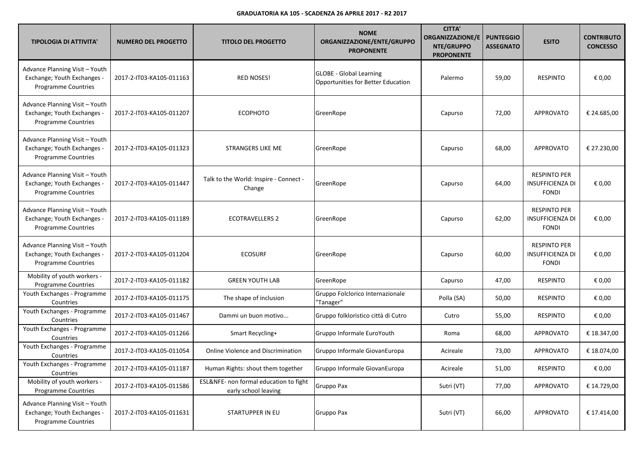| <b>TIPOLOGIA DI ATTIVITA'</b>                                                               | <b>NUMERO DEL PROGETTO</b> | <b>TITOLO DEL PROGETTO</b>                                     | <b>NOME</b><br>ORGANIZZAZIONE/ENTE/GRUPPO<br><b>PROPONENTE</b>       | <b>CITTA'</b><br><b>ORGANIZZAZIONE/E</b><br>NTE/GRUPPO<br><b>PROPONENTE</b> | <b>PUNTEGGIO</b><br><b>ASSEGNATO</b> | <b>ESITO</b>                                                   | <b>CONTRIBUTO</b><br><b>CONCESSO</b> |
|---------------------------------------------------------------------------------------------|----------------------------|----------------------------------------------------------------|----------------------------------------------------------------------|-----------------------------------------------------------------------------|--------------------------------------|----------------------------------------------------------------|--------------------------------------|
| Advance Planning Visit - Youth<br>Exchange; Youth Exchanges -<br>Programme Countries        | 2017-2-IT03-KA105-011163   | <b>RED NOSES!</b>                                              | <b>GLOBE - Global Learning</b><br>Opportunities for Better Education | Palermo                                                                     | 59,00                                | <b>RESPINTO</b>                                                | € 0,00                               |
| Advance Planning Visit - Youth<br>Exchange; Youth Exchanges -<br><b>Programme Countries</b> | 2017-2-IT03-KA105-011207   | <b>ECOPHOTO</b>                                                | GreenRope                                                            | Capurso                                                                     | 72,00                                | <b>APPROVATO</b>                                               | € 24.685,00                          |
| Advance Planning Visit - Youth<br>Exchange; Youth Exchanges -<br>Programme Countries        | 2017-2-IT03-KA105-011323   | STRANGERS LIKE ME                                              | GreenRope                                                            | Capurso                                                                     | 68,00                                | <b>APPROVATO</b>                                               | € 27.230,00                          |
| Advance Planning Visit - Youth<br>Exchange; Youth Exchanges -<br>Programme Countries        | 2017-2-IT03-KA105-011447   | Talk to the World: Inspire - Connect -<br>Change               | GreenRope                                                            | Capurso                                                                     | 64,00                                | <b>RESPINTO PER</b><br><b>INSUFFICIENZA DI</b><br><b>FONDI</b> | € 0,00                               |
| Advance Planning Visit - Youth<br>Exchange; Youth Exchanges -<br><b>Programme Countries</b> | 2017-2-IT03-KA105-011189   | <b>ECOTRAVELLERS 2</b>                                         | GreenRope                                                            | Capurso                                                                     | 62,00                                | <b>RESPINTO PER</b><br><b>INSUFFICIENZA DI</b><br><b>FONDI</b> | € 0,00                               |
| Advance Planning Visit - Youth<br>Exchange; Youth Exchanges -<br>Programme Countries        | 2017-2-IT03-KA105-011204   | <b>ECOSURF</b>                                                 | GreenRope                                                            | Capurso                                                                     | 60,00                                | <b>RESPINTO PER</b><br><b>INSUFFICIENZA DI</b><br><b>FONDI</b> | € 0,00                               |
| Mobility of youth workers -<br>Programme Countries                                          | 2017-2-IT03-KA105-011182   | <b>GREEN YOUTH LAB</b>                                         | GreenRope                                                            | Capurso                                                                     | 47,00                                | <b>RESPINTO</b>                                                | € 0,00                               |
| Youth Exchanges - Programme<br>Countries                                                    | 2017-2-IT03-KA105-011175   | The shape of inclusion                                         | Gruppo Folclorico Internazionale<br>"Tanager"                        | Polla (SA)                                                                  | 50,00                                | <b>RESPINTO</b>                                                | € 0,00                               |
| Youth Exchanges - Programme<br>Countries                                                    | 2017-2-IT03-KA105-011467   | Dammi un buon motivo                                           | Gruppo folkloristico città di Cutro                                  | Cutro                                                                       | 55,00                                | <b>RESPINTO</b>                                                | € 0,00                               |
| Youth Exchanges - Programme<br>Countries                                                    | 2017-2-IT03-KA105-011266   | Smart Recycling+                                               | Gruppo Informale EuroYouth                                           | Roma                                                                        | 68,00                                | <b>APPROVATO</b>                                               | € 18.347,00                          |
| Youth Exchanges - Programme<br>Countries                                                    | 2017-2-IT03-KA105-011054   | <b>Online Violence and Discrimination</b>                      | Gruppo Informale GiovanEuropa                                        | Acireale                                                                    | 73,00                                | APPROVATO                                                      | € 18.074,00                          |
| Youth Exchanges - Programme<br>Countries                                                    | 2017-2-IT03-KA105-011187   | Human Rights: shout them together                              | Gruppo Informale GiovanEuropa                                        | Acireale                                                                    | 51,00                                | <b>RESPINTO</b>                                                | € 0,00                               |
| Mobility of youth workers -<br>Programme Countries                                          | 2017-2-IT03-KA105-011586   | ESL&NFE- non formal education to fight<br>early school leaving | Gruppo Pax                                                           | Sutri (VT)                                                                  | 77,00                                | APPROVATO                                                      | € 14.729,00                          |
| Advance Planning Visit - Youth<br>Exchange; Youth Exchanges -<br>Programme Countries        | 2017-2-IT03-KA105-011631   | STARTUPPER IN EU                                               | Gruppo Pax                                                           | Sutri (VT)                                                                  | 66,00                                | <b>APPROVATO</b>                                               | € 17.414,00                          |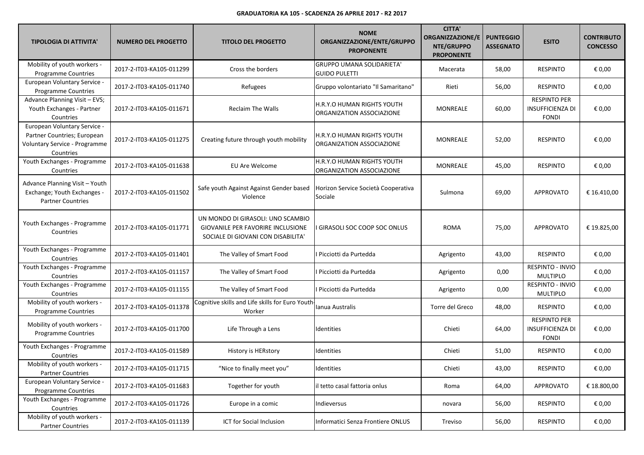| <b>TIPOLOGIA DI ATTIVITA'</b>                                                                             | <b>NUMERO DEL PROGETTO</b> | <b>TITOLO DEL PROGETTO</b>                                                                                   | <b>NOME</b><br>ORGANIZZAZIONE/ENTE/GRUPPO<br><b>PROPONENTE</b> | <b>CITTA'</b><br><b>ORGANIZZAZIONE/E</b><br>NTE/GRUPPO<br><b>PROPONENTE</b> | <b>PUNTEGGIO</b><br><b>ASSEGNATO</b> | <b>ESITO</b>                                                   | <b>CONTRIBUTO</b><br><b>CONCESSO</b> |
|-----------------------------------------------------------------------------------------------------------|----------------------------|--------------------------------------------------------------------------------------------------------------|----------------------------------------------------------------|-----------------------------------------------------------------------------|--------------------------------------|----------------------------------------------------------------|--------------------------------------|
| Mobility of youth workers -<br><b>Programme Countries</b>                                                 | 2017-2-IT03-KA105-011299   | Cross the borders                                                                                            | <b>GRUPPO UMANA SOLIDARIETA'</b><br><b>GUIDO PULETTI</b>       | Macerata                                                                    | 58,00                                | <b>RESPINTO</b>                                                | € 0,00                               |
| European Voluntary Service -<br>Programme Countries                                                       | 2017-2-IT03-KA105-011740   | Refugees                                                                                                     | Gruppo volontariato "Il Samaritano"                            | Rieti                                                                       | 56,00                                | <b>RESPINTO</b>                                                | € 0,00                               |
| Advance Planning Visit - EVS;<br>Youth Exchanges - Partner<br>Countries                                   | 2017-2-IT03-KA105-011671   | <b>Reclaim The Walls</b>                                                                                     | H.R.Y.O HUMAN RIGHTS YOUTH<br>ORGANIZATION ASSOCIAZIONE        | MONREALE                                                                    | 60,00                                | <b>RESPINTO PER</b><br><b>INSUFFICIENZA DI</b><br><b>FONDI</b> | € 0,00                               |
| European Voluntary Service -<br>Partner Countries; European<br>Voluntary Service - Programme<br>Countries | 2017-2-IT03-KA105-011275   | Creating future through youth mobility                                                                       | H.R.Y.O HUMAN RIGHTS YOUTH<br>ORGANIZATION ASSOCIAZIONE        | MONREALE                                                                    | 52,00                                | <b>RESPINTO</b>                                                | € 0,00                               |
| Youth Exchanges - Programme<br>Countries                                                                  | 2017-2-IT03-KA105-011638   | EU Are Welcome                                                                                               | H.R.Y.O HUMAN RIGHTS YOUTH<br>ORGANIZATION ASSOCIAZIONE        | MONREALE                                                                    | 45,00                                | <b>RESPINTO</b>                                                | € 0,00                               |
| Advance Planning Visit - Youth<br>Exchange; Youth Exchanges -<br><b>Partner Countries</b>                 | 2017-2-IT03-KA105-011502   | Safe youth Against Against Gender based<br>Violence                                                          | Horizon Service Società Cooperativa<br>Sociale                 | Sulmona                                                                     | 69,00                                | <b>APPROVATO</b>                                               | € 16.410,00                          |
| Youth Exchanges - Programme<br>Countries                                                                  | 2017-2-IT03-KA105-011771   | UN MONDO DI GIRASOLI: UNO SCAMBIO<br>GIOVANILE PER FAVORIRE INCLUSIONE<br>SOCIALE DI GIOVANI CON DISABILITA' | GIRASOLI SOC COOP SOC ONLUS                                    | <b>ROMA</b>                                                                 | 75,00                                | <b>APPROVATO</b>                                               | € 19.825,00                          |
| Youth Exchanges - Programme<br>Countries                                                                  | 2017-2-IT03-KA105-011401   | The Valley of Smart Food                                                                                     | Picciotti da Purtedda                                          | Agrigento                                                                   | 43,00                                | <b>RESPINTO</b>                                                | € 0,00                               |
| Youth Exchanges - Programme<br>Countries                                                                  | 2017-2-IT03-KA105-011157   | The Valley of Smart Food                                                                                     | Picciotti da Purtedda                                          | Agrigento                                                                   | 0,00                                 | RESPINTO - INVIO<br>MULTIPLO                                   | € 0,00                               |
| Youth Exchanges - Programme<br>Countries                                                                  | 2017-2-IT03-KA105-011155   | The Valley of Smart Food                                                                                     | Picciotti da Purtedda                                          | Agrigento                                                                   | 0,00                                 | RESPINTO - INVIO<br><b>MULTIPLO</b>                            | € 0,00                               |
| Mobility of youth workers -<br>Programme Countries                                                        | 2017-2-IT03-KA105-011378   | Cognitive skills and Life skills for Euro Youth<br>Worker                                                    | Ianua Australis                                                | Torre del Greco                                                             | 48,00                                | <b>RESPINTO</b>                                                | € 0,00                               |
| Mobility of youth workers -<br>Programme Countries                                                        | 2017-2-IT03-KA105-011700   | Life Through a Lens                                                                                          | Identities                                                     | Chieti                                                                      | 64,00                                | <b>RESPINTO PER</b><br><b>INSUFFICIENZA DI</b><br><b>FONDI</b> | € 0,00                               |
| Youth Exchanges - Programme<br>Countries                                                                  | 2017-2-IT03-KA105-011589   | History is HERstory                                                                                          | Identities                                                     | Chieti                                                                      | 51,00                                | <b>RESPINTO</b>                                                | € 0,00                               |
| Mobility of youth workers -<br><b>Partner Countries</b>                                                   | 2017-2-IT03-KA105-011715   | "Nice to finally meet you"                                                                                   | Identities                                                     | Chieti                                                                      | 43,00                                | <b>RESPINTO</b>                                                | € 0,00                               |
| European Voluntary Service -<br>Programme Countries                                                       | 2017-2-IT03-KA105-011683   | Together for youth                                                                                           | il tetto casal fattoria onlus                                  | Roma                                                                        | 64,00                                | APPROVATO                                                      | € 18.800,00                          |
| Youth Exchanges - Programme<br>Countries                                                                  | 2017-2-IT03-KA105-011726   | Europe in a comic                                                                                            | Indieversus                                                    | novara                                                                      | 56,00                                | <b>RESPINTO</b>                                                | € 0,00                               |
| Mobility of youth workers -<br><b>Partner Countries</b>                                                   | 2017-2-IT03-KA105-011139   | ICT for Social Inclusion                                                                                     | Informatici Senza Frontiere ONLUS                              | Treviso                                                                     | 56,00                                | <b>RESPINTO</b>                                                | € 0,00                               |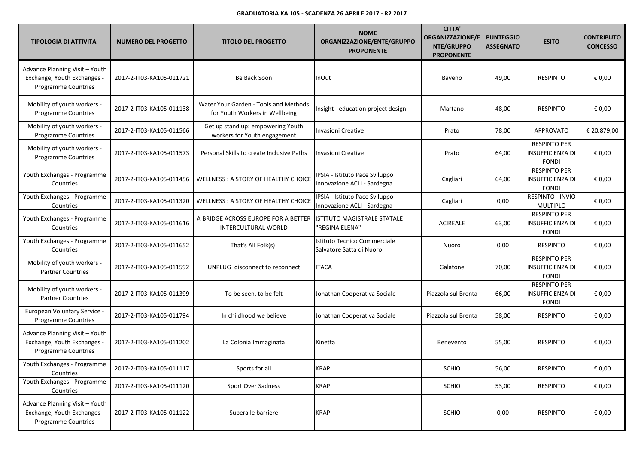| <b>TIPOLOGIA DI ATTIVITA'</b>                                                               | <b>NUMERO DEL PROGETTO</b> | <b>TITOLO DEL PROGETTO</b>                                              | <b>NOME</b><br>ORGANIZZAZIONE/ENTE/GRUPPO<br><b>PROPONENTE</b> | <b>CITTA'</b><br><b>ORGANIZZAZIONE/E</b><br>NTE/GRUPPO<br><b>PROPONENTE</b> | <b>PUNTEGGIO</b><br><b>ASSEGNATO</b> | <b>ESITO</b>                                                   | <b>CONTRIBUTO</b><br><b>CONCESSO</b> |
|---------------------------------------------------------------------------------------------|----------------------------|-------------------------------------------------------------------------|----------------------------------------------------------------|-----------------------------------------------------------------------------|--------------------------------------|----------------------------------------------------------------|--------------------------------------|
| Advance Planning Visit - Youth<br>Exchange; Youth Exchanges -<br>Programme Countries        | 2017-2-IT03-KA105-011721   | Be Back Soon                                                            | InOut                                                          | Baveno                                                                      | 49,00                                | <b>RESPINTO</b>                                                | € 0,00                               |
| Mobility of youth workers -<br>Programme Countries                                          | 2017-2-IT03-KA105-011138   | Water Your Garden - Tools and Methods<br>for Youth Workers in Wellbeing | Insight - education project design                             | Martano                                                                     | 48,00                                | <b>RESPINTO</b>                                                | € 0,00                               |
| Mobility of youth workers -<br><b>Programme Countries</b>                                   | 2017-2-IT03-KA105-011566   | Get up stand up: empowering Youth<br>workers for Youth engagement       | <b>Invasioni Creative</b>                                      | Prato                                                                       | 78,00                                | <b>APPROVATO</b>                                               | € 20.879,00                          |
| Mobility of youth workers -<br>Programme Countries                                          | 2017-2-IT03-KA105-011573   | Personal Skills to create Inclusive Paths                               | <b>Invasioni Creative</b>                                      | Prato                                                                       | 64,00                                | <b>RESPINTO PER</b><br><b>INSUFFICIENZA DI</b><br><b>FONDI</b> | € 0,00                               |
| Youth Exchanges - Programme<br>Countries                                                    | 2017-2-IT03-KA105-011456   | WELLNESS: A STORY OF HEALTHY CHOICE                                     | IPSIA - Istituto Pace Sviluppo<br>Innovazione ACLI - Sardegna  | Cagliari                                                                    | 64,00                                | <b>RESPINTO PER</b><br><b>INSUFFICIENZA DI</b><br><b>FONDI</b> | € 0,00                               |
| Youth Exchanges - Programme<br>Countries                                                    | 2017-2-IT03-KA105-011320   | WELLNESS: A STORY OF HEALTHY CHOICE                                     | IPSIA - Istituto Pace Sviluppo<br>Innovazione ACLI - Sardegna  | Cagliari                                                                    | 0,00                                 | <b>RESPINTO - INVIO</b><br><b>MULTIPLO</b>                     | € 0,00                               |
| Youth Exchanges - Programme<br>Countries                                                    | 2017-2-IT03-KA105-011616   | A BRIDGE ACROSS EUROPE FOR A BETTER<br>INTERCULTURAL WORLD              | ISTITUTO MAGISTRALE STATALE<br>'REGINA ELENA"                  | <b>ACIREALE</b>                                                             | 63,00                                | <b>RESPINTO PER</b><br>INSUFFICIENZA DI<br><b>FONDI</b>        | € 0,00                               |
| Youth Exchanges - Programme<br>Countries                                                    | 2017-2-IT03-KA105-011652   | That's All Folk(s)!                                                     | Istituto Tecnico Commerciale<br>Salvatore Satta di Nuoro       | Nuoro                                                                       | 0,00                                 | <b>RESPINTO</b>                                                | € 0,00                               |
| Mobility of youth workers -<br><b>Partner Countries</b>                                     | 2017-2-IT03-KA105-011592   | UNPLUG disconnect to reconnect                                          | <b>ITACA</b>                                                   | Galatone                                                                    | 70,00                                | <b>RESPINTO PER</b><br><b>INSUFFICIENZA DI</b><br><b>FONDI</b> | € 0,00                               |
| Mobility of youth workers -<br><b>Partner Countries</b>                                     | 2017-2-IT03-KA105-011399   | To be seen, to be felt                                                  | Jonathan Cooperativa Sociale                                   | Piazzola sul Brenta                                                         | 66,00                                | <b>RESPINTO PER</b><br><b>INSUFFICIENZA DI</b><br><b>FONDI</b> | € 0,00                               |
| European Voluntary Service -<br><b>Programme Countries</b>                                  | 2017-2-IT03-KA105-011794   | In childhood we believe                                                 | Jonathan Cooperativa Sociale                                   | Piazzola sul Brenta                                                         | 58,00                                | <b>RESPINTO</b>                                                | € 0,00                               |
| Advance Planning Visit - Youth<br>Exchange; Youth Exchanges -<br><b>Programme Countries</b> | 2017-2-IT03-KA105-011202   | La Colonia Immaginata                                                   | Kinetta                                                        | Benevento                                                                   | 55,00                                | <b>RESPINTO</b>                                                | € 0,00                               |
| Youth Exchanges - Programme<br>Countries                                                    | 2017-2-IT03-KA105-011117   | Sports for all                                                          | <b>KRAP</b>                                                    | SCHIO                                                                       | 56,00                                | <b>RESPINTO</b>                                                | € 0,00                               |
| Youth Exchanges - Programme<br>Countries                                                    | 2017-2-IT03-KA105-011120   | Sport Over Sadness                                                      | <b>KRAP</b>                                                    | SCHIO                                                                       | 53,00                                | <b>RESPINTO</b>                                                | € 0,00                               |
| Advance Planning Visit - Youth<br>Exchange; Youth Exchanges -<br>Programme Countries        | 2017-2-IT03-KA105-011122   | Supera le barriere                                                      | <b>KRAP</b>                                                    | SCHIO                                                                       | 0,00                                 | <b>RESPINTO</b>                                                | € 0,00                               |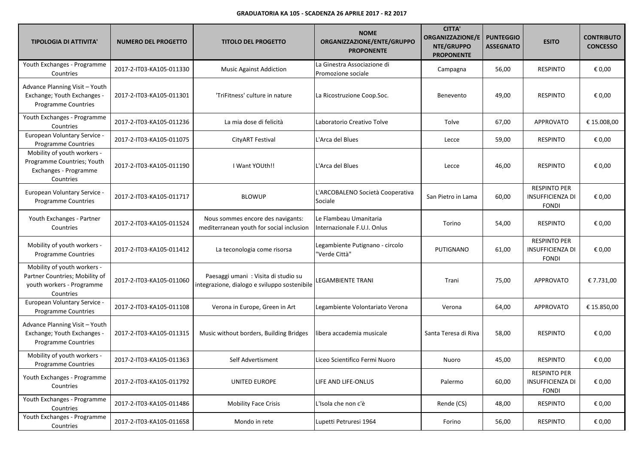| <b>TIPOLOGIA DI ATTIVITA'</b>                                                                           | <b>NUMERO DEL PROGETTO</b> | <b>TITOLO DEL PROGETTO</b>                                                          | <b>NOME</b><br>ORGANIZZAZIONE/ENTE/GRUPPO<br><b>PROPONENTE</b> | <b>CITTA'</b><br><b>ORGANIZZAZIONE/E</b><br>NTE/GRUPPO<br><b>PROPONENTE</b> | <b>PUNTEGGIO</b><br><b>ASSEGNATO</b> | <b>ESITO</b>                                                   | <b>CONTRIBUTO</b><br><b>CONCESSO</b> |
|---------------------------------------------------------------------------------------------------------|----------------------------|-------------------------------------------------------------------------------------|----------------------------------------------------------------|-----------------------------------------------------------------------------|--------------------------------------|----------------------------------------------------------------|--------------------------------------|
| Youth Exchanges - Programme<br>Countries                                                                | 2017-2-IT03-KA105-011330   | <b>Music Against Addiction</b>                                                      | La Ginestra Associazione di<br>Promozione sociale              | Campagna                                                                    | 56,00                                | <b>RESPINTO</b>                                                | € 0,00                               |
| Advance Planning Visit - Youth<br>Exchange; Youth Exchanges -<br><b>Programme Countries</b>             | 2017-2-IT03-KA105-011301   | 'TriFitness' culture in nature                                                      | La Ricostruzione Coop.Soc.                                     | Benevento                                                                   | 49,00                                | <b>RESPINTO</b>                                                | € 0,00                               |
| Youth Exchanges - Programme<br>Countries                                                                | 2017-2-IT03-KA105-011236   | La mia dose di felicità                                                             | Laboratorio Creativo Tolve                                     | Tolve                                                                       | 67,00                                | <b>APPROVATO</b>                                               | € 15.008,00                          |
| European Voluntary Service -<br>Programme Countries                                                     | 2017-2-IT03-KA105-011075   | CityART Festival                                                                    | L'Arca del Blues                                               | Lecce                                                                       | 59,00                                | <b>RESPINTO</b>                                                | € 0,00                               |
| Mobility of youth workers -<br>Programme Countries; Youth<br>Exchanges - Programme<br>Countries         | 2017-2-IT03-KA105-011190   | I Want YOUth!!                                                                      | L'Arca del Blues                                               | Lecce                                                                       | 46,00                                | <b>RESPINTO</b>                                                | € 0,00                               |
| European Voluntary Service -<br>Programme Countries                                                     | 2017-2-IT03-KA105-011717   | <b>BLOWUP</b>                                                                       | L'ARCOBALENO Società Cooperativa<br>Sociale                    | San Pietro in Lama                                                          | 60,00                                | <b>RESPINTO PER</b><br><b>INSUFFICIENZA DI</b><br><b>FONDI</b> | € 0,00                               |
| Youth Exchanges - Partner<br>Countries                                                                  | 2017-2-IT03-KA105-011524   | Nous sommes encore des navigants:<br>mediterranean youth for social inclusion       | Le Flambeau Umanitaria<br>Internazionale F.U.I. Onlus          | Torino                                                                      | 54,00                                | <b>RESPINTO</b>                                                | € 0,00                               |
| Mobility of youth workers -<br>Programme Countries                                                      | 2017-2-IT03-KA105-011412   | La teconologia come risorsa                                                         | Legambiente Putignano - circolo<br>'Verde Città"               | PUTIGNANO                                                                   | 61,00                                | <b>RESPINTO PER</b><br><b>INSUFFICIENZA DI</b><br><b>FONDI</b> | € 0,00                               |
| Mobility of youth workers -<br>Partner Countries; Mobility of<br>youth workers - Programme<br>Countries | 2017-2-IT03-KA105-011060   | Paesaggi umani: Visita di studio su<br>integrazione, dialogo e sviluppo sostenibile | <b>LEGAMBIENTE TRANI</b>                                       | Trani                                                                       | 75,00                                | <b>APPROVATO</b>                                               | € 7.731,00                           |
| European Voluntary Service -<br>Programme Countries                                                     | 2017-2-IT03-KA105-011108   | Verona in Europe, Green in Art                                                      | Legambiente Volontariato Verona                                | Verona                                                                      | 64,00                                | <b>APPROVATO</b>                                               | € 15.850,00                          |
| Advance Planning Visit - Youth<br>Exchange; Youth Exchanges -<br><b>Programme Countries</b>             | 2017-2-IT03-KA105-011315   | Music without borders, Building Bridges                                             | ibera accademia musicale                                       | Santa Teresa di Riva                                                        | 58,00                                | <b>RESPINTO</b>                                                | € 0,00                               |
| Mobility of youth workers -<br><b>Programme Countries</b>                                               | 2017-2-IT03-KA105-011363   | Self Advertisment                                                                   | Liceo Scientifico Fermi Nuoro                                  | Nuoro                                                                       | 45,00                                | <b>RESPINTO</b>                                                | € 0,00                               |
| Youth Exchanges - Programme<br>Countries                                                                | 2017-2-IT03-KA105-011792   | UNITED EUROPE                                                                       | LIFE AND LIFE-ONLUS                                            | Palermo                                                                     | 60,00                                | <b>RESPINTO PER</b><br><b>INSUFFICIENZA DI</b><br><b>FONDI</b> | € 0,00                               |
| Youth Exchanges - Programme<br>Countries                                                                | 2017-2-IT03-KA105-011486   | <b>Mobility Face Crisis</b>                                                         | L'Isola che non c'è                                            | Rende (CS)                                                                  | 48,00                                | <b>RESPINTO</b>                                                | € 0,00                               |
| Youth Exchanges - Programme<br>Countries                                                                | 2017-2-IT03-KA105-011658   | Mondo in rete                                                                       | Lupetti Petruresi 1964                                         | Forino                                                                      | 56,00                                | <b>RESPINTO</b>                                                | € 0,00                               |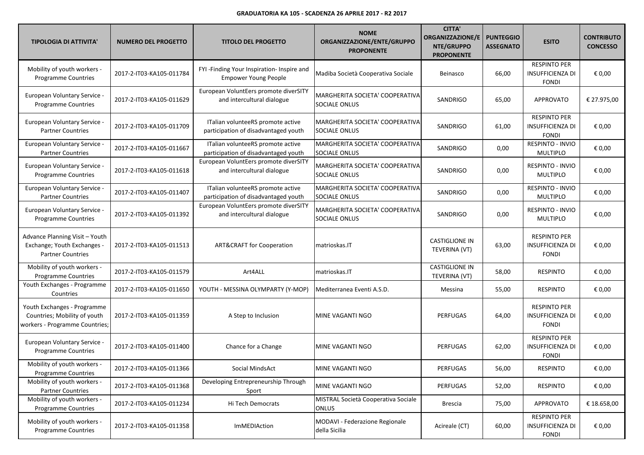| <b>TIPOLOGIA DI ATTIVITA'</b>                                                                 | <b>NUMERO DEL PROGETTO</b> | <b>TITOLO DEL PROGETTO</b>                                                | <b>NOME</b><br>ORGANIZZAZIONE/ENTE/GRUPPO<br><b>PROPONENTE</b> | <b>CITTA'</b><br><b>ORGANIZZAZIONE/E</b><br>NTE/GRUPPO<br><b>PROPONENTE</b> | <b>PUNTEGGIO</b><br><b>ASSEGNATO</b> | <b>ESITO</b>                                                   | <b>CONTRIBUTO</b><br><b>CONCESSO</b> |
|-----------------------------------------------------------------------------------------------|----------------------------|---------------------------------------------------------------------------|----------------------------------------------------------------|-----------------------------------------------------------------------------|--------------------------------------|----------------------------------------------------------------|--------------------------------------|
| Mobility of youth workers -<br>Programme Countries                                            | 2017-2-IT03-KA105-011784   | FYI-Finding Your Inspiration- Inspire and<br><b>Empower Young People</b>  | Madiba Società Cooperativa Sociale                             | Beinasco                                                                    | 66,00                                | <b>RESPINTO PER</b><br><b>INSUFFICIENZA DI</b><br><b>FONDI</b> | € 0,00                               |
| European Voluntary Service -<br><b>Programme Countries</b>                                    | 2017-2-IT03-KA105-011629   | European VoluntEers promote diverSITY<br>and intercultural dialogue       | MARGHERITA SOCIETA' COOPERATIVA<br>SOCIALE ONLUS               | SANDRIGO                                                                    | 65,00                                | <b>APPROVATO</b>                                               | € 27.975,00                          |
| European Voluntary Service -<br><b>Partner Countries</b>                                      | 2017-2-IT03-KA105-011709   | ITalian volunteeRS promote active<br>participation of disadvantaged youth | MARGHERITA SOCIETA' COOPERATIVA<br><b>SOCIALE ONLUS</b>        | SANDRIGO                                                                    | 61,00                                | <b>RESPINTO PER</b><br><b>INSUFFICIENZA DI</b><br><b>FONDI</b> | € 0,00                               |
| European Voluntary Service -<br><b>Partner Countries</b>                                      | 2017-2-IT03-KA105-011667   | ITalian volunteeRS promote active<br>participation of disadvantaged youth | MARGHERITA SOCIETA' COOPERATIVA<br>SOCIALE ONLUS               | SANDRIGO                                                                    | 0,00                                 | RESPINTO - INVIO<br><b>MULTIPLO</b>                            | € 0,00                               |
| European Voluntary Service -<br><b>Programme Countries</b>                                    | 2017-2-IT03-KA105-011618   | European VoluntEers promote diverSITY<br>and intercultural dialogue       | MARGHERITA SOCIETA' COOPERATIVA<br><b>SOCIALE ONLUS</b>        | SANDRIGO                                                                    | 0,00                                 | <b>RESPINTO - INVIO</b><br><b>MULTIPLO</b>                     | € 0,00                               |
| European Voluntary Service -<br><b>Partner Countries</b>                                      | 2017-2-IT03-KA105-011407   | ITalian volunteeRS promote active<br>participation of disadvantaged youth | MARGHERITA SOCIETA' COOPERATIVA<br><b>SOCIALE ONLUS</b>        | SANDRIGO                                                                    | 0,00                                 | <b>RESPINTO - INVIO</b><br><b>MULTIPLO</b>                     | € 0,00                               |
| European Voluntary Service -<br><b>Programme Countries</b>                                    | 2017-2-IT03-KA105-011392   | European VoluntEers promote diverSITY<br>and intercultural dialogue       | MARGHERITA SOCIETA' COOPERATIVA<br>SOCIALE ONLUS               | SANDRIGO                                                                    | 0,00                                 | RESPINTO - INVIO<br><b>MULTIPLO</b>                            | € 0,00                               |
| Advance Planning Visit - Youth<br>Exchange; Youth Exchanges -<br><b>Partner Countries</b>     | 2017-2-IT03-KA105-011513   | <b>ART&amp;CRAFT for Cooperation</b>                                      | matrioskas.IT                                                  | <b>CASTIGLIONE IN</b><br>TEVERINA (VT)                                      | 63,00                                | <b>RESPINTO PER</b><br><b>INSUFFICIENZA DI</b><br><b>FONDI</b> | € 0,00                               |
| Mobility of youth workers -<br>Programme Countries                                            | 2017-2-IT03-KA105-011579   | Art4ALL                                                                   | matrioskas.IT                                                  | <b>CASTIGLIONE IN</b><br>TEVERINA (VT)                                      | 58,00                                | <b>RESPINTO</b>                                                | € 0,00                               |
| Youth Exchanges - Programme<br>Countries                                                      | 2017-2-IT03-KA105-011650   | YOUTH - MESSINA OLYMPARTY (Y-MOP)                                         | Mediterranea Eventi A.S.D.                                     | Messina                                                                     | 55,00                                | <b>RESPINTO</b>                                                | € 0,00                               |
| Youth Exchanges - Programme<br>Countries; Mobility of youth<br>workers - Programme Countries; | 2017-2-IT03-KA105-011359   | A Step to Inclusion                                                       | MINE VAGANTI NGO                                               | <b>PERFUGAS</b>                                                             | 64,00                                | <b>RESPINTO PER</b><br><b>INSUFFICIENZA DI</b><br><b>FONDI</b> | € 0,00                               |
| European Voluntary Service -<br><b>Programme Countries</b>                                    | 2017-2-IT03-KA105-011400   | Chance for a Change                                                       | MINE VAGANTI NGO                                               | <b>PERFUGAS</b>                                                             | 62,00                                | <b>RESPINTO PER</b><br><b>INSUFFICIENZA DI</b><br><b>FONDI</b> | € 0,00                               |
| Mobility of youth workers -<br>Programme Countries                                            | 2017-2-IT03-KA105-011366   | Social MindsAct                                                           | MINE VAGANTI NGO                                               | PERFUGAS                                                                    | 56,00                                | <b>RESPINTO</b>                                                | $\epsilon$ 0,00                      |
| Mobility of youth workers -<br><b>Partner Countries</b>                                       | 2017-2-IT03-KA105-011368   | Developing Entrepreneurship Through<br>Sport                              | MINE VAGANTI NGO                                               | PERFUGAS                                                                    | 52,00                                | <b>RESPINTO</b>                                                | € 0,00                               |
| Mobility of youth workers -<br>Programme Countries                                            | 2017-2-IT03-KA105-011234   | Hi Tech Democrats                                                         | MISTRAL Società Cooperativa Sociale<br><b>ONLUS</b>            | <b>Brescia</b>                                                              | 75,00                                | <b>APPROVATO</b>                                               | € 18.658,00                          |
| Mobility of youth workers -<br><b>Programme Countries</b>                                     | 2017-2-IT03-KA105-011358   | ImMEDIAction                                                              | MODAVI - Federazione Regionale<br>della Sicilia                | Acireale (CT)                                                               | 60,00                                | <b>RESPINTO PER</b><br><b>INSUFFICIENZA DI</b><br><b>FONDI</b> | € 0,00                               |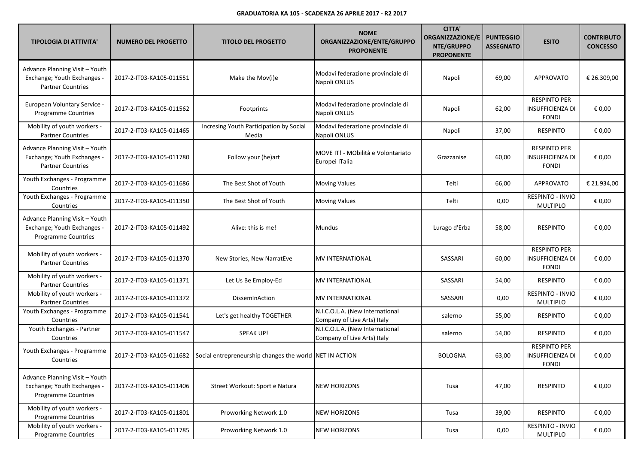| <b>TIPOLOGIA DI ATTIVITA'</b>                                                               | <b>NUMERO DEL PROGETTO</b> | <b>TITOLO DEL PROGETTO</b>                              | <b>NOME</b><br>ORGANIZZAZIONE/ENTE/GRUPPO<br><b>PROPONENTE</b> | <b>CITTA'</b><br><b>ORGANIZZAZIONE/E</b><br>NTE/GRUPPO<br><b>PROPONENTE</b> | <b>PUNTEGGIO</b><br><b>ASSEGNATO</b> | <b>ESITO</b>                                                   | <b>CONTRIBUTO</b><br><b>CONCESSO</b> |
|---------------------------------------------------------------------------------------------|----------------------------|---------------------------------------------------------|----------------------------------------------------------------|-----------------------------------------------------------------------------|--------------------------------------|----------------------------------------------------------------|--------------------------------------|
| Advance Planning Visit - Youth<br>Exchange; Youth Exchanges -<br><b>Partner Countries</b>   | 2017-2-IT03-KA105-011551   | Make the Mov(i)e                                        | Modavi federazione provinciale di<br>Napoli ONLUS              | Napoli                                                                      | 69,00                                | <b>APPROVATO</b>                                               | € 26.309,00                          |
| European Voluntary Service -<br><b>Programme Countries</b>                                  | 2017-2-IT03-KA105-011562   | Footprints                                              | Modavi federazione provinciale di<br>Napoli ONLUS              | Napoli                                                                      | 62,00                                | <b>RESPINTO PER</b><br><b>INSUFFICIENZA DI</b><br><b>FONDI</b> | € 0,00                               |
| Mobility of youth workers -<br><b>Partner Countries</b>                                     | 2017-2-IT03-KA105-011465   | Incresing Youth Participation by Social<br>Media        | Modavi federazione provinciale di<br>Napoli ONLUS              | Napoli                                                                      | 37,00                                | <b>RESPINTO</b>                                                | € 0,00                               |
| Advance Planning Visit - Youth<br>Exchange; Youth Exchanges -<br><b>Partner Countries</b>   | 2017-2-IT03-KA105-011780   | Follow your (he)art                                     | MOVE IT! - MObilità e Volontariato<br>Europei ITalia           | Grazzanise                                                                  | 60,00                                | <b>RESPINTO PER</b><br><b>INSUFFICIENZA DI</b><br><b>FONDI</b> | € 0,00                               |
| Youth Exchanges - Programme<br>Countries                                                    | 2017-2-IT03-KA105-011686   | The Best Shot of Youth                                  | <b>Moving Values</b>                                           | Telti                                                                       | 66,00                                | <b>APPROVATO</b>                                               | € 21.934,00                          |
| Youth Exchanges - Programme<br>Countries                                                    | 2017-2-IT03-KA105-011350   | The Best Shot of Youth                                  | <b>Moving Values</b>                                           | Telti                                                                       | 0,00                                 | RESPINTO - INVIO<br><b>MULTIPLO</b>                            | € 0,00                               |
| Advance Planning Visit - Youth<br>Exchange; Youth Exchanges -<br><b>Programme Countries</b> | 2017-2-IT03-KA105-011492   | Alive: this is me!                                      | <b>Mundus</b>                                                  | Lurago d'Erba                                                               | 58,00                                | <b>RESPINTO</b>                                                | € 0,00                               |
| Mobility of youth workers -<br><b>Partner Countries</b>                                     | 2017-2-IT03-KA105-011370   | New Stories, New NarratEve                              | <b>MV INTERNATIONAL</b>                                        | SASSARI                                                                     | 60,00                                | <b>RESPINTO PER</b><br><b>INSUFFICIENZA DI</b><br><b>FONDI</b> | € 0,00                               |
| Mobility of youth workers -<br><b>Partner Countries</b>                                     | 2017-2-IT03-KA105-011371   | Let Us Be Employ-Ed                                     | <b>MV INTERNATIONAL</b>                                        | SASSARI                                                                     | 54,00                                | <b>RESPINTO</b>                                                | € 0,00                               |
| Mobility of youth workers -<br><b>Partner Countries</b>                                     | 2017-2-IT03-KA105-011372   | DissemInAction                                          | <b>MV INTERNATIONAL</b>                                        | SASSARI                                                                     | 0,00                                 | RESPINTO - INVIO<br>MULTIPLO                                   | € 0,00                               |
| Youth Exchanges - Programme<br>Countries                                                    | 2017-2-IT03-KA105-011541   | Let's get healthy TOGETHER                              | N.I.C.O.L.A. (New International<br>Company of Live Arts) Italy | salerno                                                                     | 55,00                                | <b>RESPINTO</b>                                                | € 0,00                               |
| Youth Exchanges - Partner<br>Countries                                                      | 2017-2-IT03-KA105-011547   | SPEAK UP!                                               | N.I.C.O.L.A. (New International<br>Company of Live Arts) Italy | salerno                                                                     | 54,00                                | <b>RESPINTO</b>                                                | € 0,00                               |
| Youth Exchanges - Programme<br>Countries                                                    | 2017-2-IT03-KA105-011682   | Social entrepreneurship changes the world NET IN ACTION |                                                                | <b>BOLOGNA</b>                                                              | 63,00                                | <b>RESPINTO PER</b><br><b>INSUFFICIENZA DI</b><br><b>FONDI</b> | € 0,00                               |
| Advance Planning Visit - Youth<br>Exchange; Youth Exchanges -<br><b>Programme Countries</b> | 2017-2-IT03-KA105-011406   | Street Workout: Sport e Natura                          | <b>NEW HORIZONS</b>                                            | Tusa                                                                        | 47,00                                | <b>RESPINTO</b>                                                | € 0,00                               |
| Mobility of youth workers -<br><b>Programme Countries</b>                                   | 2017-2-IT03-KA105-011801   | Proworking Network 1.0                                  | <b>NEW HORIZONS</b>                                            | Tusa                                                                        | 39,00                                | <b>RESPINTO</b>                                                | € 0,00                               |
| Mobility of youth workers -<br>Programme Countries                                          | 2017-2-IT03-KA105-011785   | Proworking Network 1.0                                  | <b>NEW HORIZONS</b>                                            | Tusa                                                                        | 0,00                                 | RESPINTO - INVIO<br>MULTIPLO                                   | € 0,00                               |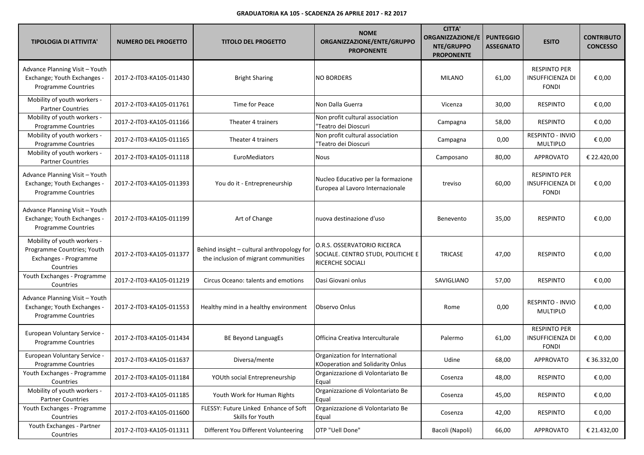| <b>TIPOLOGIA DI ATTIVITA'</b>                                                                   | <b>NUMERO DEL PROGETTO</b> | <b>TITOLO DEL PROGETTO</b>                                                         | <b>NOME</b><br>ORGANIZZAZIONE/ENTE/GRUPPO<br><b>PROPONENTE</b>                        | <b>CITTA'</b><br><b>ORGANIZZAZIONE/E</b><br>NTE/GRUPPO<br><b>PROPONENTE</b> | <b>PUNTEGGIO</b><br><b>ASSEGNATO</b> | <b>ESITO</b>                                                   | <b>CONTRIBUTO</b><br><b>CONCESSO</b> |
|-------------------------------------------------------------------------------------------------|----------------------------|------------------------------------------------------------------------------------|---------------------------------------------------------------------------------------|-----------------------------------------------------------------------------|--------------------------------------|----------------------------------------------------------------|--------------------------------------|
| Advance Planning Visit - Youth<br>Exchange; Youth Exchanges -<br><b>Programme Countries</b>     | 2017-2-IT03-KA105-011430   | <b>Bright Sharing</b>                                                              | <b>NO BORDERS</b>                                                                     | <b>MILANO</b>                                                               | 61,00                                | <b>RESPINTO PER</b><br><b>INSUFFICIENZA DI</b><br><b>FONDI</b> | € 0,00                               |
| Mobility of youth workers -<br><b>Partner Countries</b>                                         | 2017-2-IT03-KA105-011761   | Time for Peace                                                                     | Non Dalla Guerra                                                                      | Vicenza                                                                     | 30,00                                | <b>RESPINTO</b>                                                | € 0,00                               |
| Mobility of youth workers -<br>Programme Countries                                              | 2017-2-IT03-KA105-011166   | Theater 4 trainers                                                                 | Non profit cultural association<br>'Teatro dei Dioscuri                               | Campagna                                                                    | 58,00                                | <b>RESPINTO</b>                                                | € 0,00                               |
| Mobility of youth workers -<br>Programme Countries                                              | 2017-2-IT03-KA105-011165   | Theater 4 trainers                                                                 | Non profit cultural association<br>'Teatro dei Dioscuri                               | Campagna                                                                    | 0,00                                 | RESPINTO - INVIO<br>MULTIPLO                                   | € 0,00                               |
| Mobility of youth workers -<br><b>Partner Countries</b>                                         | 2017-2-IT03-KA105-011118   | EuroMediators                                                                      | Nous                                                                                  | Camposano                                                                   | 80,00                                | <b>APPROVATO</b>                                               | € 22.420,00                          |
| Advance Planning Visit - Youth<br>Exchange; Youth Exchanges -<br>Programme Countries            | 2017-2-IT03-KA105-011393   | You do it - Entrepreneurship                                                       | Nucleo Educativo per la formazione<br>Europea al Lavoro Internazionale                | treviso                                                                     | 60,00                                | <b>RESPINTO PER</b><br><b>INSUFFICIENZA DI</b><br><b>FONDI</b> | € 0,00                               |
| Advance Planning Visit - Youth<br>Exchange; Youth Exchanges -<br><b>Programme Countries</b>     | 2017-2-IT03-KA105-011199   | Art of Change                                                                      | nuova destinazione d'uso                                                              | Benevento                                                                   | 35,00                                | <b>RESPINTO</b>                                                | € 0,00                               |
| Mobility of youth workers -<br>Programme Countries; Youth<br>Exchanges - Programme<br>Countries | 2017-2-IT03-KA105-011377   | Behind insight - cultural anthropology for<br>the inclusion of migrant communities | O.R.S. OSSERVATORIO RICERCA<br>SOCIALE. CENTRO STUDI, POLITICHE E<br>RICERCHE SOCIALI | <b>TRICASE</b>                                                              | 47,00                                | <b>RESPINTO</b>                                                | € 0,00                               |
| Youth Exchanges - Programme<br>Countries                                                        | 2017-2-IT03-KA105-011219   | Circus Oceano: talents and emotions                                                | Oasi Giovani onlus                                                                    | SAVIGLIANO                                                                  | 57,00                                | <b>RESPINTO</b>                                                | € 0,00                               |
| Advance Planning Visit - Youth<br>Exchange; Youth Exchanges -<br>Programme Countries            | 2017-2-IT03-KA105-011553   | Healthy mind in a healthy environment                                              | Observo Onlus                                                                         | Rome                                                                        | 0,00                                 | <b>RESPINTO - INVIO</b><br><b>MULTIPLO</b>                     | € 0,00                               |
| European Voluntary Service -<br><b>Programme Countries</b>                                      | 2017-2-IT03-KA105-011434   | <b>BE Beyond LanguagEs</b>                                                         | Officina Creativa Interculturale                                                      | Palermo                                                                     | 61,00                                | <b>RESPINTO PER</b><br><b>INSUFFICIENZA DI</b><br><b>FONDI</b> | € 0,00                               |
| European Voluntary Service -<br><b>Programme Countries</b>                                      | 2017-2-IT03-KA105-011637   | Diversa/mente                                                                      | Organization for International<br>KOoperation and Solidarity Onlus                    | Udine                                                                       | 68,00                                | <b>APPROVATO</b>                                               | € 36.332,00                          |
| Youth Exchanges - Programme<br>Countries                                                        | 2017-2-IT03-KA105-011184   | YOUth social Entrepreneurship                                                      | Organizzazione di Volontariato Be<br>Equal                                            | Cosenza                                                                     | 48,00                                | <b>RESPINTO</b>                                                | € 0,00                               |
| Mobility of youth workers -<br><b>Partner Countries</b>                                         | 2017-2-IT03-KA105-011185   | Youth Work for Human Rights                                                        | Organizzazione di Volontariato Be<br>Equal                                            | Cosenza                                                                     | 45,00                                | <b>RESPINTO</b>                                                | € 0,00                               |
| Youth Exchanges - Programme<br>Countries                                                        | 2017-2-IT03-KA105-011600   | FLESSY: Future Linked Enhance of Soft<br>Skills for Youth                          | Organizzazione di Volontariato Be<br>Equal                                            | Cosenza                                                                     | 42,00                                | <b>RESPINTO</b>                                                | € 0,00                               |
| Youth Exchanges - Partner<br>Countries                                                          | 2017-2-IT03-KA105-011311   | Different You Different Volunteering                                               | OTP "Uell Done"                                                                       | Bacoli (Napoli)                                                             | 66,00                                | <b>APPROVATO</b>                                               | € 21.432,00                          |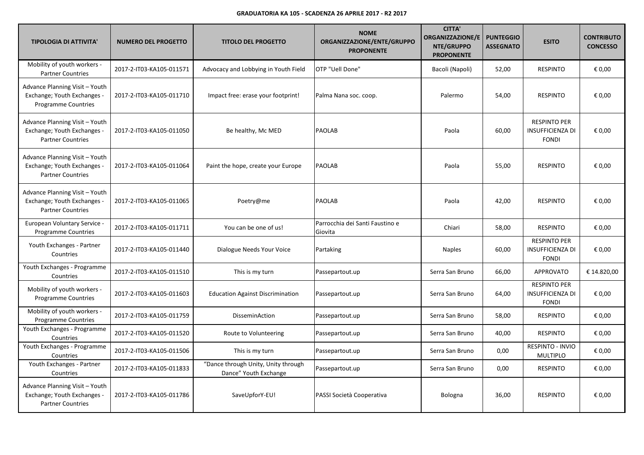| <b>TIPOLOGIA DI ATTIVITA'</b>                                                               | <b>NUMERO DEL PROGETTO</b> | <b>TITOLO DEL PROGETTO</b>                                   | <b>NOME</b><br>ORGANIZZAZIONE/ENTE/GRUPPO<br><b>PROPONENTE</b> | <b>CITTA'</b><br><b>ORGANIZZAZIONE/E</b><br>NTE/GRUPPO<br><b>PROPONENTE</b> | <b>PUNTEGGIO</b><br><b>ASSEGNATO</b> | <b>ESITO</b>                                                   | <b>CONTRIBUTO</b><br><b>CONCESSO</b> |
|---------------------------------------------------------------------------------------------|----------------------------|--------------------------------------------------------------|----------------------------------------------------------------|-----------------------------------------------------------------------------|--------------------------------------|----------------------------------------------------------------|--------------------------------------|
| Mobility of youth workers -<br><b>Partner Countries</b>                                     | 2017-2-IT03-KA105-011571   | Advocacy and Lobbying in Youth Field                         | OTP "Uell Done"                                                | Bacoli (Napoli)                                                             | 52,00                                | <b>RESPINTO</b>                                                | € 0,00                               |
| Advance Planning Visit - Youth<br>Exchange; Youth Exchanges -<br><b>Programme Countries</b> | 2017-2-IT03-KA105-011710   | Impact free: erase your footprint!                           | Palma Nana soc. coop.                                          | Palermo                                                                     | 54,00                                | <b>RESPINTO</b>                                                | € 0,00                               |
| Advance Planning Visit - Youth<br>Exchange; Youth Exchanges -<br><b>Partner Countries</b>   | 2017-2-IT03-KA105-011050   | Be healthy, Mc MED                                           | <b>PAOLAB</b>                                                  | Paola                                                                       | 60,00                                | <b>RESPINTO PER</b><br><b>INSUFFICIENZA DI</b><br><b>FONDI</b> | € 0,00                               |
| Advance Planning Visit - Youth<br>Exchange; Youth Exchanges -<br><b>Partner Countries</b>   | 2017-2-IT03-KA105-011064   | Paint the hope, create your Europe                           | <b>PAOLAB</b>                                                  | Paola                                                                       | 55,00                                | <b>RESPINTO</b>                                                | € 0,00                               |
| Advance Planning Visit - Youth<br>Exchange; Youth Exchanges -<br><b>Partner Countries</b>   | 2017-2-IT03-KA105-011065   | Poetry@me                                                    | PAOLAB                                                         | Paola                                                                       | 42,00                                | <b>RESPINTO</b>                                                | € 0,00                               |
| European Voluntary Service -<br><b>Programme Countries</b>                                  | 2017-2-IT03-KA105-011711   | You can be one of us!                                        | Parrocchia dei Santi Faustino e<br>Giovita                     | Chiari                                                                      | 58,00                                | <b>RESPINTO</b>                                                | € 0,00                               |
| Youth Exchanges - Partner<br>Countries                                                      | 2017-2-IT03-KA105-011440   | Dialogue Needs Your Voice                                    | Partaking                                                      | <b>Naples</b>                                                               | 60,00                                | <b>RESPINTO PER</b><br><b>INSUFFICIENZA DI</b><br><b>FONDI</b> | € 0,00                               |
| Youth Exchanges - Programme<br>Countries                                                    | 2017-2-IT03-KA105-011510   | This is my turn                                              | Passepartout.up                                                | Serra San Bruno                                                             | 66,00                                | <b>APPROVATO</b>                                               | € 14.820,00                          |
| Mobility of youth workers -<br><b>Programme Countries</b>                                   | 2017-2-IT03-KA105-011603   | <b>Education Against Discrimination</b>                      | Passepartout.up                                                | Serra San Bruno                                                             | 64,00                                | <b>RESPINTO PER</b><br><b>INSUFFICIENZA DI</b><br><b>FONDI</b> | € 0,00                               |
| Mobility of youth workers -<br>Programme Countries                                          | 2017-2-IT03-KA105-011759   | DisseminAction                                               | Passepartout.up                                                | Serra San Bruno                                                             | 58,00                                | <b>RESPINTO</b>                                                | € 0,00                               |
| Youth Exchanges - Programme<br>Countries                                                    | 2017-2-IT03-KA105-011520   | Route to Volunteering                                        | Passepartout.up                                                | Serra San Bruno                                                             | 40,00                                | <b>RESPINTO</b>                                                | € 0,00                               |
| Youth Exchanges - Programme<br>Countries                                                    | 2017-2-IT03-KA105-011506   | This is my turn                                              | Passepartout.up                                                | Serra San Bruno                                                             | 0,00                                 | RESPINTO - INVIO<br><b>MULTIPLO</b>                            | € 0,00                               |
| Youth Exchanges - Partner<br>Countries                                                      | 2017-2-IT03-KA105-011833   | "Dance through Unity, Unity through<br>Dance" Youth Exchange | Passepartout.up                                                | Serra San Bruno                                                             | 0,00                                 | <b>RESPINTO</b>                                                | € 0,00                               |
| Advance Planning Visit - Youth<br>Exchange; Youth Exchanges -<br><b>Partner Countries</b>   | 2017-2-IT03-KA105-011786   | SaveUpforY-EU!                                               | PASSI Società Cooperativa                                      | Bologna                                                                     | 36,00                                | <b>RESPINTO</b>                                                | € 0,00                               |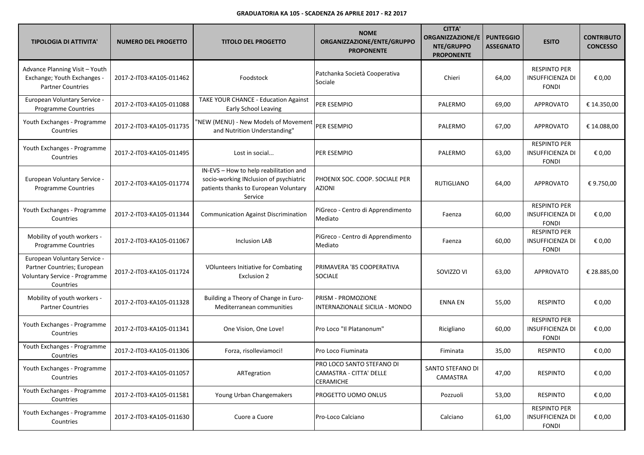| <b>TIPOLOGIA DI ATTIVITA'</b>                                                                             | <b>NUMERO DEL PROGETTO</b> | <b>TITOLO DEL PROGETTO</b>                                                                                                           | <b>NOME</b><br>ORGANIZZAZIONE/ENTE/GRUPPO<br><b>PROPONENTE</b>    | <b>CITTA'</b><br><b>ORGANIZZAZIONE/E</b><br>NTE/GRUPPO<br><b>PROPONENTE</b> | <b>PUNTEGGIO</b><br><b>ASSEGNATO</b> | <b>ESITO</b>                                                   | <b>CONTRIBUTO</b><br><b>CONCESSO</b> |
|-----------------------------------------------------------------------------------------------------------|----------------------------|--------------------------------------------------------------------------------------------------------------------------------------|-------------------------------------------------------------------|-----------------------------------------------------------------------------|--------------------------------------|----------------------------------------------------------------|--------------------------------------|
| Advance Planning Visit - Youth<br>Exchange; Youth Exchanges -<br><b>Partner Countries</b>                 | 2017-2-IT03-KA105-011462   | Foodstock                                                                                                                            | Patchanka Società Cooperativa<br>Sociale                          | Chieri                                                                      | 64,00                                | <b>RESPINTO PER</b><br><b>INSUFFICIENZA DI</b><br><b>FONDI</b> | € 0,00                               |
| European Voluntary Service -<br><b>Programme Countries</b>                                                | 2017-2-IT03-KA105-011088   | TAKE YOUR CHANCE - Education Against<br>Early School Leaving                                                                         | PER ESEMPIO                                                       | PALERMO                                                                     | 69,00                                | <b>APPROVATO</b>                                               | € 14.350,00                          |
| Youth Exchanges - Programme<br>Countries                                                                  | 2017-2-IT03-KA105-011735   | 'NEW (MENU) - New Models of Movement<br>and Nutrition Understanding"                                                                 | PER ESEMPIO                                                       | PALERMO                                                                     | 67,00                                | <b>APPROVATO</b>                                               | € 14.088,00                          |
| Youth Exchanges - Programme<br>Countries                                                                  | 2017-2-IT03-KA105-011495   | Lost in social                                                                                                                       | PER ESEMPIO                                                       | PALERMO                                                                     | 63,00                                | <b>RESPINTO PER</b><br>INSUFFICIENZA DI<br><b>FONDI</b>        | € 0,00                               |
| European Voluntary Service -<br><b>Programme Countries</b>                                                | 2017-2-IT03-KA105-011774   | IN-EVS - How to help reabilitation and<br>socio-working INclusion of psychiatric<br>patients thanks to European Voluntary<br>Service | PHOENIX SOC. COOP. SOCIALE PER<br><b>AZIONI</b>                   | <b>RUTIGLIANO</b>                                                           | 64,00                                | <b>APPROVATO</b>                                               | € 9.750,00                           |
| Youth Exchanges - Programme<br>Countries                                                                  | 2017-2-IT03-KA105-011344   | <b>Communication Against Discrimination</b>                                                                                          | PiGreco - Centro di Apprendimento<br>Mediato                      | Faenza                                                                      | 60,00                                | <b>RESPINTO PER</b><br><b>INSUFFICIENZA DI</b><br><b>FONDI</b> | € 0,00                               |
| Mobility of youth workers -<br><b>Programme Countries</b>                                                 | 2017-2-IT03-KA105-011067   | Inclusion LAB                                                                                                                        | PiGreco - Centro di Apprendimento<br>Mediato                      | Faenza                                                                      | 60,00                                | <b>RESPINTO PER</b><br>INSUFFICIENZA DI<br><b>FONDI</b>        | € 0,00                               |
| European Voluntary Service -<br>Partner Countries; European<br>Voluntary Service - Programme<br>Countries | 2017-2-IT03-KA105-011724   | <b>VOlunteers Initiative for Combating</b><br><b>Exclusion 2</b>                                                                     | PRIMAVERA '85 COOPERATIVA<br><b>SOCIALE</b>                       | SOVIZZO VI                                                                  | 63,00                                | <b>APPROVATO</b>                                               | € 28.885,00                          |
| Mobility of youth workers -<br><b>Partner Countries</b>                                                   | 2017-2-IT03-KA105-011328   | Building a Theory of Change in Euro-<br>Mediterranean communities                                                                    | PRISM - PROMOZIONE<br>INTERNAZIONALE SICILIA - MONDO              | ENNA EN                                                                     | 55,00                                | <b>RESPINTO</b>                                                | € 0,00                               |
| Youth Exchanges - Programme<br>Countries                                                                  | 2017-2-IT03-KA105-011341   | One Vision, One Love!                                                                                                                | Pro Loco "Il Platanonum"                                          | Ricigliano                                                                  | 60,00                                | <b>RESPINTO PER</b><br>INSUFFICIENZA DI<br><b>FONDI</b>        | € 0,00                               |
| Youth Exchanges - Programme<br>Countries                                                                  | 2017-2-IT03-KA105-011306   | Forza, risolleviamoci!                                                                                                               | Pro Loco Fiuminata                                                | Fiminata                                                                    | 35,00                                | <b>RESPINTO</b>                                                | € 0,00                               |
| Youth Exchanges - Programme<br>Countries                                                                  | 2017-2-IT03-KA105-011057   | ARTegration                                                                                                                          | PRO LOCO SANTO STEFANO DI<br>CAMASTRA - CITTA' DELLE<br>CERAMICHE | SANTO STEFANO DI<br>CAMASTRA                                                | 47,00                                | <b>RESPINTO</b>                                                | € 0,00                               |
| Youth Exchanges - Programme<br>Countries                                                                  | 2017-2-IT03-KA105-011581   | Young Urban Changemakers                                                                                                             | PROGETTO UOMO ONLUS                                               | Pozzuoli                                                                    | 53,00                                | <b>RESPINTO</b>                                                | € 0,00                               |
| Youth Exchanges - Programme<br>Countries                                                                  | 2017-2-IT03-KA105-011630   | Cuore a Cuore                                                                                                                        | Pro-Loco Calciano                                                 | Calciano                                                                    | 61,00                                | <b>RESPINTO PER</b><br>INSUFFICIENZA DI<br><b>FONDI</b>        | € 0,00                               |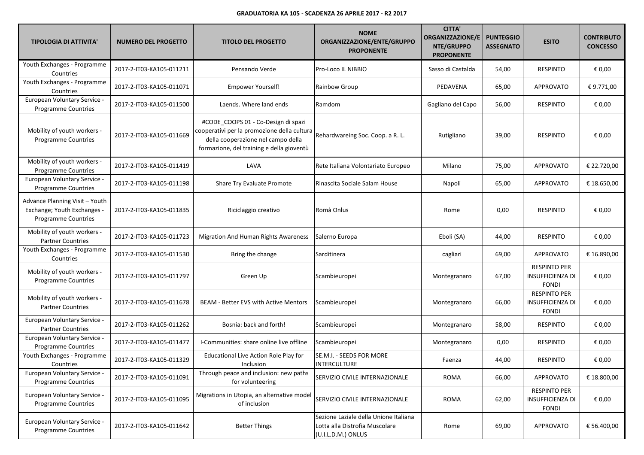| <b>TIPOLOGIA DI ATTIVITA'</b>                                                               | <b>NUMERO DEL PROGETTO</b> | <b>TITOLO DEL PROGETTO</b>                                                                                                                                            | <b>NOME</b><br>ORGANIZZAZIONE/ENTE/GRUPPO<br><b>PROPONENTE</b>                                | <b>CITTA'</b><br><b>ORGANIZZAZIONE/E</b><br>NTE/GRUPPO<br><b>PROPONENTE</b> | <b>PUNTEGGIO</b><br><b>ASSEGNATO</b> | <b>ESITO</b>                                                   | <b>CONTRIBUTO</b><br><b>CONCESSO</b> |
|---------------------------------------------------------------------------------------------|----------------------------|-----------------------------------------------------------------------------------------------------------------------------------------------------------------------|-----------------------------------------------------------------------------------------------|-----------------------------------------------------------------------------|--------------------------------------|----------------------------------------------------------------|--------------------------------------|
| Youth Exchanges - Programme<br>Countries                                                    | 2017-2-IT03-KA105-011211   | Pensando Verde                                                                                                                                                        | Pro-Loco IL NIBBIO                                                                            | Sasso di Castalda                                                           | 54,00                                | <b>RESPINTO</b>                                                | € 0,00                               |
| Youth Exchanges - Programme<br>Countries                                                    | 2017-2-IT03-KA105-011071   | <b>Empower Yourself!</b>                                                                                                                                              | Rainbow Group                                                                                 | PEDAVENA                                                                    | 65,00                                | <b>APPROVATO</b>                                               | € 9.771,00                           |
| European Voluntary Service -<br>Programme Countries                                         | 2017-2-IT03-KA105-011500   | Laends. Where land ends                                                                                                                                               | Ramdom                                                                                        | Gagliano del Capo                                                           | 56,00                                | <b>RESPINTO</b>                                                | € 0,00                               |
| Mobility of youth workers -<br>Programme Countries                                          | 2017-2-IT03-KA105-011669   | #CODE_COOPS 01 - Co-Design di spazi<br>cooperativi per la promozione della cultura<br>della cooperazione nel campo della<br>formazione, del training e della gioventù | Rehardwareing Soc. Coop. a R. L.                                                              | Rutigliano                                                                  | 39,00                                | <b>RESPINTO</b>                                                | € 0,00                               |
| Mobility of youth workers -<br><b>Programme Countries</b>                                   | 2017-2-IT03-KA105-011419   | LAVA                                                                                                                                                                  | Rete Italiana Volontariato Europeo                                                            | Milano                                                                      | 75,00                                | APPROVATO                                                      | € 22.720,00                          |
| European Voluntary Service -<br>Programme Countries                                         | 2017-2-IT03-KA105-011198   | Share Try Evaluate Promote                                                                                                                                            | Rinascita Sociale Salam House                                                                 | Napoli                                                                      | 65,00                                | <b>APPROVATO</b>                                               | € 18.650,00                          |
| Advance Planning Visit - Youth<br>Exchange; Youth Exchanges -<br><b>Programme Countries</b> | 2017-2-IT03-KA105-011835   | Riciclaggio creativo                                                                                                                                                  | Romà Onlus                                                                                    | Rome                                                                        | 0,00                                 | <b>RESPINTO</b>                                                | € 0,00                               |
| Mobility of youth workers -<br><b>Partner Countries</b>                                     | 2017-2-IT03-KA105-011723   | Migration And Human Rights Awareness                                                                                                                                  | Salerno Europa                                                                                | Eboli (SA)                                                                  | 44,00                                | <b>RESPINTO</b>                                                | € 0,00                               |
| Youth Exchanges - Programme<br>Countries                                                    | 2017-2-IT03-KA105-011530   | Bring the change                                                                                                                                                      | Sarditinera                                                                                   | cagliari                                                                    | 69,00                                | APPROVATO                                                      | € 16.890,00                          |
| Mobility of youth workers -<br>Programme Countries                                          | 2017-2-IT03-KA105-011797   | Green Up                                                                                                                                                              | Scambieuropei                                                                                 | Montegranaro                                                                | 67,00                                | <b>RESPINTO PER</b><br><b>INSUFFICIENZA DI</b><br><b>FONDI</b> | € 0,00                               |
| Mobility of youth workers -<br><b>Partner Countries</b>                                     | 2017-2-IT03-KA105-011678   | <b>BEAM - Better EVS with Active Mentors</b>                                                                                                                          | Scambieuropei                                                                                 | Montegranaro                                                                | 66,00                                | <b>RESPINTO PER</b><br><b>INSUFFICIENZA DI</b><br><b>FONDI</b> | € 0,00                               |
| European Voluntary Service -<br><b>Partner Countries</b>                                    | 2017-2-IT03-KA105-011262   | Bosnia: back and forth!                                                                                                                                               | Scambieuropei                                                                                 | Montegranaro                                                                | 58,00                                | <b>RESPINTO</b>                                                | € 0,00                               |
| European Voluntary Service -<br><b>Programme Countries</b>                                  | 2017-2-IT03-KA105-011477   | I-Communities: share online live offline                                                                                                                              | Scambieuropei                                                                                 | Montegranaro                                                                | 0,00                                 | <b>RESPINTO</b>                                                | € 0,00                               |
| Youth Exchanges - Programme<br>Countries                                                    | 2017-2-IT03-KA105-011329   | Educational Live Action Role Play for<br>Inclusion                                                                                                                    | SE.M.I. - SEEDS FOR MORE<br><b>INTERCULTURE</b>                                               | Faenza                                                                      | 44,00                                | <b>RESPINTO</b>                                                | € 0,00                               |
| European Voluntary Service -<br>Programme Countries                                         | 2017-2-IT03-KA105-011091   | Through peace and inclusion: new paths<br>for volunteering                                                                                                            | SERVIZIO CIVILE INTERNAZIONALE                                                                | <b>ROMA</b>                                                                 | 66,00                                | <b>APPROVATO</b>                                               | € 18.800,00                          |
| European Voluntary Service -<br>Programme Countries                                         | 2017-2-IT03-KA105-011095   | Migrations in Utopia, an alternative model<br>of inclusion                                                                                                            | SERVIZIO CIVILE INTERNAZIONALE                                                                | <b>ROMA</b>                                                                 | 62,00                                | <b>RESPINTO PER</b><br><b>INSUFFICIENZA DI</b><br><b>FONDI</b> | € 0,00                               |
| European Voluntary Service -<br><b>Programme Countries</b>                                  | 2017-2-IT03-KA105-011642   | <b>Better Things</b>                                                                                                                                                  | Sezione Laziale della Unione Italiana<br>Lotta alla Distrofia Muscolare<br>(U.I.L.D.M.) ONLUS | Rome                                                                        | 69,00                                | APPROVATO                                                      | € 56.400,00                          |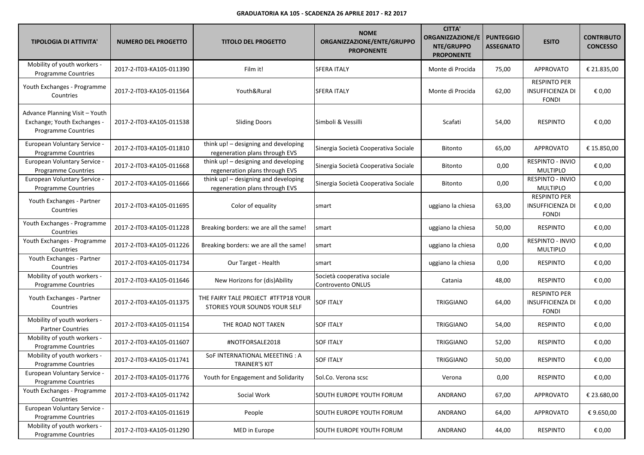| <b>TIPOLOGIA DI ATTIVITA'</b>                                                               | <b>NUMERO DEL PROGETTO</b> | <b>TITOLO DEL PROGETTO</b>                                             | <b>NOME</b><br>ORGANIZZAZIONE/ENTE/GRUPPO<br><b>PROPONENTE</b> | <b>CITTA'</b><br><b>ORGANIZZAZIONE/E</b><br>NTE/GRUPPO<br><b>PROPONENTE</b> | <b>PUNTEGGIO</b><br><b>ASSEGNATO</b> | <b>ESITO</b>                                                   | <b>CONTRIBUTO</b><br><b>CONCESSO</b> |
|---------------------------------------------------------------------------------------------|----------------------------|------------------------------------------------------------------------|----------------------------------------------------------------|-----------------------------------------------------------------------------|--------------------------------------|----------------------------------------------------------------|--------------------------------------|
| Mobility of youth workers -<br><b>Programme Countries</b>                                   | 2017-2-IT03-KA105-011390   | Film it!                                                               | <b>SFERA ITALY</b>                                             | Monte di Procida                                                            | 75,00                                | <b>APPROVATO</b>                                               | € 21.835.00                          |
| Youth Exchanges - Programme<br>Countries                                                    | 2017-2-IT03-KA105-011564   | Youth&Rural                                                            | <b>SFERA ITALY</b>                                             | Monte di Procida                                                            | 62,00                                | <b>RESPINTO PER</b><br><b>INSUFFICIENZA DI</b><br><b>FONDI</b> | € 0,00                               |
| Advance Planning Visit - Youth<br>Exchange; Youth Exchanges -<br><b>Programme Countries</b> | 2017-2-IT03-KA105-011538   | <b>Sliding Doors</b>                                                   | Simboli & Vessilli                                             | Scafati                                                                     | 54,00                                | <b>RESPINTO</b>                                                | € 0,00                               |
| European Voluntary Service -<br>Programme Countries                                         | 2017-2-IT03-KA105-011810   | think up! - designing and developing<br>regeneration plans through EVS | Sinergia Società Cooperativa Sociale                           | <b>Bitonto</b>                                                              | 65,00                                | <b>APPROVATO</b>                                               | € 15.850,00                          |
| European Voluntary Service -<br>Programme Countries                                         | 2017-2-IT03-KA105-011668   | think up! - designing and developing<br>regeneration plans through EVS | Sinergia Società Cooperativa Sociale                           | Bitonto                                                                     | 0,00                                 | <b>RESPINTO - INVIO</b><br><b>MULTIPLO</b>                     | € 0,00                               |
| European Voluntary Service -<br>Programme Countries                                         | 2017-2-IT03-KA105-011666   | think up! - designing and developing<br>regeneration plans through EVS | Sinergia Società Cooperativa Sociale                           | Bitonto                                                                     | 0,00                                 | <b>RESPINTO - INVIO</b><br>MULTIPLO                            | € 0,00                               |
| Youth Exchanges - Partner<br>Countries                                                      | 2017-2-IT03-KA105-011695   | Color of equality                                                      | smart                                                          | uggiano la chiesa                                                           | 63,00                                | <b>RESPINTO PER</b><br><b>INSUFFICIENZA DI</b><br><b>FONDI</b> | € 0,00                               |
| Youth Exchanges - Programme<br>Countries                                                    | 2017-2-IT03-KA105-011228   | Breaking borders: we are all the same!                                 | smart                                                          | uggiano la chiesa                                                           | 50,00                                | <b>RESPINTO</b>                                                | € 0,00                               |
| Youth Exchanges - Programme<br>Countries                                                    | 2017-2-IT03-KA105-011226   | Breaking borders: we are all the same!                                 | smart                                                          | uggiano la chiesa                                                           | 0,00                                 | <b>RESPINTO - INVIO</b><br>MULTIPLO                            | € 0,00                               |
| Youth Exchanges - Partner<br>Countries                                                      | 2017-2-IT03-KA105-011734   | Our Target - Health                                                    | smart                                                          | uggiano la chiesa                                                           | 0,00                                 | <b>RESPINTO</b>                                                | € 0,00                               |
| Mobility of youth workers -<br>Programme Countries                                          | 2017-2-IT03-KA105-011646   | New Horizons for (dis)Ability                                          | Società cooperativa sociale<br>Controvento ONLUS               | Catania                                                                     | 48,00                                | <b>RESPINTO</b>                                                | € 0,00                               |
| Youth Exchanges - Partner<br>Countries                                                      | 2017-2-IT03-KA105-011375   | THE FAIRY TALE PROJECT #TFTP18 YOUR<br>STORIES YOUR SOUNDS YOUR SELF   | <b>SOF ITALY</b>                                               | <b>TRIGGIANO</b>                                                            | 64,00                                | <b>RESPINTO PER</b><br><b>INSUFFICIENZA DI</b><br><b>FONDI</b> | € 0,00                               |
| Mobility of youth workers -<br><b>Partner Countries</b>                                     | 2017-2-IT03-KA105-011154   | THE ROAD NOT TAKEN                                                     | <b>SOF ITALY</b>                                               | <b>TRIGGIANO</b>                                                            | 54,00                                | <b>RESPINTO</b>                                                | € 0,00                               |
| Mobility of youth workers -<br>Programme Countries                                          | 2017-2-IT03-KA105-011607   | #NOTFORSALE2018                                                        | <b>SOF ITALY</b>                                               | <b>TRIGGIANO</b>                                                            | 52,00                                | <b>RESPINTO</b>                                                | € 0,00                               |
| Mobility of youth workers -<br><b>Programme Countries</b>                                   | 2017-2-IT03-KA105-011741   | SoF INTERNATIONAL MEEETING : A<br><b>TRAINER'S KIT</b>                 | <b>SOF ITALY</b>                                               | <b>TRIGGIANO</b>                                                            | 50,00                                | <b>RESPINTO</b>                                                | € 0,00                               |
| European Voluntary Service -<br><b>Programme Countries</b>                                  | 2017-2-IT03-KA105-011776   | Youth for Engagement and Solidarity                                    | Sol.Co. Verona scsc                                            | Verona                                                                      | 0,00                                 | <b>RESPINTO</b>                                                | € 0,00                               |
| Youth Exchanges - Programme<br>Countries                                                    | 2017-2-IT03-KA105-011742   | Social Work                                                            | <b>SOUTH EUROPE YOUTH FORUM</b>                                | ANDRANO                                                                     | 67,00                                | <b>APPROVATO</b>                                               | € 23.680,00                          |
| European Voluntary Service -<br><b>Programme Countries</b>                                  | 2017-2-IT03-KA105-011619   | People                                                                 | SOUTH EUROPE YOUTH FORUM                                       | ANDRANO                                                                     | 64,00                                | <b>APPROVATO</b>                                               | €9.650,00                            |
| Mobility of youth workers -<br>Programme Countries                                          | 2017-2-IT03-KA105-011290   | MED in Europe                                                          | SOUTH EUROPE YOUTH FORUM                                       | ANDRANO                                                                     | 44,00                                | RESPINTO                                                       | € 0,00                               |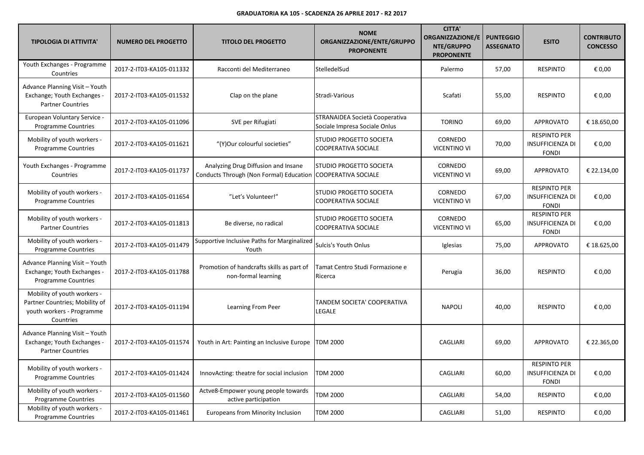| <b>TIPOLOGIA DI ATTIVITA'</b>                                                                           | <b>NUMERO DEL PROGETTO</b> | <b>TITOLO DEL PROGETTO</b>                                                            | <b>NOME</b><br>ORGANIZZAZIONE/ENTE/GRUPPO<br><b>PROPONENTE</b>  | <b>CITTA'</b><br><b>ORGANIZZAZIONE/E</b><br>NTE/GRUPPO<br><b>PROPONENTE</b> | <b>PUNTEGGIO</b><br><b>ASSEGNATO</b> | <b>ESITO</b>                                                   | <b>CONTRIBUTO</b><br><b>CONCESSO</b> |
|---------------------------------------------------------------------------------------------------------|----------------------------|---------------------------------------------------------------------------------------|-----------------------------------------------------------------|-----------------------------------------------------------------------------|--------------------------------------|----------------------------------------------------------------|--------------------------------------|
| Youth Exchanges - Programme<br>Countries                                                                | 2017-2-IT03-KA105-011332   | Racconti del Mediterraneo                                                             | StelledelSud                                                    | Palermo                                                                     | 57,00                                | <b>RESPINTO</b>                                                | € 0,00                               |
| Advance Planning Visit - Youth<br>Exchange; Youth Exchanges -<br><b>Partner Countries</b>               | 2017-2-IT03-KA105-011532   | Clap on the plane                                                                     | Stradi-Various                                                  | Scafati                                                                     | 55,00                                | <b>RESPINTO</b>                                                | € 0,00                               |
| European Voluntary Service -<br><b>Programme Countries</b>                                              | 2017-2-IT03-KA105-011096   | SVE per Rifugiati                                                                     | STRANAIDEA Società Cooperativa<br>Sociale Impresa Sociale Onlus | <b>TORINO</b>                                                               | 69,00                                | <b>APPROVATO</b>                                               | € 18.650,00                          |
| Mobility of youth workers -<br><b>Programme Countries</b>                                               | 2017-2-IT03-KA105-011621   | "(Y)Our colourful societies"                                                          | STUDIO PROGETTO SOCIETA<br><b>COOPERATIVA SOCIALE</b>           | CORNEDO<br><b>VICENTINO VI</b>                                              | 70,00                                | <b>RESPINTO PER</b><br><b>INSUFFICIENZA DI</b><br><b>FONDI</b> | € 0,00                               |
| Youth Exchanges - Programme<br>Countries                                                                | 2017-2-IT03-KA105-011737   | Analyzing Drug Diffusion and Insane<br><b>Conducts Through (Non Formal) Education</b> | ISTUDIO PROGETTO SOCIETA<br><b>COOPERATIVA SOCIALE</b>          | CORNEDO<br><b>VICENTINO VI</b>                                              | 69,00                                | APPROVATO                                                      | € 22.134,00                          |
| Mobility of youth workers -<br><b>Programme Countries</b>                                               | 2017-2-IT03-KA105-011654   | "Let's Volunteer!"                                                                    | STUDIO PROGETTO SOCIETA<br>COOPERATIVA SOCIALE                  | CORNEDO<br><b>VICENTINO VI</b>                                              | 67,00                                | <b>RESPINTO PER</b><br><b>INSUFFICIENZA DI</b><br><b>FONDI</b> | € 0,00                               |
| Mobility of youth workers -<br><b>Partner Countries</b>                                                 | 2017-2-IT03-KA105-011813   | Be diverse, no radical                                                                | <b>STUDIO PROGETTO SOCIETA</b><br><b>COOPERATIVA SOCIALE</b>    | CORNEDO<br><b>VICENTINO VI</b>                                              | 65,00                                | <b>RESPINTO PER</b><br><b>INSUFFICIENZA DI</b><br><b>FONDI</b> | € 0,00                               |
| Mobility of youth workers -<br><b>Programme Countries</b>                                               | 2017-2-IT03-KA105-011479   | Supportive Inclusive Paths for Marginalized<br>Youth                                  | Sulcis's Youth Onlus                                            | Iglesias                                                                    | 75,00                                | <b>APPROVATO</b>                                               | € 18.625,00                          |
| Advance Planning Visit - Youth<br>Exchange; Youth Exchanges -<br>Programme Countries                    | 2017-2-IT03-KA105-011788   | Promotion of handcrafts skills as part of<br>non-formal learning                      | Tamat Centro Studi Formazione e<br>Ricerca                      | Perugia                                                                     | 36,00                                | <b>RESPINTO</b>                                                | € 0,00                               |
| Mobility of youth workers -<br>Partner Countries; Mobility of<br>youth workers - Programme<br>Countries | 2017-2-IT03-KA105-011194   | Learning From Peer                                                                    | TANDEM SOCIETA' COOPERATIVA<br>LEGALE                           | <b>NAPOLI</b>                                                               | 40,00                                | <b>RESPINTO</b>                                                | € 0,00                               |
| Advance Planning Visit - Youth<br>Exchange; Youth Exchanges -<br><b>Partner Countries</b>               | 2017-2-IT03-KA105-011574   | Youth in Art: Painting an Inclusive Europe                                            | <b>TDM 2000</b>                                                 | <b>CAGLIARI</b>                                                             | 69,00                                | <b>APPROVATO</b>                                               | € 22.365,00                          |
| Mobility of youth workers -<br><b>Programme Countries</b>                                               | 2017-2-IT03-KA105-011424   | InnovActing: theatre for social inclusion                                             | <b>TDM 2000</b>                                                 | CAGLIARI                                                                    | 60,00                                | <b>RESPINTO PER</b><br><b>INSUFFICIENZA DI</b><br><b>FONDI</b> | € 0,00                               |
| Mobility of youth workers -<br><b>Programme Countries</b>                                               | 2017-2-IT03-KA105-011560   | Actve8-Empower young people towards<br>active participation                           | <b>TDM 2000</b>                                                 | CAGLIARI                                                                    | 54,00                                | <b>RESPINTO</b>                                                | € 0,00                               |
| Mobility of youth workers -<br><b>Programme Countries</b>                                               | 2017-2-IT03-KA105-011461   | Europeans from Minority Inclusion                                                     | <b>TDM 2000</b>                                                 | CAGLIARI                                                                    | 51,00                                | <b>RESPINTO</b>                                                | € 0,00                               |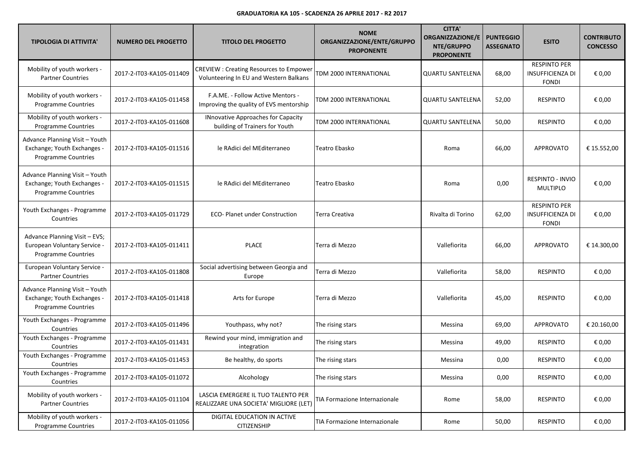| <b>TIPOLOGIA DI ATTIVITA'</b>                                                               | <b>NUMERO DEL PROGETTO</b> | <b>TITOLO DEL PROGETTO</b>                                                              | <b>NOME</b><br>ORGANIZZAZIONE/ENTE/GRUPPO<br><b>PROPONENTE</b> | <b>CITTA'</b><br><b>ORGANIZZAZIONE/E</b><br>NTE/GRUPPO<br><b>PROPONENTE</b> | <b>PUNTEGGIO</b><br><b>ASSEGNATO</b> | <b>ESITO</b>                                                   | <b>CONTRIBUTO</b><br><b>CONCESSO</b> |
|---------------------------------------------------------------------------------------------|----------------------------|-----------------------------------------------------------------------------------------|----------------------------------------------------------------|-----------------------------------------------------------------------------|--------------------------------------|----------------------------------------------------------------|--------------------------------------|
| Mobility of youth workers -<br><b>Partner Countries</b>                                     | 2017-2-IT03-KA105-011409   | <b>CREVIEW: Creating Resources to Empower</b><br>Volunteering In EU and Western Balkans | TDM 2000 INTERNATIONAL                                         | <b>QUARTU SANTELENA</b>                                                     | 68,00                                | <b>RESPINTO PER</b><br><b>INSUFFICIENZA DI</b><br><b>FONDI</b> | € 0,00                               |
| Mobility of youth workers -<br><b>Programme Countries</b>                                   | 2017-2-IT03-KA105-011458   | F.A.ME. - Follow Active Mentors -<br>Improving the quality of EVS mentorship            | TDM 2000 INTERNATIONAL                                         | <b>QUARTU SANTELENA</b>                                                     | 52,00                                | <b>RESPINTO</b>                                                | € 0,00                               |
| Mobility of youth workers -<br><b>Programme Countries</b>                                   | 2017-2-IT03-KA105-011608   | INnovative Approaches for Capacity<br>building of Trainers for Youth                    | TDM 2000 INTERNATIONAL                                         | <b>QUARTU SANTELENA</b>                                                     | 50,00                                | <b>RESPINTO</b>                                                | € 0,00                               |
| Advance Planning Visit - Youth<br>Exchange; Youth Exchanges -<br>Programme Countries        | 2017-2-IT03-KA105-011516   | le RAdici del MEditerraneo                                                              | Teatro Ebasko                                                  | Roma                                                                        | 66,00                                | <b>APPROVATO</b>                                               | € 15.552,00                          |
| Advance Planning Visit - Youth<br>Exchange; Youth Exchanges -<br><b>Programme Countries</b> | 2017-2-IT03-KA105-011515   | le RAdici del MEditerraneo                                                              | Teatro Ebasko                                                  | Roma                                                                        | 0,00                                 | <b>RESPINTO - INVIO</b><br><b>MULTIPLO</b>                     | € 0,00                               |
| Youth Exchanges - Programme<br>Countries                                                    | 2017-2-IT03-KA105-011729   | <b>ECO- Planet under Construction</b>                                                   | Terra Creativa                                                 | Rivalta di Torino                                                           | 62,00                                | <b>RESPINTO PER</b><br><b>INSUFFICIENZA DI</b><br><b>FONDI</b> | € 0,00                               |
| Advance Planning Visit - EVS;<br>European Voluntary Service -<br>Programme Countries        | 2017-2-IT03-KA105-011411   | <b>PLACE</b>                                                                            | Terra di Mezzo                                                 | Vallefiorita                                                                | 66,00                                | <b>APPROVATO</b>                                               | € 14.300,00                          |
| European Voluntary Service -<br><b>Partner Countries</b>                                    | 2017-2-IT03-KA105-011808   | Social advertising between Georgia and<br>Europe                                        | Terra di Mezzo                                                 | Vallefiorita                                                                | 58,00                                | <b>RESPINTO</b>                                                | € 0,00                               |
| Advance Planning Visit - Youth<br>Exchange; Youth Exchanges -<br><b>Programme Countries</b> | 2017-2-IT03-KA105-011418   | Arts for Europe                                                                         | Terra di Mezzo                                                 | Vallefiorita                                                                | 45,00                                | <b>RESPINTO</b>                                                | € 0,00                               |
| Youth Exchanges - Programme<br>Countries                                                    | 2017-2-IT03-KA105-011496   | Youthpass, why not?                                                                     | The rising stars                                               | Messina                                                                     | 69,00                                | <b>APPROVATO</b>                                               | € 20.160,00                          |
| Youth Exchanges - Programme<br>Countries                                                    | 2017-2-IT03-KA105-011431   | Rewind your mind, immigration and<br>integration                                        | The rising stars                                               | Messina                                                                     | 49,00                                | <b>RESPINTO</b>                                                | € 0,00                               |
| Youth Exchanges - Programme<br>Countries                                                    | 2017-2-IT03-KA105-011453   | Be healthy, do sports                                                                   | The rising stars                                               | Messina                                                                     | 0,00                                 | <b>RESPINTO</b>                                                | € 0,00                               |
| Youth Exchanges - Programme<br>Countries                                                    | 2017-2-IT03-KA105-011072   | Alcohology                                                                              | The rising stars                                               | Messina                                                                     | 0,00                                 | <b>RESPINTO</b>                                                | € 0,00                               |
| Mobility of youth workers -<br><b>Partner Countries</b>                                     | 2017-2-IT03-KA105-011104   | LASCIA EMERGERE IL TUO TALENTO PER<br>REALIZZARE UNA SOCIETA' MIGLIORE (LET)            | TIA Formazione Internazionale                                  | Rome                                                                        | 58,00                                | <b>RESPINTO</b>                                                | € 0,00                               |
| Mobility of youth workers -<br>Programme Countries                                          | 2017-2-IT03-KA105-011056   | DIGITAL EDUCATION IN ACTIVE<br>CITIZENSHIP                                              | TIA Formazione Internazionale                                  | Rome                                                                        | 50,00                                | <b>RESPINTO</b>                                                | € 0,00                               |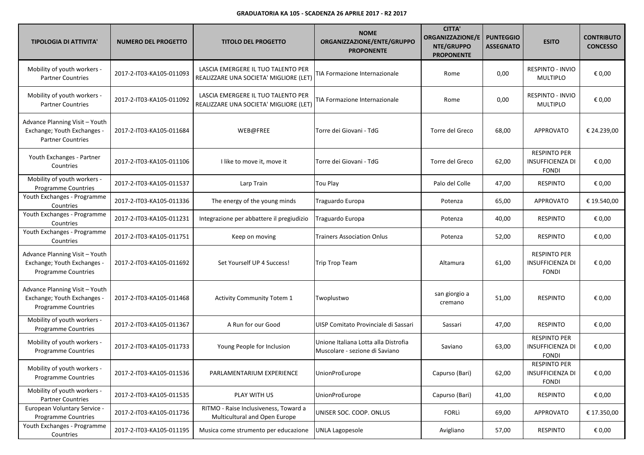| <b>TIPOLOGIA DI ATTIVITA'</b>                                                             | <b>NUMERO DEL PROGETTO</b> | <b>TITOLO DEL PROGETTO</b>                                                   | <b>NOME</b><br>ORGANIZZAZIONE/ENTE/GRUPPO<br><b>PROPONENTE</b>         | <b>CITTA'</b><br><b>ORGANIZZAZIONE/E</b><br>NTE/GRUPPO<br><b>PROPONENTE</b> | <b>PUNTEGGIO</b><br><b>ASSEGNATO</b> | <b>ESITO</b>                                                   | <b>CONTRIBUTO</b><br><b>CONCESSO</b> |
|-------------------------------------------------------------------------------------------|----------------------------|------------------------------------------------------------------------------|------------------------------------------------------------------------|-----------------------------------------------------------------------------|--------------------------------------|----------------------------------------------------------------|--------------------------------------|
| Mobility of youth workers -<br><b>Partner Countries</b>                                   | 2017-2-IT03-KA105-011093   | LASCIA EMERGERE IL TUO TALENTO PER<br>REALIZZARE UNA SOCIETA' MIGLIORE (LET) | TIA Formazione Internazionale                                          | Rome                                                                        | 0,00                                 | <b>RESPINTO - INVIO</b><br><b>MULTIPLO</b>                     | € 0,00                               |
| Mobility of youth workers -<br><b>Partner Countries</b>                                   | 2017-2-IT03-KA105-011092   | LASCIA EMERGERE IL TUO TALENTO PER<br>REALIZZARE UNA SOCIETA' MIGLIORE (LET) | <b>FIA Formazione Internazionale</b>                                   | Rome                                                                        | 0,00                                 | <b>RESPINTO - INVIO</b><br>MULTIPLO                            | € 0,00                               |
| Advance Planning Visit - Youth<br>Exchange; Youth Exchanges -<br><b>Partner Countries</b> | 2017-2-IT03-KA105-011684   | WEB@FREE                                                                     | Torre dei Giovani - TdG                                                | Torre del Greco                                                             | 68,00                                | <b>APPROVATO</b>                                               | € 24.239,00                          |
| Youth Exchanges - Partner<br>Countries                                                    | 2017-2-IT03-KA105-011106   | I like to move it, move it                                                   | Torre dei Giovani - TdG                                                | Torre del Greco                                                             | 62,00                                | <b>RESPINTO PER</b><br><b>INSUFFICIENZA DI</b><br><b>FONDI</b> | € 0,00                               |
| Mobility of youth workers -<br><b>Programme Countries</b>                                 | 2017-2-IT03-KA105-011537   | Larp Train                                                                   | Tou Play                                                               | Palo del Colle                                                              | 47,00                                | <b>RESPINTO</b>                                                | € 0,00                               |
| Youth Exchanges - Programme<br>Countries                                                  | 2017-2-IT03-KA105-011336   | The energy of the young minds                                                | Traguardo Europa                                                       | Potenza                                                                     | 65,00                                | <b>APPROVATO</b>                                               | € 19.540,00                          |
| Youth Exchanges - Programme<br>Countries                                                  | 2017-2-IT03-KA105-011231   | Integrazione per abbattere il pregiudizio                                    | Traguardo Europa                                                       | Potenza                                                                     | 40,00                                | <b>RESPINTO</b>                                                | € 0,00                               |
| Youth Exchanges - Programme<br>Countries                                                  | 2017-2-IT03-KA105-011751   | Keep on moving                                                               | Trainers Association Onlus                                             | Potenza                                                                     | 52,00                                | <b>RESPINTO</b>                                                | € 0,00                               |
| Advance Planning Visit - Youth<br>Exchange; Youth Exchanges -<br>Programme Countries      | 2017-2-IT03-KA105-011692   | Set Yourself UP 4 Success!                                                   | <b>Trip Trop Team</b>                                                  | Altamura                                                                    | 61,00                                | <b>RESPINTO PER</b><br><b>INSUFFICIENZA DI</b><br><b>FONDI</b> | € 0,00                               |
| Advance Planning Visit - Youth<br>Exchange; Youth Exchanges -<br>Programme Countries      | 2017-2-IT03-KA105-011468   | <b>Activity Community Totem 1</b>                                            | Twoplustwo                                                             | san giorgio a<br>cremano                                                    | 51,00                                | <b>RESPINTO</b>                                                | € 0,00                               |
| Mobility of youth workers -<br>Programme Countries                                        | 2017-2-IT03-KA105-011367   | A Run for our Good                                                           | UISP Comitato Provinciale di Sassari                                   | Sassari                                                                     | 47,00                                | <b>RESPINTO</b>                                                | € 0,00                               |
| Mobility of youth workers -<br><b>Programme Countries</b>                                 | 2017-2-IT03-KA105-011733   | Young People for Inclusion                                                   | Unione Italiana Lotta alla Distrofia<br>Muscolare - sezione di Saviano | Saviano                                                                     | 63,00                                | <b>RESPINTO PER</b><br><b>INSUFFICIENZA DI</b><br><b>FONDI</b> | € 0,00                               |
| Mobility of youth workers -<br><b>Programme Countries</b>                                 | 2017-2-IT03-KA105-011536   | PARLAMENTARIUM EXPERIENCE                                                    | <b>UnionProEurope</b>                                                  | Capurso (Bari)                                                              | 62,00                                | <b>RESPINTO PER</b><br><b>INSUFFICIENZA DI</b><br><b>FONDI</b> | € 0,00                               |
| Mobility of youth workers -<br><b>Partner Countries</b>                                   | 2017-2-IT03-KA105-011535   | PLAY WITH US                                                                 | <b>UnionProEurope</b>                                                  | Capurso (Bari)                                                              | 41,00                                | <b>RESPINTO</b>                                                | € 0,00                               |
| European Voluntary Service -<br><b>Programme Countries</b>                                | 2017-2-IT03-KA105-011736   | RITMO - Raise Inclusiveness, Toward a<br>Multicultural and Open Europe       | UNISER SOC. COOP. ONLUS                                                | FORLì                                                                       | 69,00                                | <b>APPROVATO</b>                                               | € 17.350,00                          |
| Youth Exchanges - Programme<br>Countries                                                  | 2017-2-IT03-KA105-011195   | Musica come strumento per educazione                                         | <b>UNLA Lagopesole</b>                                                 | Avigliano                                                                   | 57,00                                | <b>RESPINTO</b>                                                | € 0,00                               |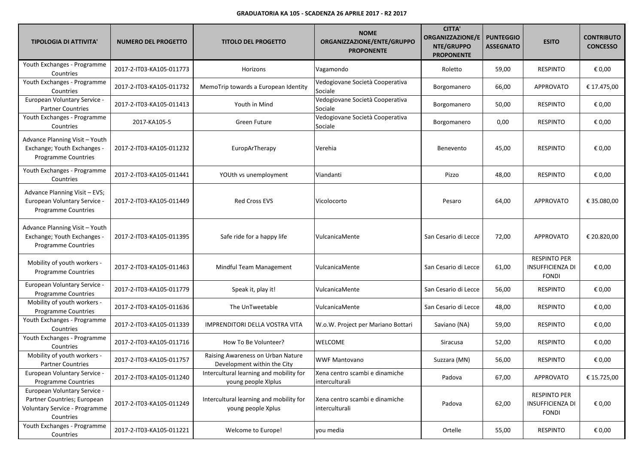| <b>TIPOLOGIA DI ATTIVITA'</b>                                                                             | <b>NUMERO DEL PROGETTO</b> | <b>TITOLO DEL PROGETTO</b>                                       | <b>NOME</b><br>ORGANIZZAZIONE/ENTE/GRUPPO<br><b>PROPONENTE</b> | <b>CITTA'</b><br><b>ORGANIZZAZIONE/E</b><br>NTE/GRUPPO<br><b>PROPONENTE</b> | <b>PUNTEGGIO</b><br><b>ASSEGNATO</b> | <b>ESITO</b>                                                   | <b>CONTRIBUTO</b><br><b>CONCESSO</b> |
|-----------------------------------------------------------------------------------------------------------|----------------------------|------------------------------------------------------------------|----------------------------------------------------------------|-----------------------------------------------------------------------------|--------------------------------------|----------------------------------------------------------------|--------------------------------------|
| Youth Exchanges - Programme<br>Countries                                                                  | 2017-2-IT03-KA105-011773   | Horizons                                                         | Vagamondo                                                      | Roletto                                                                     | 59,00                                | <b>RESPINTO</b>                                                | € 0,00                               |
| Youth Exchanges - Programme<br>Countries                                                                  | 2017-2-IT03-KA105-011732   | MemoTrip towards a European Identity                             | Vedogiovane Società Cooperativa<br>Sociale                     | Borgomanero                                                                 | 66,00                                | <b>APPROVATO</b>                                               | € 17.475,00                          |
| European Voluntary Service -<br><b>Partner Countries</b>                                                  | 2017-2-IT03-KA105-011413   | Youth in Mind                                                    | Vedogiovane Società Cooperativa<br>Sociale                     | Borgomanero                                                                 | 50,00                                | <b>RESPINTO</b>                                                | € 0,00                               |
| Youth Exchanges - Programme<br>Countries                                                                  | 2017-KA105-5               | Green Future                                                     | Vedogiovane Società Cooperativa<br>Sociale                     | Borgomanero                                                                 | 0,00                                 | <b>RESPINTO</b>                                                | € 0,00                               |
| Advance Planning Visit - Youth<br>Exchange; Youth Exchanges -<br>Programme Countries                      | 2017-2-IT03-KA105-011232   | EuropArTherapy                                                   | Verehia                                                        | Benevento                                                                   | 45,00                                | <b>RESPINTO</b>                                                | € 0,00                               |
| Youth Exchanges - Programme<br>Countries                                                                  | 2017-2-IT03-KA105-011441   | YOUth vs unemployment                                            | Viandanti                                                      | Pizzo                                                                       | 48,00                                | <b>RESPINTO</b>                                                | € 0,00                               |
| Advance Planning Visit - EVS;<br>European Voluntary Service -<br><b>Programme Countries</b>               | 2017-2-IT03-KA105-011449   | <b>Red Cross EVS</b>                                             | Vicolocorto                                                    | Pesaro                                                                      | 64,00                                | <b>APPROVATO</b>                                               | € 35.080,00                          |
| Advance Planning Visit - Youth<br>Exchange; Youth Exchanges -<br>Programme Countries                      | 2017-2-IT03-KA105-011395   | Safe ride for a happy life                                       | VulcanicaMente                                                 | San Cesario di Lecce                                                        | 72,00                                | <b>APPROVATO</b>                                               | € 20.820,00                          |
| Mobility of youth workers -<br>Programme Countries                                                        | 2017-2-IT03-KA105-011463   | Mindful Team Management                                          | VulcanicaMente                                                 | San Cesario di Lecce                                                        | 61,00                                | <b>RESPINTO PER</b><br><b>INSUFFICIENZA DI</b><br><b>FONDI</b> | € 0,00                               |
| European Voluntary Service -<br><b>Programme Countries</b>                                                | 2017-2-IT03-KA105-011779   | Speak it, play it!                                               | VulcanicaMente                                                 | San Cesario di Lecce                                                        | 56,00                                | <b>RESPINTO</b>                                                | € 0,00                               |
| Mobility of youth workers -<br>Programme Countries                                                        | 2017-2-IT03-KA105-011636   | The UnTweetable                                                  | VulcanicaMente                                                 | San Cesario di Lecce                                                        | 48,00                                | <b>RESPINTO</b>                                                | € 0,00                               |
| Youth Exchanges - Programme<br>Countries                                                                  | 2017-2-IT03-KA105-011339   | IMPRENDITORI DELLA VOSTRA VITA                                   | W.o.W. Project per Mariano Bottari                             | Saviano (NA)                                                                | 59,00                                | <b>RESPINTO</b>                                                | € 0,00                               |
| Youth Exchanges - Programme<br>Countries                                                                  | 2017-2-IT03-KA105-011716   | How To Be Volunteer?                                             | WELCOME                                                        | Siracusa                                                                    | 52,00                                | <b>RESPINTO</b>                                                | € 0,00                               |
| Mobility of youth workers -<br><b>Partner Countries</b>                                                   | 2017-2-IT03-KA105-011757   | Raising Awareness on Urban Nature<br>Development within the City | <b>WWF Mantovano</b>                                           | Suzzara (MN)                                                                | 56,00                                | <b>RESPINTO</b>                                                | € 0,00                               |
| European Voluntary Service -<br>Programme Countries                                                       | 2017-2-IT03-KA105-011240   | Intercultural learning and mobility for<br>young people XIplus   | Xena centro scambi e dinamiche<br>interculturali               | Padova                                                                      | 67,00                                | <b>APPROVATO</b>                                               | € 15.725,00                          |
| European Voluntary Service -<br>Partner Countries; European<br>Voluntary Service - Programme<br>Countries | 2017-2-IT03-KA105-011249   | Intercultural learning and mobility for<br>young people Xplus    | Xena centro scambi e dinamiche<br>interculturali               | Padova                                                                      | 62,00                                | <b>RESPINTO PER</b><br><b>INSUFFICIENZA DI</b><br><b>FONDI</b> | € 0,00                               |
| Youth Exchanges - Programme<br>Countries                                                                  | 2017-2-IT03-KA105-011221   | Welcome to Europe!                                               | you media                                                      | Ortelle                                                                     | 55,00                                | <b>RESPINTO</b>                                                | € 0,00                               |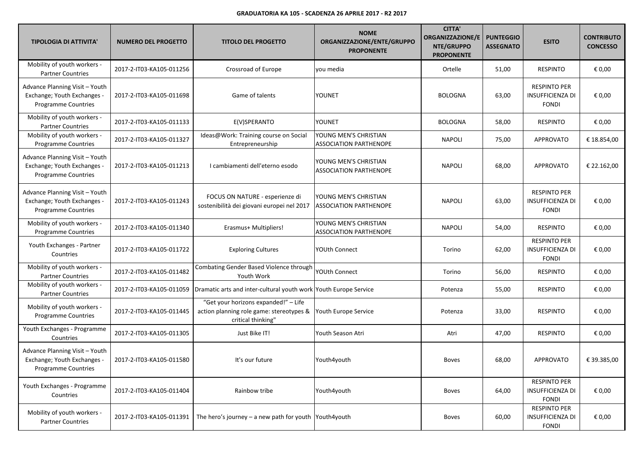| <b>TIPOLOGIA DI ATTIVITA'</b>                                                               | <b>NUMERO DEL PROGETTO</b> | <b>TITOLO DEL PROGETTO</b>                                                                             | <b>NOME</b><br>ORGANIZZAZIONE/ENTE/GRUPPO<br><b>PROPONENTE</b> | <b>CITTA'</b><br><b>ORGANIZZAZIONE/E</b><br>NTE/GRUPPO<br><b>PROPONENTE</b> | <b>PUNTEGGIO</b><br><b>ASSEGNATO</b> | <b>ESITO</b>                                                   | <b>CONTRIBUTO</b><br><b>CONCESSO</b> |
|---------------------------------------------------------------------------------------------|----------------------------|--------------------------------------------------------------------------------------------------------|----------------------------------------------------------------|-----------------------------------------------------------------------------|--------------------------------------|----------------------------------------------------------------|--------------------------------------|
| Mobility of youth workers -<br><b>Partner Countries</b>                                     | 2017-2-IT03-KA105-011256   | Crossroad of Europe                                                                                    | vou media                                                      | Ortelle                                                                     | 51,00                                | <b>RESPINTO</b>                                                | € 0,00                               |
| Advance Planning Visit - Youth<br>Exchange; Youth Exchanges -<br><b>Programme Countries</b> | 2017-2-IT03-KA105-011698   | Game of talents                                                                                        | YOUNET                                                         | <b>BOLOGNA</b>                                                              | 63,00                                | <b>RESPINTO PER</b><br><b>INSUFFICIENZA DI</b><br><b>FONDI</b> | € 0,00                               |
| Mobility of youth workers -<br><b>Partner Countries</b>                                     | 2017-2-IT03-KA105-011133   | E(V)SPERANTO                                                                                           | YOUNET                                                         | <b>BOLOGNA</b>                                                              | 58,00                                | <b>RESPINTO</b>                                                | € 0,00                               |
| Mobility of youth workers -<br>Programme Countries                                          | 2017-2-IT03-KA105-011327   | Ideas@Work: Training course on Social<br>Entrepreneurship                                              | YOUNG MEN'S CHRISTIAN<br><b>ASSOCIATION PARTHENOPE</b>         | <b>NAPOLI</b>                                                               | 75,00                                | <b>APPROVATO</b>                                               | € 18.854,00                          |
| Advance Planning Visit - Youth<br>Exchange; Youth Exchanges -<br><b>Programme Countries</b> | 2017-2-IT03-KA105-011213   | I cambiamenti dell'eterno esodo                                                                        | YOUNG MEN'S CHRISTIAN<br><b>ASSOCIATION PARTHENOPE</b>         | <b>NAPOLI</b>                                                               | 68,00                                | <b>APPROVATO</b>                                               | € 22.162,00                          |
| Advance Planning Visit - Youth<br>Exchange; Youth Exchanges -<br><b>Programme Countries</b> | 2017-2-IT03-KA105-011243   | FOCUS ON NATURE - esperienze di<br>sostenibilità dei giovani europei nel 2017                          | YOUNG MEN'S CHRISTIAN<br><b>ASSOCIATION PARTHENOPE</b>         | <b>NAPOLI</b>                                                               | 63,00                                | <b>RESPINTO PER</b><br><b>INSUFFICIENZA DI</b><br><b>FONDI</b> | € 0,00                               |
| Mobility of youth workers -<br><b>Programme Countries</b>                                   | 2017-2-IT03-KA105-011340   | Erasmus+ Multipliers!                                                                                  | YOUNG MEN'S CHRISTIAN<br><b>ASSOCIATION PARTHENOPE</b>         | <b>NAPOLI</b>                                                               | 54,00                                | <b>RESPINTO</b>                                                | € 0,00                               |
| Youth Exchanges - Partner<br>Countries                                                      | 2017-2-IT03-KA105-011722   | <b>Exploring Cultures</b>                                                                              | YOUth Connect                                                  | Torino                                                                      | 62,00                                | <b>RESPINTO PER</b><br><b>INSUFFICIENZA DI</b><br><b>FONDI</b> | € 0,00                               |
| Mobility of youth workers -<br><b>Partner Countries</b>                                     | 2017-2-IT03-KA105-011482   | Combating Gender Based Violence through<br>Youth Work                                                  | YOUth Connect                                                  | Torino                                                                      | 56,00                                | <b>RESPINTO</b>                                                | € 0,00                               |
| Mobility of youth workers -<br><b>Partner Countries</b>                                     | 2017-2-IT03-KA105-011059   | Dramatic arts and inter-cultural youth work Youth Europe Service                                       |                                                                | Potenza                                                                     | 55,00                                | <b>RESPINTO</b>                                                | € 0,00                               |
| Mobility of youth workers -<br><b>Programme Countries</b>                                   | 2017-2-IT03-KA105-011445   | "Get your horizons expanded!" - Life<br>action planning role game: stereotypes &<br>critical thinking" | Youth Europe Service                                           | Potenza                                                                     | 33,00                                | <b>RESPINTO</b>                                                | € 0,00                               |
| Youth Exchanges - Programme<br>Countries                                                    | 2017-2-IT03-KA105-011305   | Just Bike IT!                                                                                          | Youth Season Atri                                              | Atri                                                                        | 47,00                                | <b>RESPINTO</b>                                                | € 0,00                               |
| Advance Planning Visit - Youth<br>Exchange; Youth Exchanges -<br>Programme Countries        | 2017-2-IT03-KA105-011580   | It's our future                                                                                        | Youth4youth                                                    | <b>Boves</b>                                                                | 68,00                                | <b>APPROVATO</b>                                               | € 39.385,00                          |
| Youth Exchanges - Programme<br>Countries                                                    | 2017-2-IT03-KA105-011404   | Rainbow tribe                                                                                          | Youth4youth                                                    | <b>Boves</b>                                                                | 64,00                                | <b>RESPINTO PER</b><br><b>INSUFFICIENZA DI</b><br><b>FONDI</b> | € 0,00                               |
| Mobility of youth workers -<br><b>Partner Countries</b>                                     | 2017-2-IT03-KA105-011391   | The hero's journey – a new path for youth $\sqrt{\frac{1}{1}}$ Youth4youth                             |                                                                | <b>Boves</b>                                                                | 60,00                                | <b>RESPINTO PER</b><br>INSUFFICIENZA DI<br><b>FONDI</b>        | € 0,00                               |